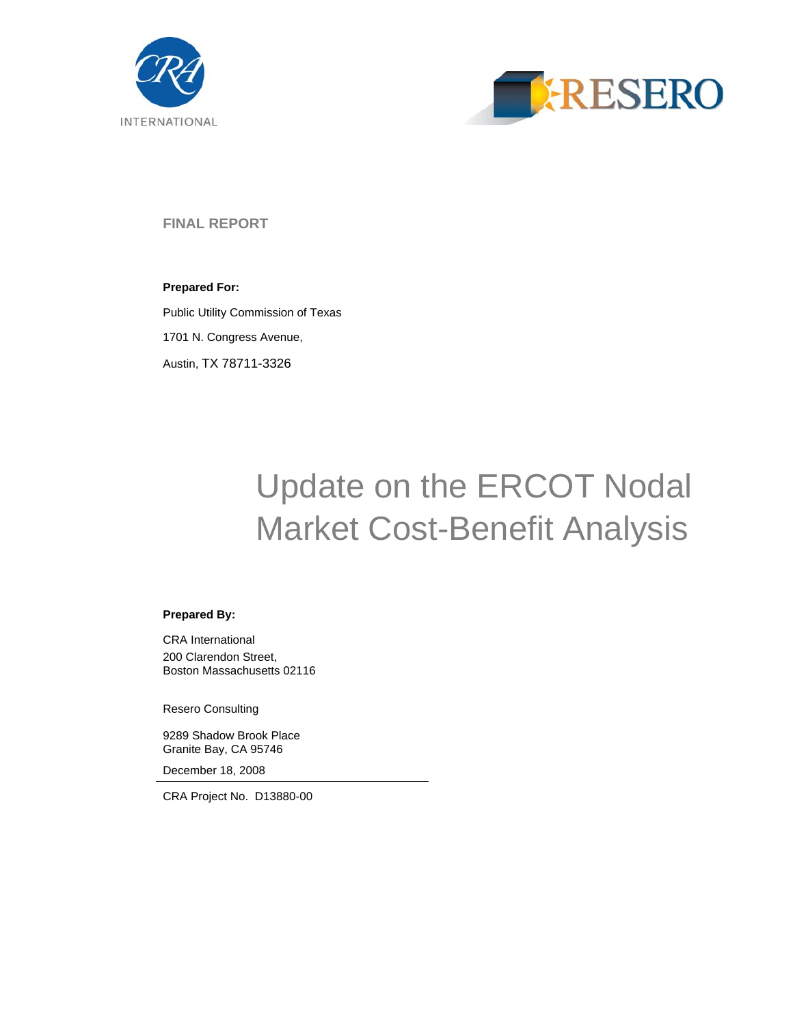



**FINAL REPORT** 

**Prepared For:**  Public Utility Commission of Texas 1701 N. Congress Avenue, Austin, TX 78711-3326

# Update on the ERCOT Nodal Market Cost-Benefit Analysis

#### **Prepared By:**

CRA International 200 Clarendon Street, Boston Massachusetts 02116

Resero Consulting

9289 Shadow Brook Place Granite Bay, CA 95746

December 18, 2008

CRA Project No. D13880-00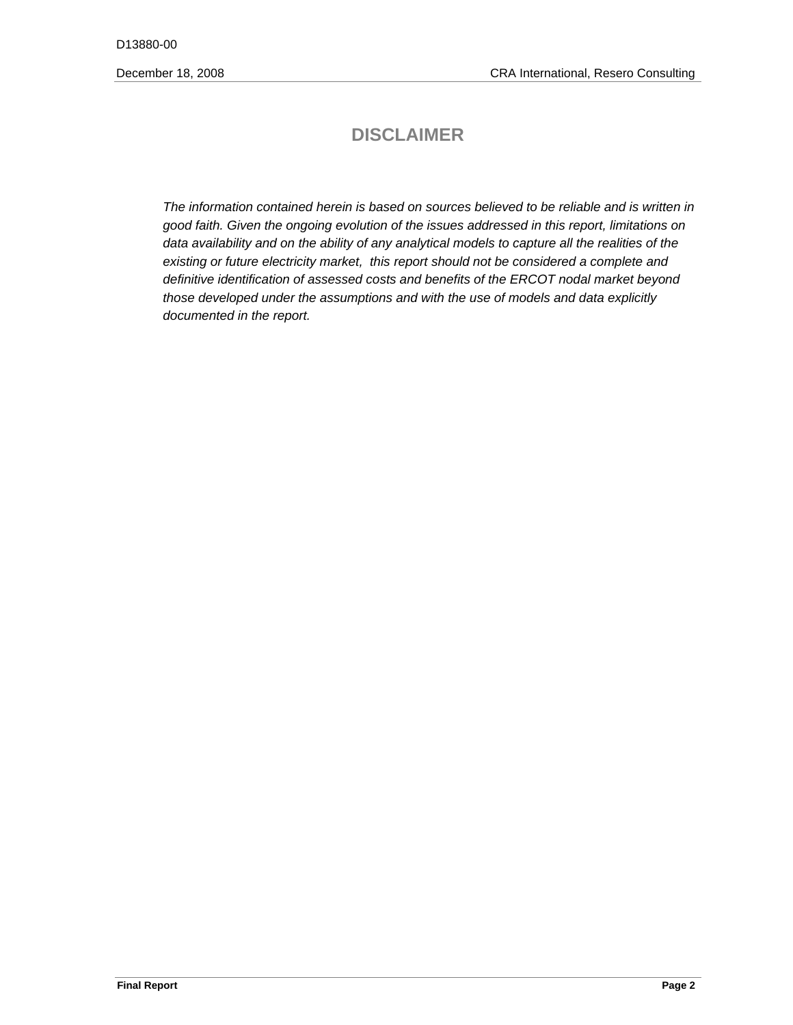# **DISCLAIMER**

*The information contained herein is based on sources believed to be reliable and is written in good faith. Given the ongoing evolution of the issues addressed in this report, limitations on*  data availability and on the ability of any analytical models to capture all the realities of the *existing or future electricity market, this report should not be considered a complete and definitive identification of assessed costs and benefits of the ERCOT nodal market beyond those developed under the assumptions and with the use of models and data explicitly documented in the report.*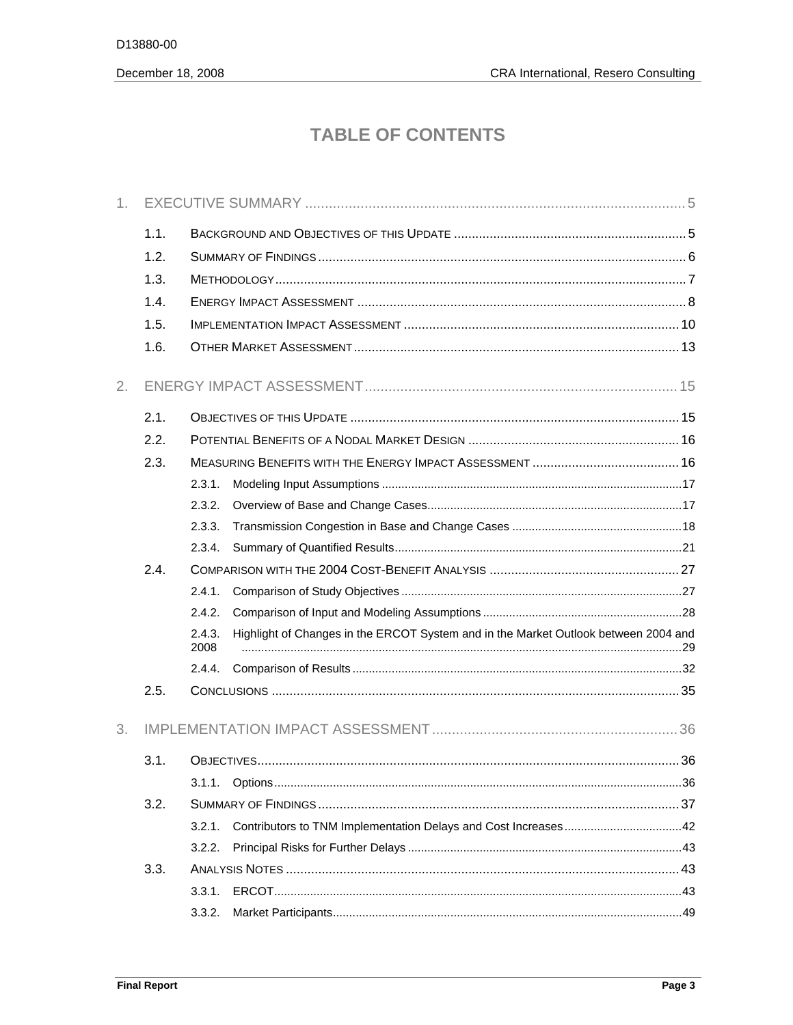# **TABLE OF CONTENTS**

| 1. |      |                |                                                                                     |  |
|----|------|----------------|-------------------------------------------------------------------------------------|--|
|    | 1.1. |                |                                                                                     |  |
|    | 1.2. |                |                                                                                     |  |
|    | 1.3. |                |                                                                                     |  |
|    | 1.4. |                |                                                                                     |  |
|    | 1.5. |                |                                                                                     |  |
|    | 1.6. |                |                                                                                     |  |
| 2. |      |                |                                                                                     |  |
|    | 2.1. |                |                                                                                     |  |
|    | 2.2. |                |                                                                                     |  |
|    | 2.3. |                |                                                                                     |  |
|    |      | 2.3.1.         |                                                                                     |  |
|    |      | 2.3.2.         |                                                                                     |  |
|    |      | 2.3.3.         |                                                                                     |  |
|    |      | 2.3.4.         |                                                                                     |  |
|    | 2.4. |                |                                                                                     |  |
|    |      | 2.4.1.         |                                                                                     |  |
|    |      | 2.4.2.         |                                                                                     |  |
|    |      | 2.4.3.<br>2008 | Highlight of Changes in the ERCOT System and in the Market Outlook between 2004 and |  |
|    |      | 2.4.4.         |                                                                                     |  |
|    | 2.5. |                |                                                                                     |  |
| 3. |      |                |                                                                                     |  |
|    | 3.1. |                |                                                                                     |  |
|    |      | 3.1.1.         |                                                                                     |  |
|    | 3.2. |                |                                                                                     |  |
|    |      | 3.2.1.         |                                                                                     |  |
|    |      | 3.2.2.         |                                                                                     |  |
|    | 3.3. |                |                                                                                     |  |
|    |      | 3.3.1.         |                                                                                     |  |
|    |      | 3.3.2.         |                                                                                     |  |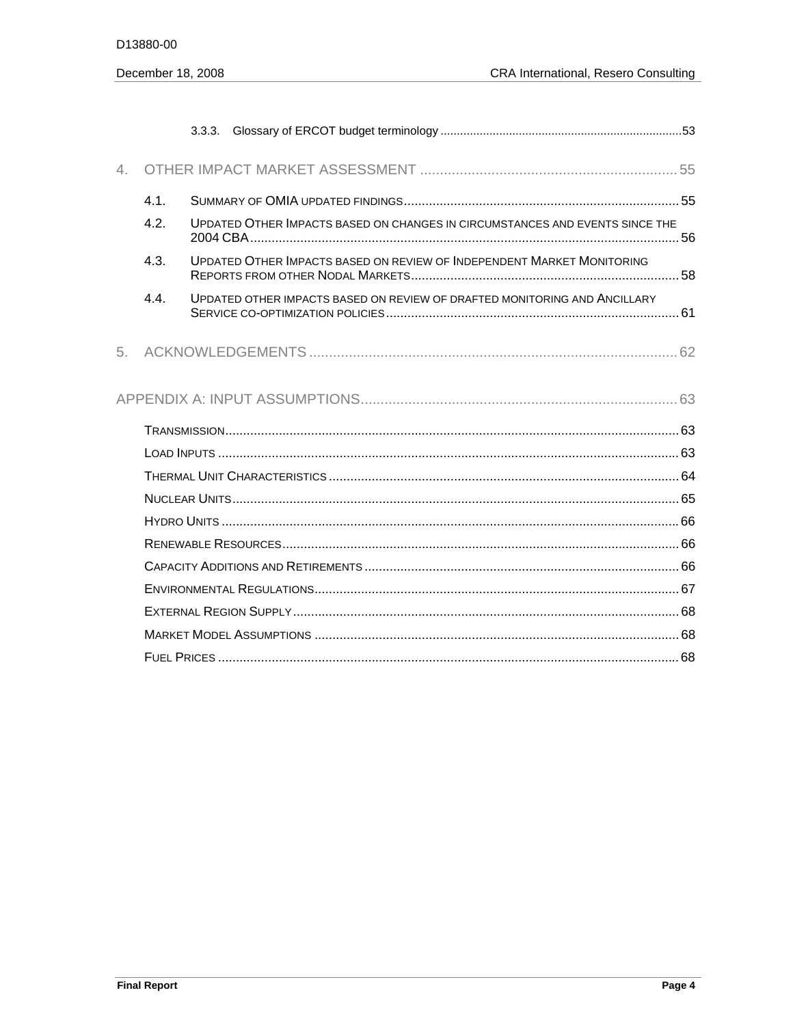| 4. |      |                                                                              |
|----|------|------------------------------------------------------------------------------|
|    | 4.1. |                                                                              |
|    | 4.2. | UPDATED OTHER IMPACTS BASED ON CHANGES IN CIRCUMSTANCES AND EVENTS SINCE THE |
|    | 4.3. | UPDATED OTHER IMPACTS BASED ON REVIEW OF INDEPENDENT MARKET MONITORING       |
|    | 4.4. | UPDATED OTHER IMPACTS BASED ON REVIEW OF DRAFTED MONITORING AND ANCILLARY    |
| 5. |      |                                                                              |
|    |      |                                                                              |
|    |      |                                                                              |
|    |      |                                                                              |
|    |      |                                                                              |
|    |      |                                                                              |
|    |      |                                                                              |
|    |      |                                                                              |
|    |      |                                                                              |
|    |      |                                                                              |
|    |      |                                                                              |
|    |      |                                                                              |
|    |      |                                                                              |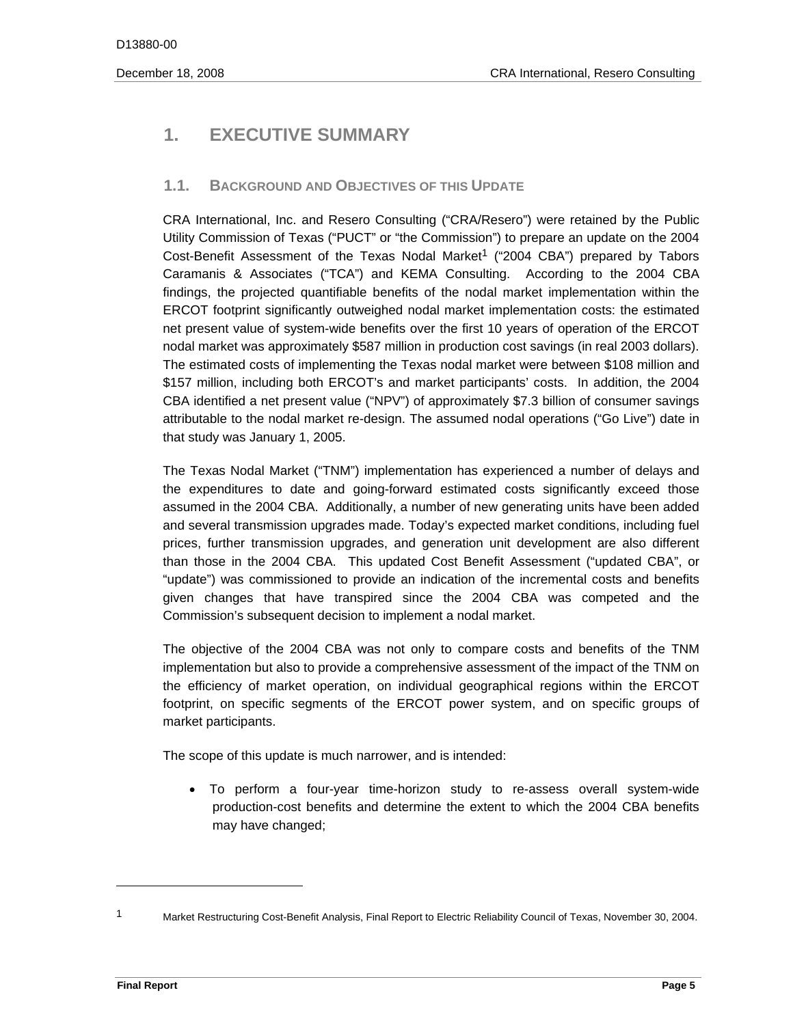# **1. EXECUTIVE SUMMARY**

# **1.1. BACKGROUND AND OBJECTIVES OF THIS UPDATE**

CRA International, Inc. and Resero Consulting ("CRA/Resero") were retained by the Public Utility Commission of Texas ("PUCT" or "the Commission") to prepare an update on the 2004 Cost-Benefit Assessment of the Texas Nodal Market<sup>1</sup> ("2004 CBA") prepared by Tabors Caramanis & Associates ("TCA") and KEMA Consulting. According to the 2004 CBA findings, the projected quantifiable benefits of the nodal market implementation within the ERCOT footprint significantly outweighed nodal market implementation costs: the estimated net present value of system-wide benefits over the first 10 years of operation of the ERCOT nodal market was approximately \$587 million in production cost savings (in real 2003 dollars). The estimated costs of implementing the Texas nodal market were between \$108 million and \$157 million, including both ERCOT's and market participants' costs. In addition, the 2004 CBA identified a net present value ("NPV") of approximately \$7.3 billion of consumer savings attributable to the nodal market re-design. The assumed nodal operations ("Go Live") date in that study was January 1, 2005.

The Texas Nodal Market ("TNM") implementation has experienced a number of delays and the expenditures to date and going-forward estimated costs significantly exceed those assumed in the 2004 CBA. Additionally, a number of new generating units have been added and several transmission upgrades made. Today's expected market conditions, including fuel prices, further transmission upgrades, and generation unit development are also different than those in the 2004 CBA. This updated Cost Benefit Assessment ("updated CBA", or "update") was commissioned to provide an indication of the incremental costs and benefits given changes that have transpired since the 2004 CBA was competed and the Commission's subsequent decision to implement a nodal market.

The objective of the 2004 CBA was not only to compare costs and benefits of the TNM implementation but also to provide a comprehensive assessment of the impact of the TNM on the efficiency of market operation, on individual geographical regions within the ERCOT footprint, on specific segments of the ERCOT power system, and on specific groups of market participants.

The scope of this update is much narrower, and is intended:

• To perform a four-year time-horizon study to re-assess overall system-wide production-cost benefits and determine the extent to which the 2004 CBA benefits may have changed;

 1 Market Restructuring Cost-Benefit Analysis, Final Report to Electric Reliability Council of Texas, November 30, 2004.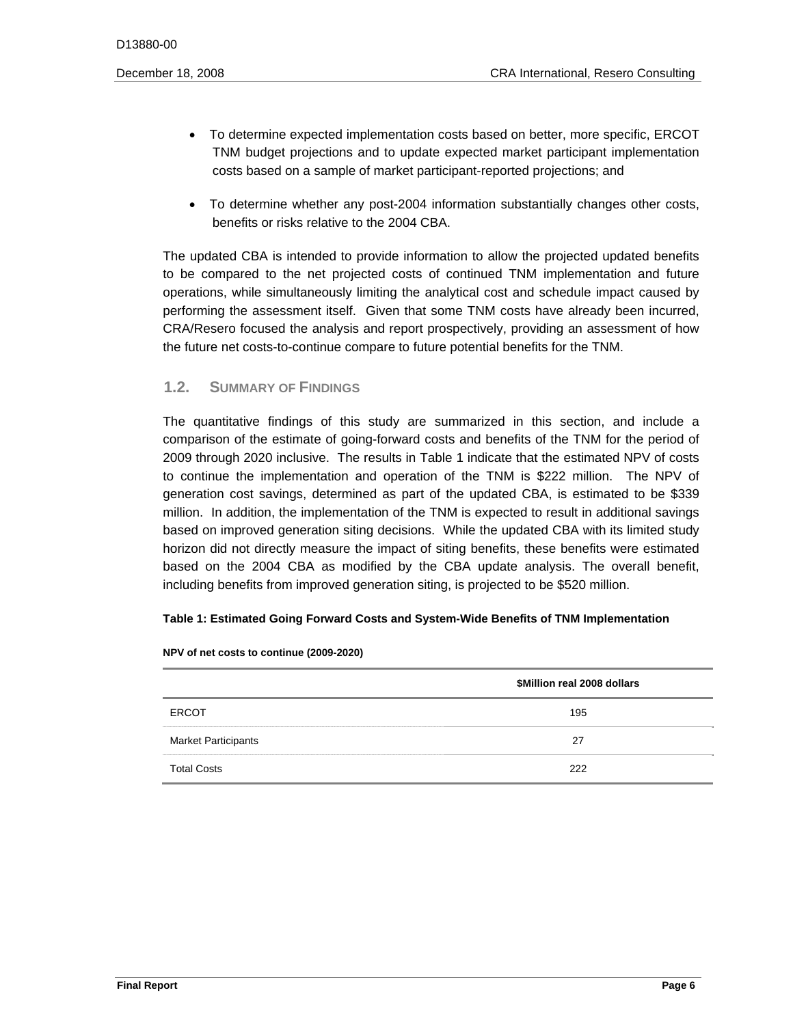- To determine expected implementation costs based on better, more specific, ERCOT TNM budget projections and to update expected market participant implementation costs based on a sample of market participant-reported projections; and
- To determine whether any post-2004 information substantially changes other costs, benefits or risks relative to the 2004 CBA.

 the future net costs-to-continue compare to future potential benefits for the TNM. The updated CBA is intended to provide information to allow the projected updated benefits to be compared to the net projected costs of continued TNM implementation and future operations, while simultaneously limiting the analytical cost and schedule impact caused by performing the assessment itself. Given that some TNM costs have already been incurred, CRA/Resero focused the analysis and report prospectively, providing an assessment of how

# **1.2. SUMMARY OF FINDINGS**

The quantitative findings of this study are summarized in this section, and include a comparison of the estimate of going-forward costs and benefits of the TNM for the period of 2009 through 2020 inclusive. The results in Table 1 indicate that the estimated NPV of costs to continue the implementation and operation of the TNM is \$222 million. The NPV of generation cost savings, determined as part of the updated CBA, is estimated to be \$339 million. In addition, the implementation of the TNM is expected to result in additional savings based on improved generation siting decisions. While the updated CBA with its limited study horizon did not directly measure the impact of siting benefits, these benefits were estimated based on the 2004 CBA as modified by the CBA update analysis. The overall benefit, including benefits from improved generation siting, is projected to be \$520 million.

#### **Table 1: Estimated Going Forward Costs and System-Wide Benefits of TNM Implementation**

|                            | \$Million real 2008 dollars |
|----------------------------|-----------------------------|
| <b>ERCOT</b>               | 195                         |
| <b>Market Participants</b> | 27                          |
| <b>Total Costs</b>         | 222                         |

**NPV of net costs to continue (2009-2020)**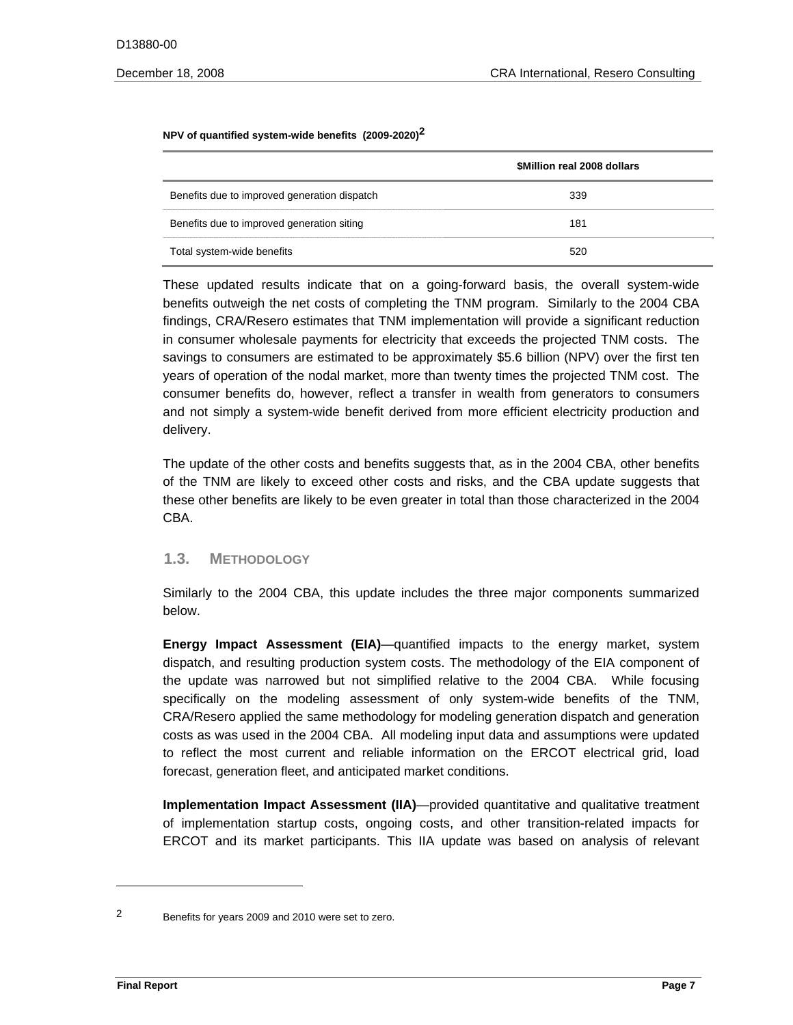#### **NPV of quantified system-wide benefits (2009-2020)2**

|                                              | \$Million real 2008 dollars |
|----------------------------------------------|-----------------------------|
| Benefits due to improved generation dispatch | 339                         |
| Benefits due to improved generation siting   | 181                         |
| Total system-wide benefits                   | 520                         |

These updated results indicate that on a going-forward basis, the overall system-wide benefits outweigh the net costs of completing the TNM program. Similarly to the 2004 CBA findings, CRA/Resero estimates that TNM implementation will provide a significant reduction in consumer wholesale payments for electricity that exceeds the projected TNM costs. The savings to consumers are estimated to be approximately \$5.6 billion (NPV) over the first ten years of operation of the nodal market, more than twenty times the projected TNM cost. The consumer benefits do, however, reflect a transfer in wealth from generators to consumers and not simply a system-wide benefit derived from more efficient electricity production and delivery.

The update of the other costs and benefits suggests that, as in the 2004 CBA, other benefits of the TNM are likely to exceed other costs and risks, and the CBA update suggests that these other benefits are likely to be even greater in total than those characterized in the 2004 CBA.

#### **1.3. METHODOLOGY**

Similarly to the 2004 CBA, this update includes the three major components summarized below.

**Energy Impact Assessment (EIA)**—quantified impacts to the energy market, system dispatch, and resulting production system costs. The methodology of the EIA component of the update was narrowed but not simplified relative to the 2004 CBA. While focusing specifically on the modeling assessment of only system-wide benefits of the TNM, CRA/Resero applied the same methodology for modeling generation dispatch and generation costs as was used in the 2004 CBA. All modeling input data and assumptions were updated to reflect the most current and reliable information on the ERCOT electrical grid, load forecast, generation fleet, and anticipated market conditions.

**Implementation Impact Assessment (IIA)**—provided quantitative and qualitative treatment of implementation startup costs, ongoing costs, and other transition-related impacts for ERCOT and its market participants. This IIA update was based on analysis of relevant

 2 Benefits for years 2009 and 2010 were set to zero.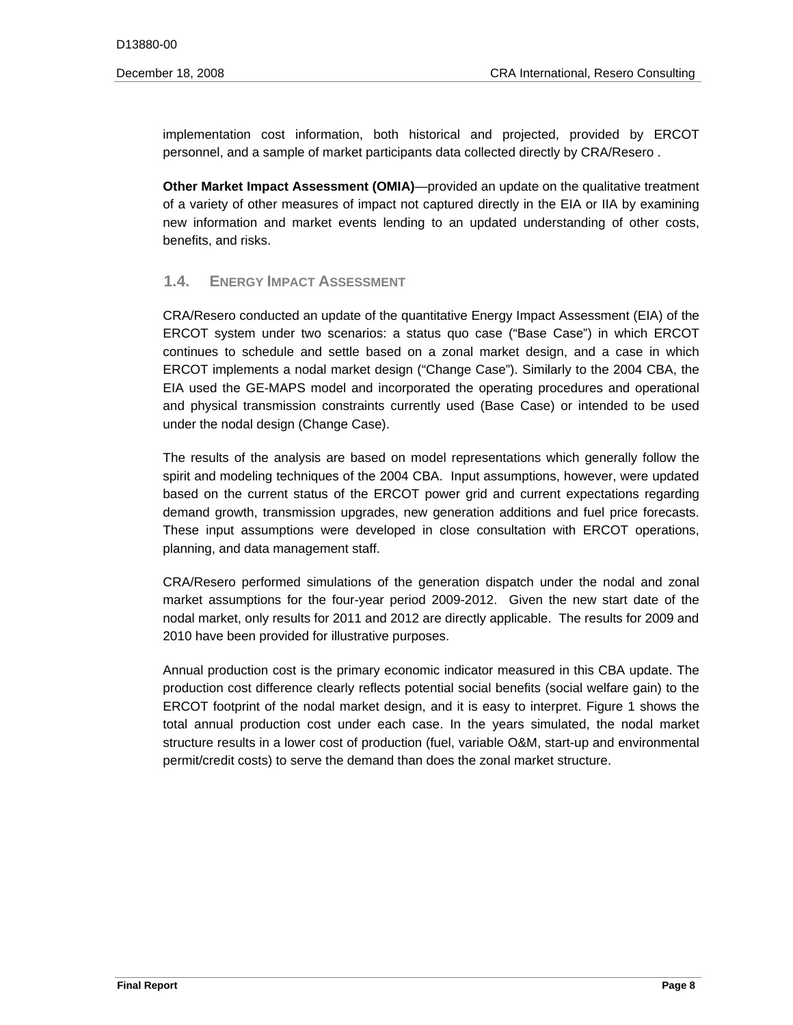implementation cost information, both historical and projected, provided by ERCOT personnel, and a sample of market participants data collected directly by CRA/Resero .

**Other Market Impact Assessment (OMIA)—provided an update on the qualitative treatment** of a variety of other measures of impact not captured directly in the EIA or IIA by examining new information and market events lending to an updated understanding of other costs, benefits, and risks.

# **1.4. ENERGY IMPACT ASSESSMENT**

CRA/Resero conducted an update of the quantitative Energy Impact Assessment (EIA) of the ERCOT system under two scenarios: a status quo case ("Base Case") in which ERCOT continues to schedule and settle based on a zonal market design, and a case in which ERCOT implements a nodal market design ("Change Case"). Similarly to the 2004 CBA, the EIA used the GE-MAPS model and incorporated the operating procedures and operational and physical transmission constraints currently used (Base Case) or intended to be used under the nodal design (Change Case).

demand growth, transmission upgrades, new generation additions and fuel price forecasts.<br>These input assumptions were developed in close consultation with ERCOT operations, The results of the analysis are based on model representations which generally follow the spirit and modeling techniques of the 2004 CBA. Input assumptions, however, were updated based on the current status of the ERCOT power grid and current expectations regarding planning, and data management staff.

CRA/Resero performed simulations of the generation dispatch under the nodal and zonal market assumptions for the four-year period 2009-2012. Given the new start date of the nodal market, only results for 2011 and 2012 are directly applicable. The results for 2009 and 2010 have been provided for illustrative purposes.

Annual production cost is the primary economic indicator measured in this CBA update. The production cost difference clearly reflects potential social benefits (social welfare gain) to the ERCOT footprint of the nodal market design, and it is easy to interpret. Figure 1 shows the total annual production cost under each case. In the years simulated, the nodal market structure results in a lower cost of production (fuel, variable O&M, start-up and environmental permit/credit costs) to serve the demand than does the zonal market structure.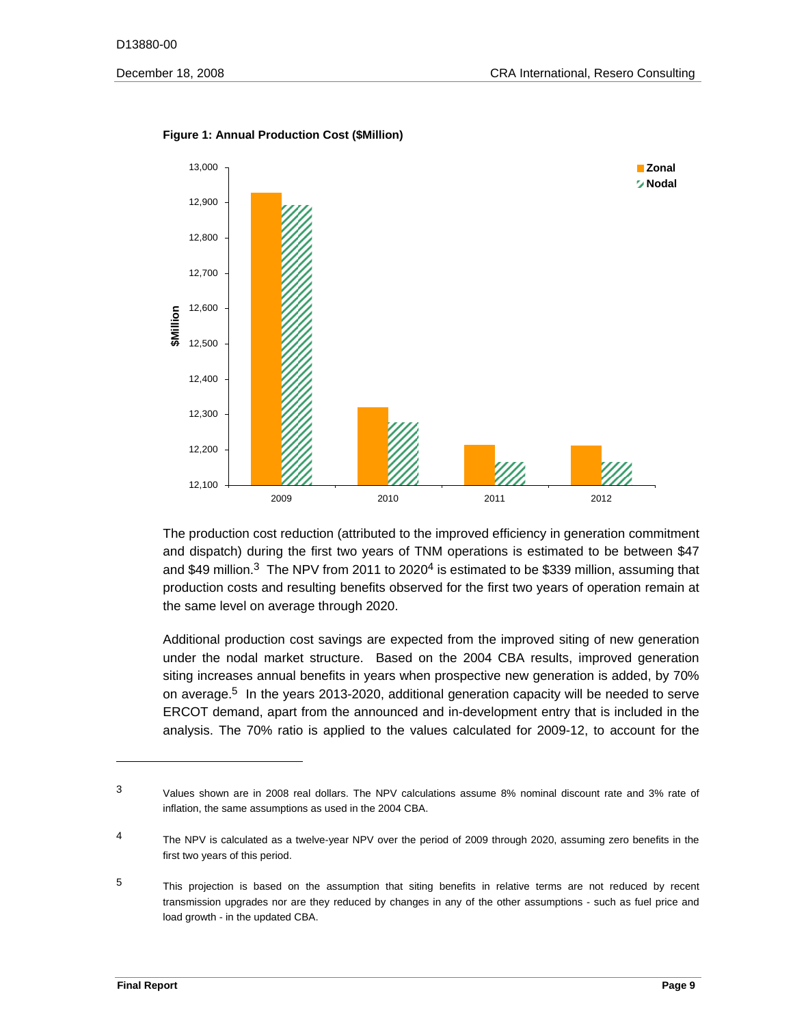

#### **Figure 1: Annual Production Cost (\$Million)**

The production cost reduction (attributed to the improved efficiency in generation commitment and dispatch) during the first two years of TNM operations is estimated to be between \$47 and \$49 million.<sup>3</sup> The NPV from 2011 to 2020<sup>4</sup> is estimated to be \$339 million, assuming that production costs and resulting benefits observed for the first two years of operation remain at the same level on average through 2020.

Additional production cost savings are expected from the improved siting of new generation under the nodal market structure. Based on the 2004 CBA results, improved generation siting increases annual benefits in years when prospective new generation is added, by 70% on average.5 In the years 2013-2020, additional generation capacity will be needed to serve ERCOT demand, apart from the announced and in-development entry that is included in the analysis. The 70% ratio is applied to the values calculated for 2009-12, to account for the

<sup>3</sup> 3 Values shown are in 2008 real dollars. The NPV calculations assume 8% nominal discount rate and 3% rate of inflation, the same assumptions as used in the 2004 CBA.

<sup>4</sup> The NPV is calculated as a twelve-year NPV over the period of 2009 through 2020, assuming zero benefits in the first two years of this period.

<sup>5</sup>  load growth - in the updated CBA. This projection is based on the assumption that siting benefits in relative terms are not reduced by recent transmission upgrades nor are they reduced by changes in any of the other assumptions - such as fuel price and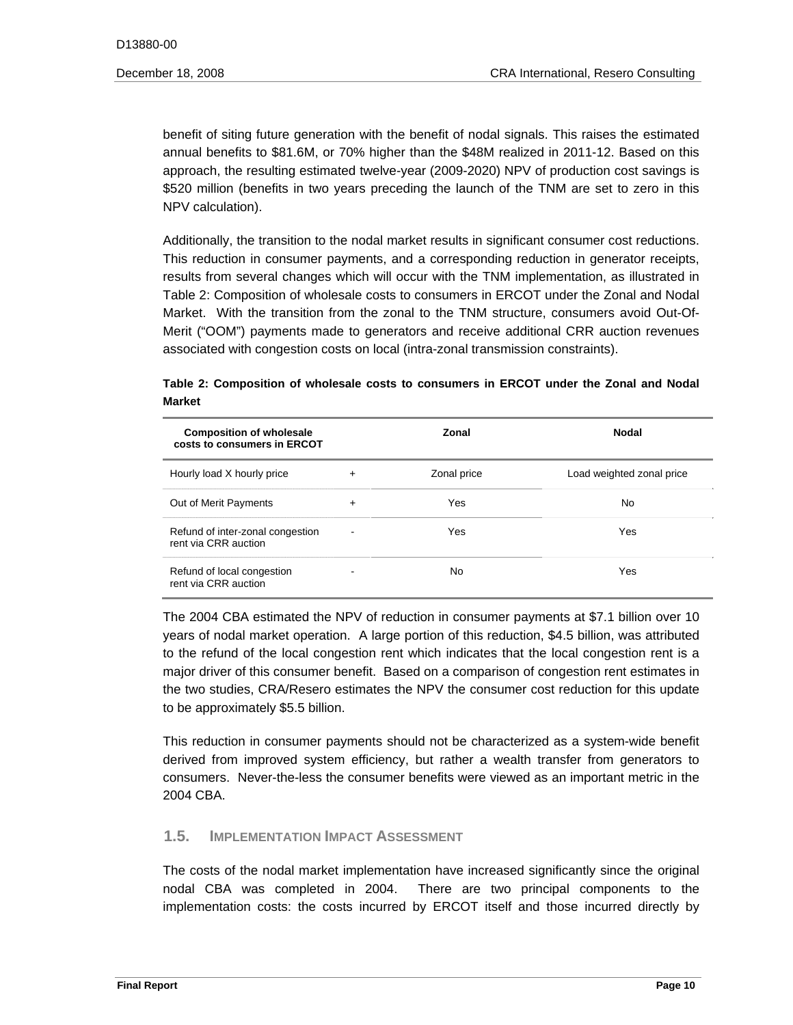benefit of siting future generation with the benefit of nodal signals. This raises the estimated annual benefits to \$81.6M, or 70% higher than the \$48M realized in 2011-12. Based on this approach, the resulting estimated twelve-year (2009-2020) NPV of production cost savings is \$520 million (benefits in two years preceding the launch of the TNM are set to zero in this NPV calculation).

 Additionally, the transition to the nodal market results in significant consumer cost reductions. This reduction in consumer payments, and a corresponding reduction in generator receipts, results from several changes which will occur with the TNM implementation, as illustrated in Table 2: Composition of wholesale costs to consumers in ERCOT under the Zonal and Nodal Market. With the transition from the zonal to the TNM structure, consumers avoid Out-Of-Merit ("OOM") payments made to generators and receive additional CRR auction revenues associated with congestion costs on local (intra-zonal transmission constraints).

# **Table 2: Composition of wholesale costs to consumers in ERCOT under the Zonal and Nodal Market**

| <b>Composition of wholesale</b><br>costs to consumers in ERCOT |           | Zonal       | <b>Nodal</b>              |
|----------------------------------------------------------------|-----------|-------------|---------------------------|
| Hourly load X hourly price                                     | $\ddot{}$ | Zonal price | Load weighted zonal price |
| Out of Merit Payments                                          | +         | Yes         | No.                       |
| Refund of inter-zonal congestion<br>rent via CRR auction       |           | Yes         | Yes                       |
| Refund of local congestion<br>rent via CRR auction             |           | No          | Yes                       |

 the two studies, CRA/Resero estimates the NPV the consumer cost reduction for this update The 2004 CBA estimated the NPV of reduction in consumer payments at \$7.1 billion over 10 years of nodal market operation. A large portion of this reduction, \$4.5 billion, was attributed to the refund of the local congestion rent which indicates that the local congestion rent is a major driver of this consumer benefit. Based on a comparison of congestion rent estimates in to be approximately \$5.5 billion.

This reduction in consumer payments should not be characterized as a system-wide benefit derived from improved system efficiency, but rather a wealth transfer from generators to consumers. Never-the-less the consumer benefits were viewed as an important metric in the 2004 CBA.

# **1.5. IMPLEMENTATION IMPACT ASSESSMENT**

The costs of the nodal market implementation have increased significantly since the original nodal CBA was completed in 2004. There are two principal components to the implementation costs: the costs incurred by ERCOT itself and those incurred directly by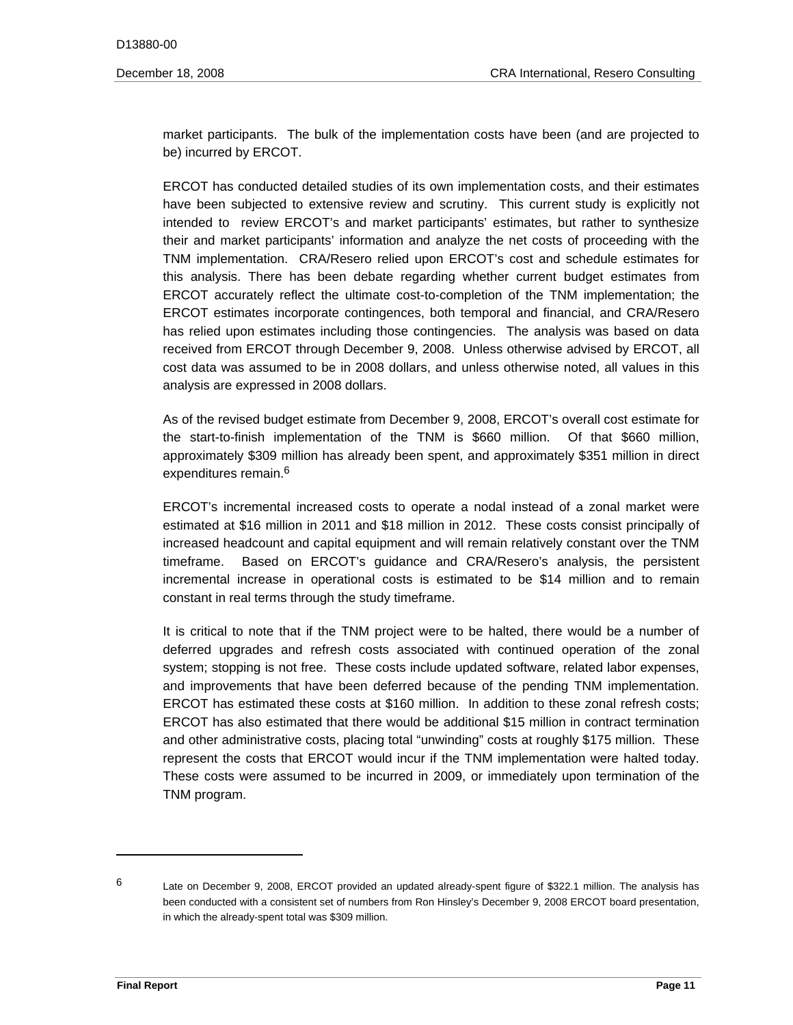market participants. The bulk of the implementation costs have been (and are projected to be) incurred by ERCOT.

ERCOT has conducted detailed studies of its own implementation costs, and their estimates have been subjected to extensive review and scrutiny. This current study is explicitly not intended to review ERCOT's and market participants' estimates, but rather to synthesize their and market participants' information and analyze the net costs of proceeding with the TNM implementation. CRA/Resero relied upon ERCOT's cost and schedule estimates for this analysis. There has been debate regarding whether current budget estimates from ERCOT accurately reflect the ultimate cost-to-completion of the TNM implementation; the ERCOT estimates incorporate contingences, both temporal and financial, and CRA/Resero has relied upon estimates including those contingencies. The analysis was based on data received from ERCOT through December 9, 2008. Unless otherwise advised by ERCOT, all cost data was assumed to be in 2008 dollars, and unless otherwise noted, all values in this analysis are expressed in 2008 dollars.

As of the revised budget estimate from December 9, 2008, ERCOT's overall cost estimate for the start-to-finish implementation of the TNM is \$660 million. Of that \$660 million, approximately \$309 million has already been spent, and approximately \$351 million in direct expenditures remain.<sup>6</sup>

ERCOT's incremental increased costs to operate a nodal instead of a zonal market were estimated at \$16 million in 2011 and \$18 million in 2012. These costs consist principally of increased headcount and capital equipment and will remain relatively constant over the TNM timeframe. Based on ERCOT's guidance and CRA/Resero's analysis, the persistent incremental increase in operational costs is estimated to be \$14 million and to remain constant in real terms through the study timeframe.

 ERCOT has estimated these costs at \$160 million. In addition to these zonal refresh costs; It is critical to note that if the TNM project were to be halted, there would be a number of deferred upgrades and refresh costs associated with continued operation of the zonal system; stopping is not free. These costs include updated software, related labor expenses, and improvements that have been deferred because of the pending TNM implementation. ERCOT has also estimated that there would be additional \$15 million in contract termination and other administrative costs, placing total "unwinding" costs at roughly \$175 million. These represent the costs that ERCOT would incur if the TNM implementation were halted today. These costs were assumed to be incurred in 2009, or immediately upon termination of the TNM program.

 6 Late on December 9, 2008, ERCOT provided an updated already-spent figure of \$322.1 million. The analysis has been conducted with a consistent set of numbers from Ron Hinsley's December 9, 2008 ERCOT board presentation, in which the already-spent total was \$309 million.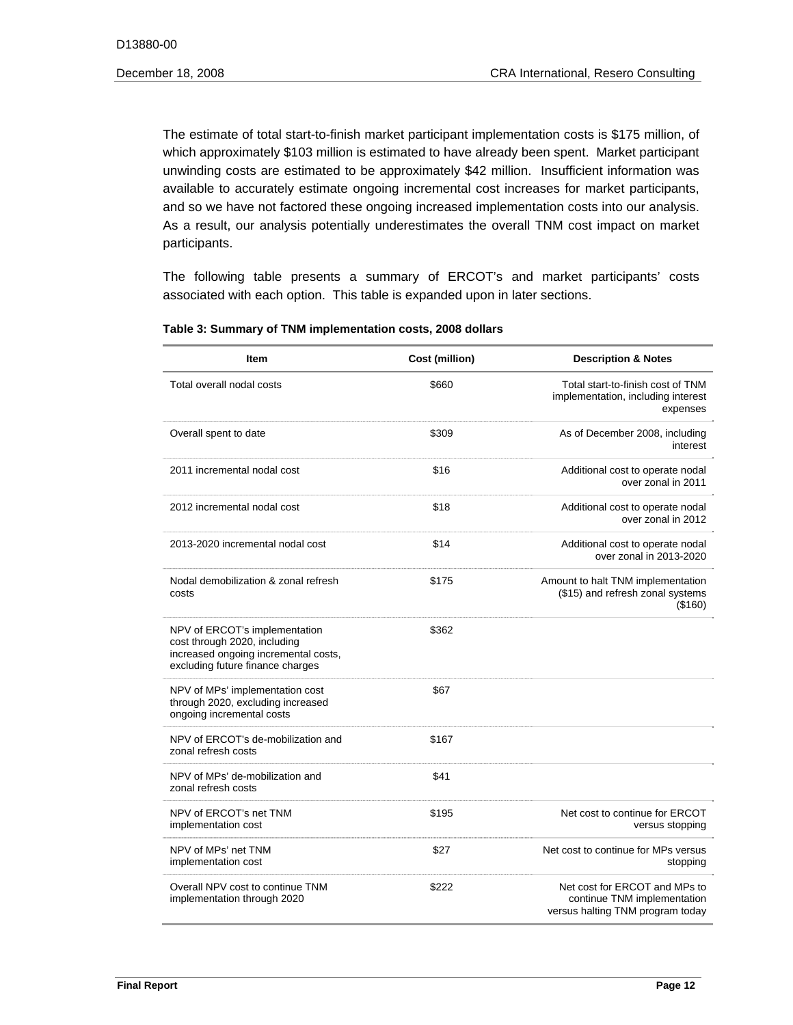and so we have not factored these ongoing increased implementation costs into our analysis. The estimate of total start-to-finish market participant implementation costs is \$175 million, of which approximately \$103 million is estimated to have already been spent. Market participant unwinding costs are estimated to be approximately \$42 million. Insufficient information was available to accurately estimate ongoing incremental cost increases for market participants, As a result, our analysis potentially underestimates the overall TNM cost impact on market participants.

The following table presents a summary of ERCOT's and market participants' costs associated with each option. This table is expanded upon in later sections.

| <b>Item</b>                                                                                                                               | Cost (million) | <b>Description &amp; Notes</b>                                                                   |
|-------------------------------------------------------------------------------------------------------------------------------------------|----------------|--------------------------------------------------------------------------------------------------|
| Total overall nodal costs                                                                                                                 | \$660          | Total start-to-finish cost of TNM<br>implementation, including interest<br>expenses              |
| Overall spent to date                                                                                                                     | \$309          | As of December 2008, including<br>interest                                                       |
| 2011 incremental nodal cost                                                                                                               | \$16           | Additional cost to operate nodal<br>over zonal in 2011                                           |
| 2012 incremental nodal cost                                                                                                               | \$18           | Additional cost to operate nodal<br>over zonal in 2012                                           |
| 2013-2020 incremental nodal cost                                                                                                          | \$14           | Additional cost to operate nodal<br>over zonal in 2013-2020                                      |
| Nodal demobilization & zonal refresh<br>costs                                                                                             | \$175          | Amount to halt TNM implementation<br>(\$15) and refresh zonal systems<br>(\$160)                 |
| NPV of ERCOT's implementation<br>cost through 2020, including<br>increased ongoing incremental costs,<br>excluding future finance charges | \$362          |                                                                                                  |
| NPV of MPs' implementation cost<br>through 2020, excluding increased<br>ongoing incremental costs                                         | \$67           |                                                                                                  |
| NPV of ERCOT's de-mobilization and<br>zonal refresh costs                                                                                 | \$167          |                                                                                                  |
| NPV of MPs' de-mobilization and<br>zonal refresh costs                                                                                    | \$41           |                                                                                                  |
| NPV of ERCOT's net TNM<br>implementation cost                                                                                             | \$195          | Net cost to continue for ERCOT<br>versus stopping                                                |
| NPV of MPs' net TNM<br>implementation cost                                                                                                | \$27           | Net cost to continue for MPs versus<br>stopping                                                  |
| Overall NPV cost to continue TNM<br>implementation through 2020                                                                           | \$222          | Net cost for ERCOT and MPs to<br>continue TNM implementation<br>versus halting TNM program today |

#### **Table 3: Summary of TNM implementation costs, 2008 dollars**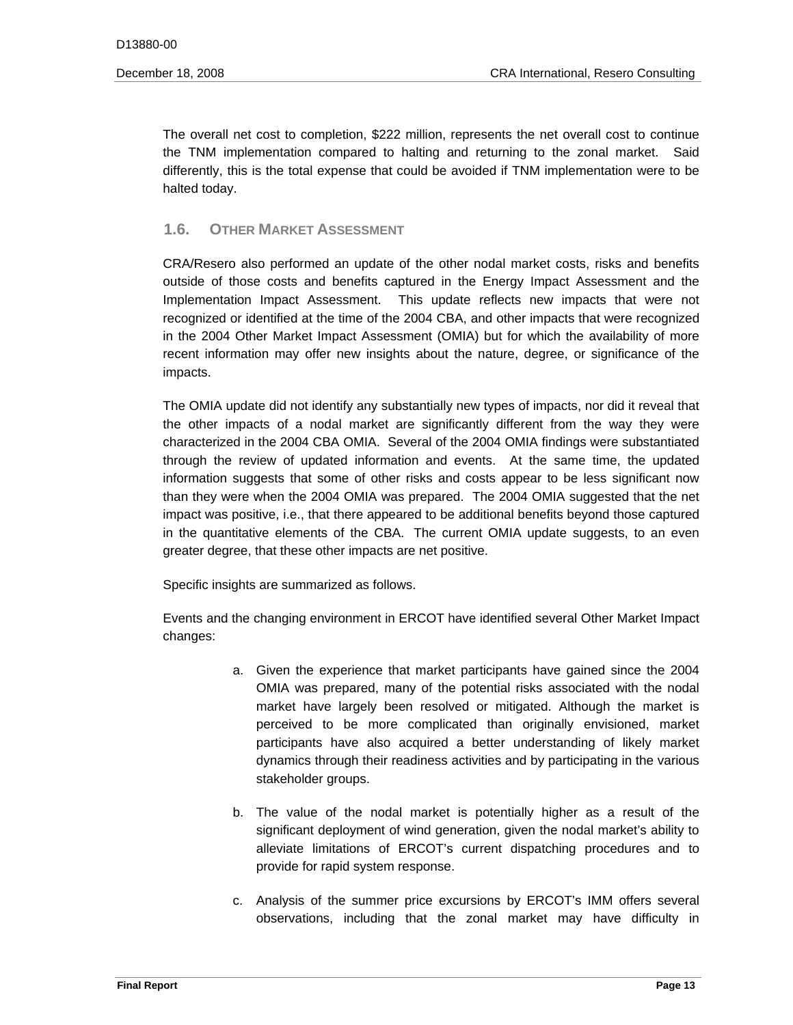The overall net cost to completion, \$222 million, represents the net overall cost to continue the TNM implementation compared to halting and returning to the zonal market. Said differently, this is the total expense that could be avoided if TNM implementation were to be halted today.

# **1.6. OTHER MARKET ASSESSMENT**

CRA/Resero also performed an update of the other nodal market costs, risks and benefits outside of those costs and benefits captured in the Energy Impact Assessment and the Implementation Impact Assessment. This update reflects new impacts that were not recognized or identified at the time of the 2004 CBA, and other impacts that were recognized in the 2004 Other Market Impact Assessment (OMIA) but for which the availability of more recent information may offer new insights about the nature, degree, or significance of the impacts.

The OMIA update did not identify any substantially new types of impacts, nor did it reveal that the other impacts of a nodal market are significantly different from the way they were characterized in the 2004 CBA OMIA. Several of the 2004 OMIA findings were substantiated through the review of updated information and events. At the same time, the updated information suggests that some of other risks and costs appear to be less significant now than they were when the 2004 OMIA was prepared. The 2004 OMIA suggested that the net impact was positive, i.e., that there appeared to be additional benefits beyond those captured in the quantitative elements of the CBA. The current OMIA update suggests, to an even greater degree, that these other impacts are net positive.

Specific insights are summarized as follows.

changes: Events and the changing environment in ERCOT have identified several Other Market Impact

- a. Given the experience that market participants have gained since the 2004 OMIA was prepared, many of the potential risks associated with the nodal market have largely been resolved or mitigated. Although the market is perceived to be more complicated than originally envisioned, market participants have also acquired a better understanding of likely market dynamics through their readiness activities and by participating in the various stakeholder groups.
- b. The value of the nodal market is potentially higher as a result of the significant deployment of wind generation, given the nodal market's ability to alleviate limitations of ERCOT's current dispatching procedures and to provide for rapid system response.
- c. Analysis of the summer price excursions by ERCOT's IMM offers several observations, including that the zonal market may have difficulty in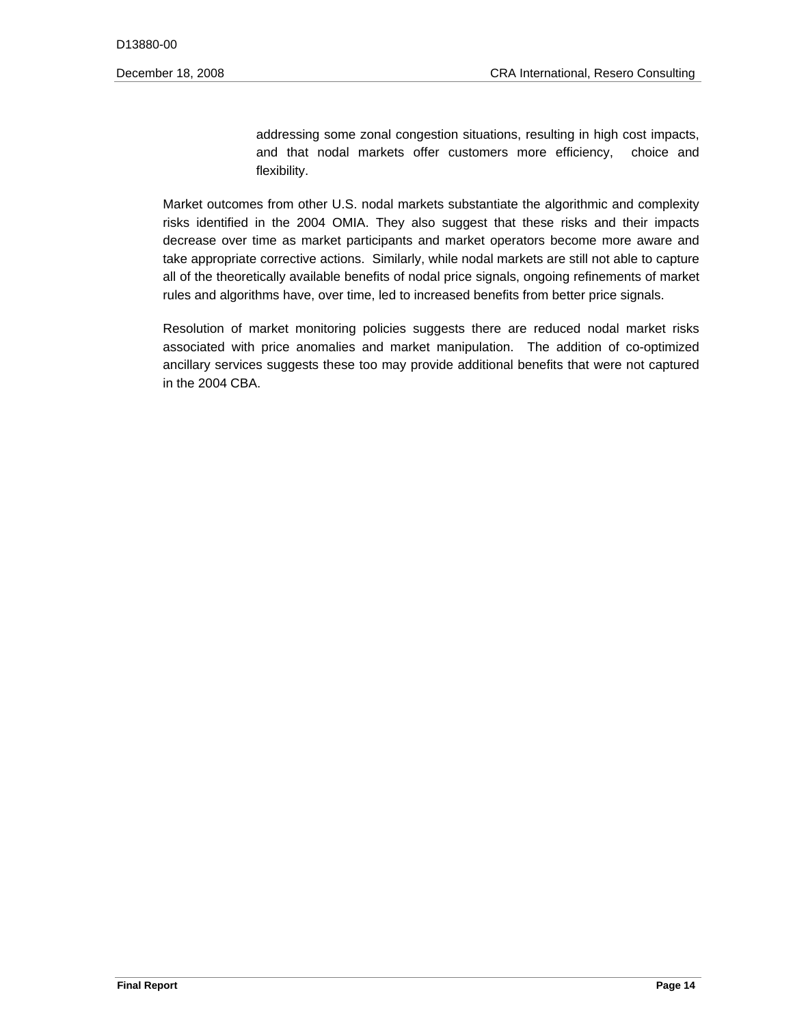addressing some zonal congestion situations, resulting in high cost impacts, and that nodal markets offer customers more efficiency, choice and flexibility.

Market outcomes from other U.S. nodal markets substantiate the algorithmic and complexity risks identified in the 2004 OMIA. They also suggest that these risks and their impacts decrease over time as market participants and market operators become more aware and take appropriate corrective actions. Similarly, while nodal markets are still not able to capture all of the theoretically available benefits of nodal price signals, ongoing refinements of market rules and algorithms have, over time, led to increased benefits from better price signals.

Resolution of market monitoring policies suggests there are reduced nodal market risks associated with price anomalies and market manipulation. The addition of co-optimized ancillary services suggests these too may provide additional benefits that were not captured in the 2004 CBA.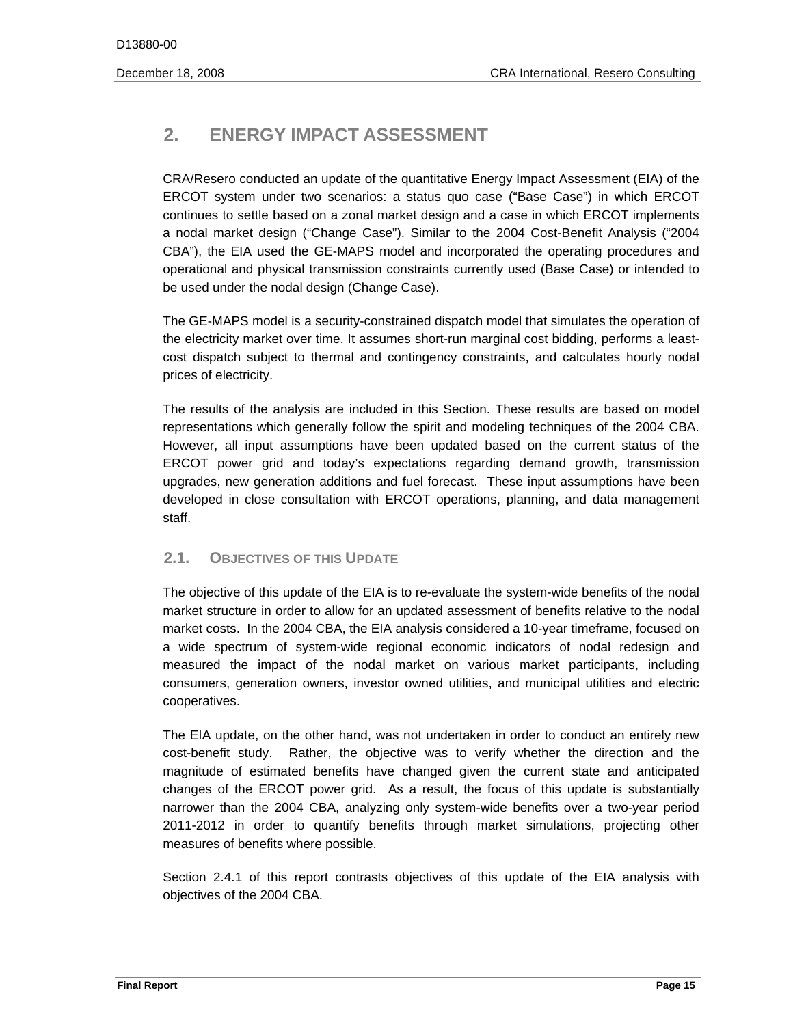# **2. ENERGY IMPACT ASSESSMENT**

CRA/Resero conducted an update of the quantitative Energy Impact Assessment (EIA) of the ERCOT system under two scenarios: a status quo case ("Base Case") in which ERCOT continues to settle based on a zonal market design and a case in which ERCOT implements a nodal market design ("Change Case"). Similar to the 2004 Cost-Benefit Analysis ("2004 CBA"), the EIA used the GE-MAPS model and incorporated the operating procedures and operational and physical transmission constraints currently used (Base Case) or intended to be used under the nodal design (Change Case).

The GE-MAPS model is a security-constrained dispatch model that simulates the operation of the electricity market over time. It assumes short-run marginal cost bidding, performs a leastcost dispatch subject to thermal and contingency constraints, and calculates hourly nodal prices of electricity.

 representations which generally follow the spirit and modeling techniques of the 2004 CBA. The results of the analysis are included in this Section. These results are based on model However, all input assumptions have been updated based on the current status of the ERCOT power grid and today's expectations regarding demand growth, transmission upgrades, new generation additions and fuel forecast. These input assumptions have been developed in close consultation with ERCOT operations, planning, and data management staff.

# **2.1. OBJECTIVES OF THIS UPDATE**

cooperatives. The objective of this update of the EIA is to re-evaluate the system-wide benefits of the nodal market structure in order to allow for an updated assessment of benefits relative to the nodal market costs. In the 2004 CBA, the EIA analysis considered a 10-year timeframe, focused on a wide spectrum of system-wide regional economic indicators of nodal redesign and measured the impact of the nodal market on various market participants, including consumers, generation owners, investor owned utilities, and municipal utilities and electric

The EIA update, on the other hand, was not undertaken in order to conduct an entirely new cost-benefit study. Rather, the objective was to verify whether the direction and the magnitude of estimated benefits have changed given the current state and anticipated changes of the ERCOT power grid. As a result, the focus of this update is substantially narrower than the 2004 CBA, analyzing only system-wide benefits over a two-year period 2011-2012 in order to quantify benefits through market simulations, projecting other measures of benefits where possible.

Section 2.4.1 of this report contrasts objectives of this update of the EIA analysis with objectives of the 2004 CBA.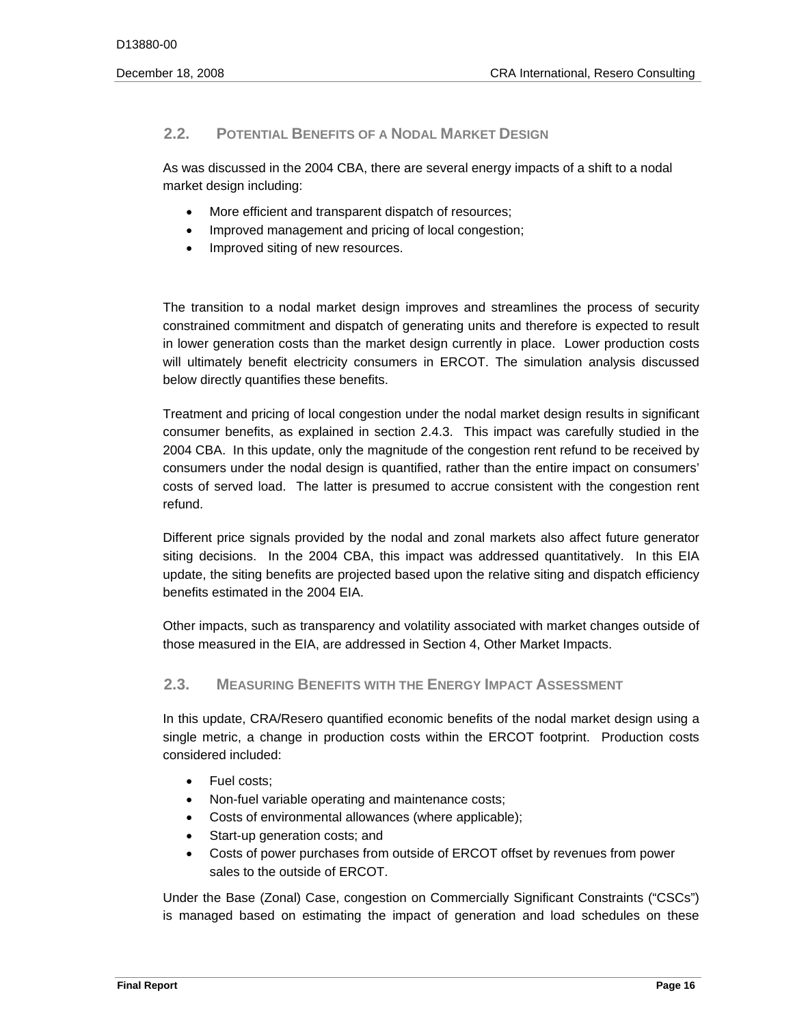# **2.2. POTENTIAL BENEFITS OF A NODAL MARKET DESIGN**

As was discussed in the 2004 CBA, there are several energy impacts of a shift to a nodal market design including:

- More efficient and transparent dispatch of resources;
- Improved management and pricing of local congestion;
- Improved siting of new resources.

The transition to a nodal market design improves and streamlines the process of security constrained commitment and dispatch of generating units and therefore is expected to result in lower generation costs than the market design currently in place. Lower production costs will ultimately benefit electricity consumers in ERCOT. The simulation analysis discussed below directly quantifies these benefits.

Treatment and pricing of local congestion under the nodal market design results in significant consumer benefits, as explained in section 2.4.3. This impact was carefully studied in the 2004 CBA. In this update, only the magnitude of the congestion rent refund to be received by consumers under the nodal design is quantified, rather than the entire impact on consumers' costs of served load. The latter is presumed to accrue consistent with the congestion rent refund.

Different price signals provided by the nodal and zonal markets also affect future generator siting decisions. In the 2004 CBA, this impact was addressed quantitatively. In this EIA update, the siting benefits are projected based upon the relative siting and dispatch efficiency benefits estimated in the 2004 EIA.

Other impacts, such as transparency and volatility associated with market changes outside of those measured in the EIA, are addressed in Section 4, Other Market Impacts.

# **2.3. MEASURING BENEFITS WITH THE ENERGY IMPACT ASSESSMENT**

In this update, CRA/Resero quantified economic benefits of the nodal market design using a single metric, a change in production costs within the ERCOT footprint. Production costs considered included:

- Fuel costs:
- Non-fuel variable operating and maintenance costs;
- Costs of environmental allowances (where applicable);
- Start-up generation costs; and
- Costs of power purchases from outside of ERCOT offset by revenues from power sales to the outside of ERCOT.

Under the Base (Zonal) Case, congestion on Commercially Significant Constraints ("CSCs") is managed based on estimating the impact of generation and load schedules on these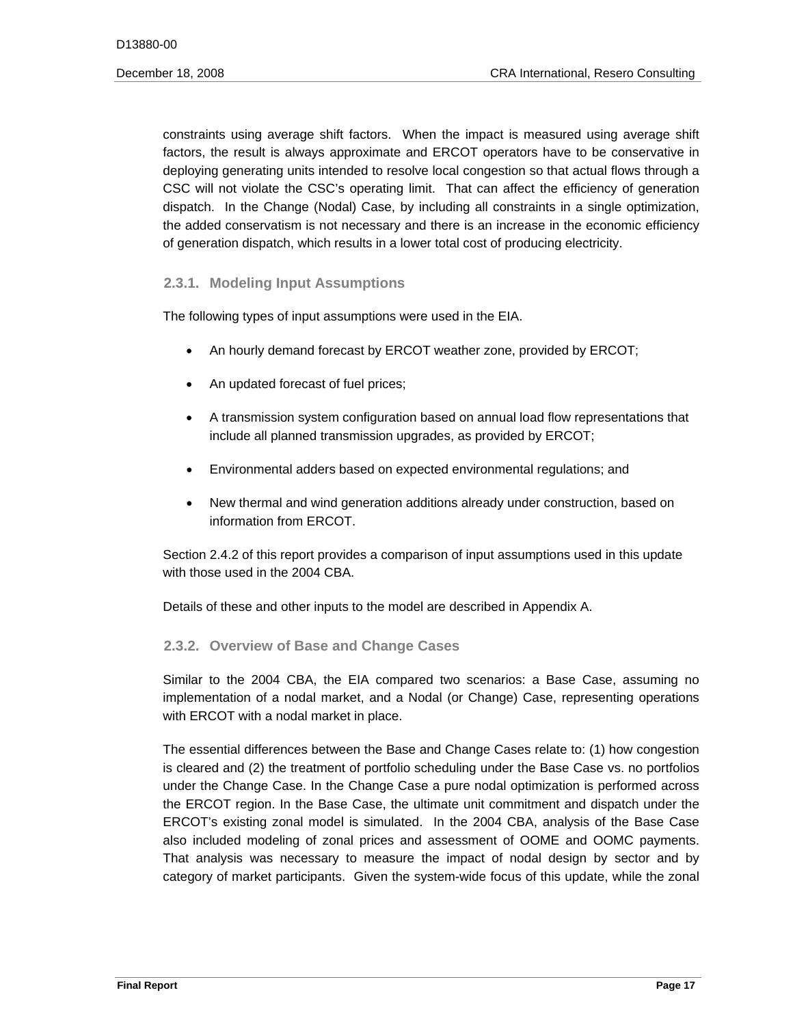constraints using average shift factors. When the impact is measured using average shift factors, the result is always approximate and ERCOT operators have to be conservative in deploying generating units intended to resolve local congestion so that actual flows through a CSC will not violate the CSC's operating limit. That can affect the efficiency of generation dispatch. In the Change (Nodal) Case, by including all constraints in a single optimization, the added conservatism is not necessary and there is an increase in the economic efficiency of generation dispatch, which results in a lower total cost of producing electricity.

# **2.3.1. Modeling Input Assumptions**

The following types of input assumptions were used in the EIA.

- An hourly demand forecast by ERCOT weather zone, provided by ERCOT;
- An updated forecast of fuel prices;
- A transmission system configuration based on annual load flow representations that include all planned transmission upgrades, as provided by ERCOT;
- Environmental adders based on expected environmental regulations; and
- New thermal and wind generation additions already under construction, based on information from ERCOT.

Section 2.4.2 of this report provides a comparison of input assumptions used in this update with those used in the 2004 CBA.

Details of these and other inputs to the model are described in Appendix A.

# **2.3.2. Overview of Base and Change Cases**

 Similar to the 2004 CBA, the EIA compared two scenarios: a Base Case, assuming no implementation of a nodal market, and a Nodal (or Change) Case, representing operations with ERCOT with a nodal market in place.

also included modeling of zonal prices and assessment of OOME and OOMC payments. The essential differences between the Base and Change Cases relate to: (1) how congestion is cleared and (2) the treatment of portfolio scheduling under the Base Case vs. no portfolios under the Change Case. In the Change Case a pure nodal optimization is performed across the ERCOT region. In the Base Case, the ultimate unit commitment and dispatch under the ERCOT's existing zonal model is simulated. In the 2004 CBA, analysis of the Base Case That analysis was necessary to measure the impact of nodal design by sector and by category of market participants. Given the system-wide focus of this update, while the zonal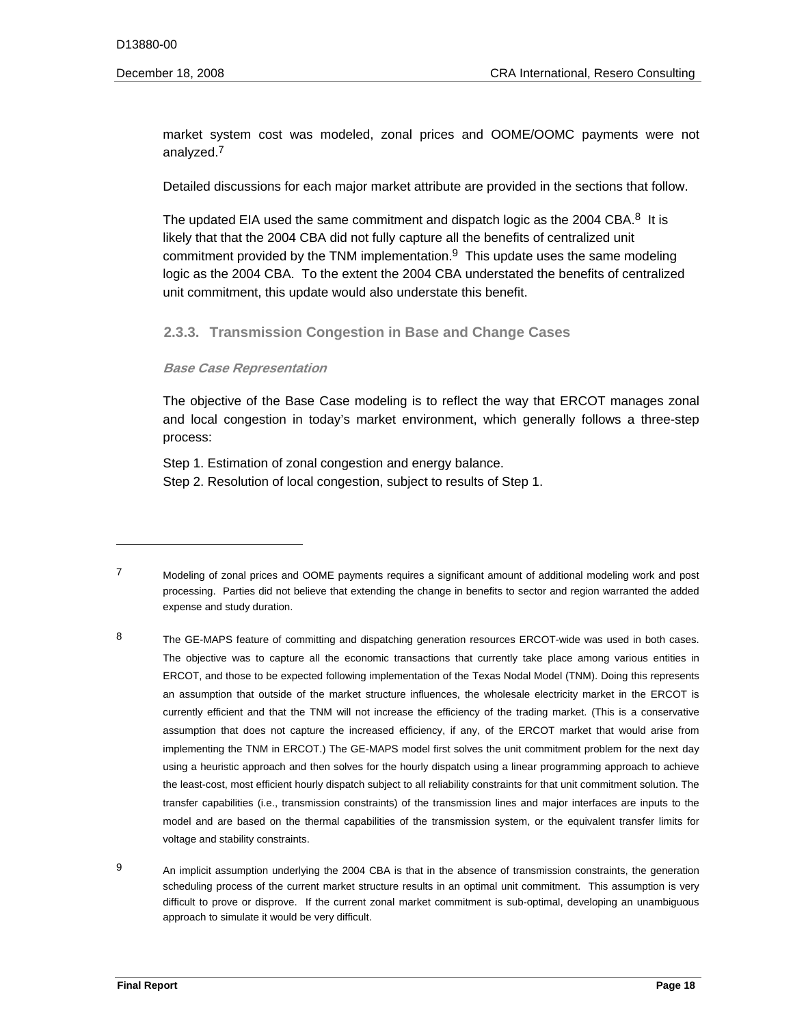market system cost was modeled, zonal prices and OOME/OOMC payments were not analyzed.7

Detailed discussions for each major market attribute are provided in the sections that follow.

commitment provided by the TNM implementation. $9$  This update uses the same modeling The updated EIA used the same commitment and dispatch logic as the 2004 CBA.<sup>8</sup> It is likely that that the 2004 CBA did not fully capture all the benefits of centralized unit logic as the 2004 CBA. To the extent the 2004 CBA understated the benefits of centralized unit commitment, this update would also understate this benefit.

# **2.3.3. Transmission Congestion in Base and Change Cases**

#### **Base Case Representation**

The objective of the Base Case modeling is to reflect the way that ERCOT manages zonal and local congestion in today's market environment, which generally follows a three-step process:

Step 1. Estimation of zonal congestion and energy balance. Step 2. Resolution of local congestion, subject to results of Step 1.

 $\boldsymbol{9}$ An implicit assumption underlying the 2004 CBA is that in the absence of transmission constraints, the generation scheduling process of the current market structure results in an optimal unit commitment. This assumption is very difficult to prove or disprove. If the current zonal market commitment is sub-optimal, developing an unambiguous approach to simulate it would be very difficult.

 $\overline{7}$ 7 Modeling of zonal prices and OOME payments requires a significant amount of additional modeling work and post processing. Parties did not believe that extending the change in benefits to sector and region warranted the added expense and study duration.

<sup>8</sup> The GE-MAPS feature of committing and dispatching generation resources ERCOT-wide was used in both cases. The objective was to capture all the economic transactions that currently take place among various entities in ERCOT, and those to be expected following implementation of the Texas Nodal Model (TNM). Doing this represents an assumption that outside of the market structure influences, the wholesale electricity market in the ERCOT is currently efficient and that the TNM will not increase the efficiency of the trading market. (This is a conservative assumption that does not capture the increased efficiency, if any, of the ERCOT market that would arise from implementing the TNM in ERCOT.) The GE-MAPS model first solves the unit commitment problem for the next day using a heuristic approach and then solves for the hourly dispatch using a linear programming approach to achieve the least-cost, most efficient hourly dispatch subject to all reliability constraints for that unit commitment solution. The transfer capabilities (i.e., transmission constraints) of the transmission lines and major interfaces are inputs to the model and are based on the thermal capabilities of the transmission system, or the equivalent transfer limits for voltage and stability constraints.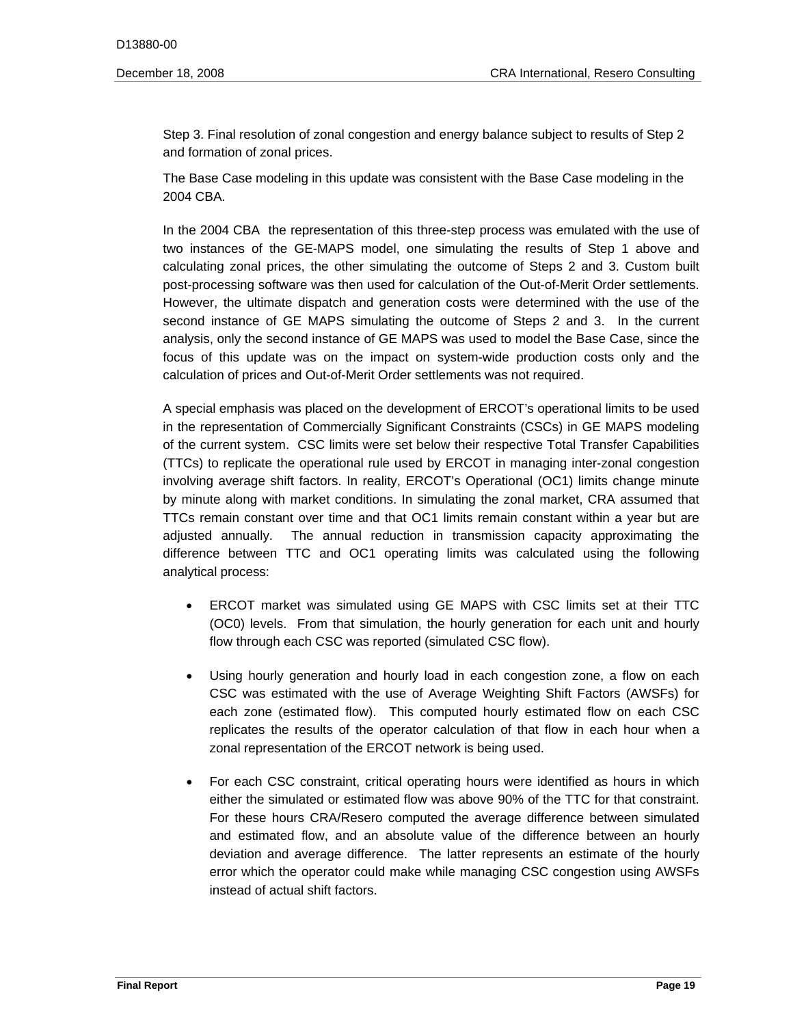Step 3. Final resolution of zonal congestion and energy balance subject to results of Step 2 and formation of zonal prices.

The Base Case modeling in this update was consistent with the Base Case modeling in the 2004 CBA.

In the 2004 CBA the representation of this three-step process was emulated with the use of two instances of the GE-MAPS model, one simulating the results of Step 1 above and calculating zonal prices, the other simulating the outcome of Steps 2 and 3. Custom built post-processing software was then used for calculation of the Out-of-Merit Order settlements. However, the ultimate dispatch and generation costs were determined with the use of the second instance of GE MAPS simulating the outcome of Steps 2 and 3. In the current analysis, only the second instance of GE MAPS was used to model the Base Case, since the focus of this update was on the impact on system-wide production costs only and the calculation of prices and Out-of-Merit Order settlements was not required.

A special emphasis was placed on the development of ERCOT's operational limits to be used in the representation of Commercially Significant Constraints (CSCs) in GE MAPS modeling of the current system. CSC limits were set below their respective Total Transfer Capabilities (TTCs) to replicate the operational rule used by ERCOT in managing inter-zonal congestion involving average shift factors. In reality, ERCOT's Operational (OC1) limits change minute by minute along with market conditions. In simulating the zonal market, CRA assumed that TTCs remain constant over time and that OC1 limits remain constant within a year but are adjusted annually. The annual reduction in transmission capacity approximating the difference between TTC and OC1 operating limits was calculated using the following analytical process:

- ERCOT market was simulated using GE MAPS with CSC limits set at their TTC (OC0) levels. From that simulation, the hourly generation for each unit and hourly flow through each CSC was reported (simulated CSC flow).
- Using hourly generation and hourly load in each congestion zone, a flow on each CSC was estimated with the use of Average Weighting Shift Factors (AWSFs) for each zone (estimated flow). This computed hourly estimated flow on each CSC replicates the results of the operator calculation of that flow in each hour when a zonal representation of the ERCOT network is being used.
- For each CSC constraint, critical operating hours were identified as hours in which either the simulated or estimated flow was above 90% of the TTC for that constraint. For these hours CRA/Resero computed the average difference between simulated and estimated flow, and an absolute value of the difference between an hourly deviation and average difference. The latter represents an estimate of the hourly error which the operator could make while managing CSC congestion using AWSFs instead of actual shift factors.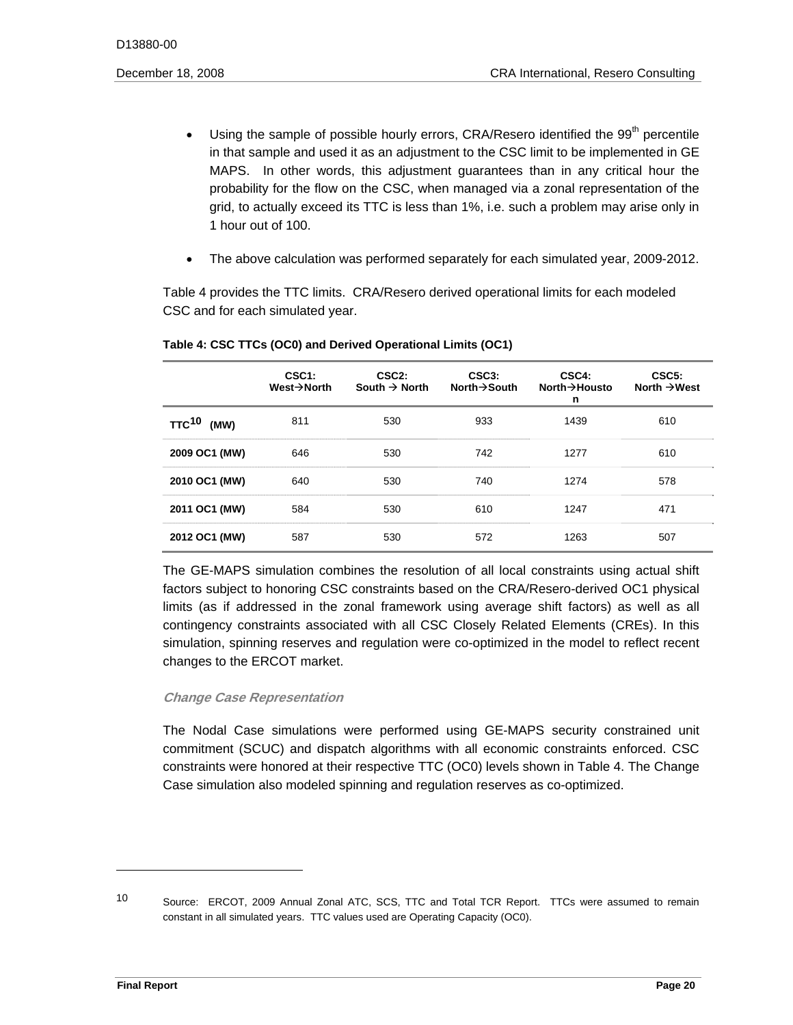- Using the sample of possible hourly errors, CRA/Resero identified the  $99<sup>th</sup>$  percentile in that sample and used it as an adjustment to the CSC limit to be implemented in GE MAPS. In other words, this adjustment guarantees than in any critical hour the probability for the flow on the CSC, when managed via a zonal representation of the grid, to actually exceed its TTC is less than 1%, i.e. such a problem may arise only in 1 hour out of 100.
- The above calculation was performed separately for each simulated year, 2009-2012.

Table 4 provides the TTC limits. CRA/Resero derived operational limits for each modeled CSC and for each simulated year.

|                                 | CSC <sub>1</sub> :<br>$West \rightarrow$ North | CSC <sub>2:</sub><br>South $\rightarrow$ North | CSC3:<br>North $\rightarrow$ South | CSC4:<br>North $\rightarrow$ Housto<br>n | CSC <sub>5</sub> :<br>North $\rightarrow$ West |
|---------------------------------|------------------------------------------------|------------------------------------------------|------------------------------------|------------------------------------------|------------------------------------------------|
| <b>TTC<sup>10</sup></b><br>(MW) | 811                                            | 530                                            | 933                                | 1439                                     | 610                                            |
| 2009 OC1 (MW)                   | 646                                            | 530                                            | 742                                | 1277                                     | 610                                            |
| 2010 OC1 (MW)                   | 640                                            | 530                                            | 740                                | 1274                                     | 578                                            |
| 2011 OC1 (MW)                   | 584                                            | 530                                            | 610                                | 1247                                     | 471                                            |
| 2012 OC1 (MW)                   | 587                                            | 530                                            | 572                                | 1263                                     | 507                                            |

#### **Table 4: CSC TTCs (OC0) and Derived Operational Limits (OC1)**

 limits (as if addressed in the zonal framework using average shift factors) as well as all The GE-MAPS simulation combines the resolution of all local constraints using actual shift factors subject to honoring CSC constraints based on the CRA/Resero-derived OC1 physical contingency constraints associated with all CSC Closely Related Elements (CREs). In this simulation, spinning reserves and regulation were co-optimized in the model to reflect recent changes to the ERCOT market.

# **Change Case Representation**

The Nodal Case simulations were performed using GE-MAPS security constrained unit commitment (SCUC) and dispatch algorithms with all economic constraints enforced. CSC constraints were honored at their respective TTC (OC0) levels shown in Table 4. The Change Case simulation also modeled spinning and regulation reserves as co-optimized.

 $10<sup>1</sup>$ Source: ERCOT, 2009 Annual Zonal ATC, SCS, TTC and Total TCR Report. TTCs were assumed to remain constant in all simulated years. TTC values used are Operating Capacity (OC0).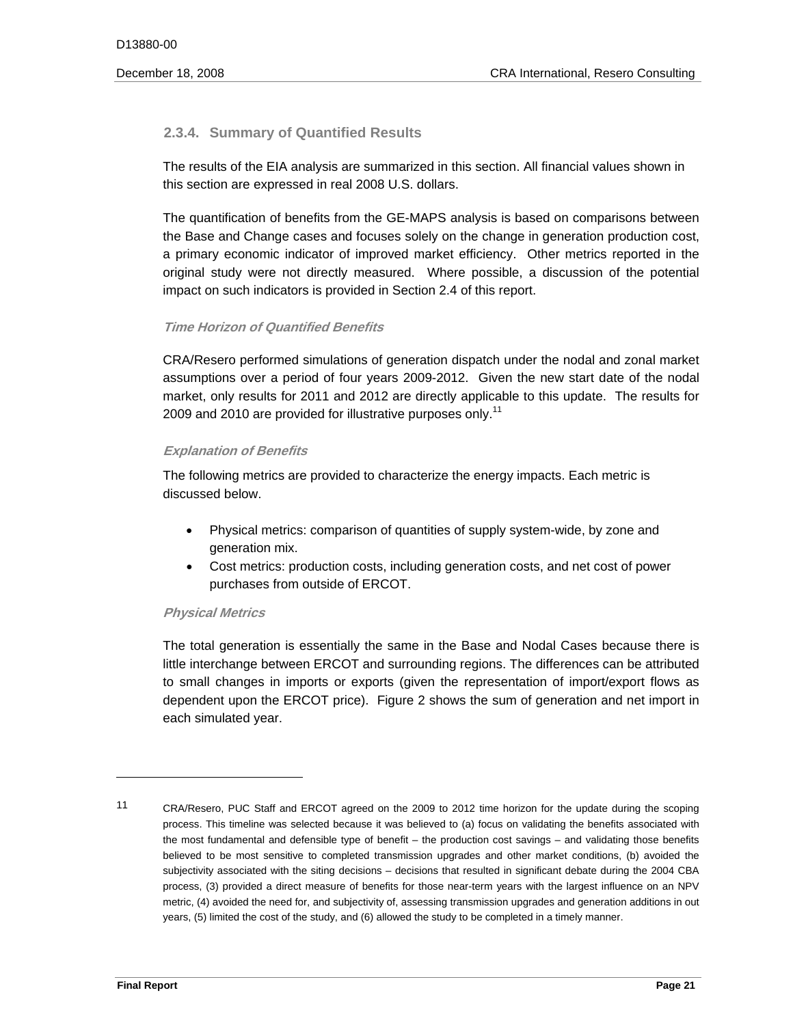# **2.3.4. Summary of Quantified Results**

The results of the EIA analysis are summarized in this section. All financial values shown in this section are expressed in real 2008 U.S. dollars.

The quantification of benefits from the GE-MAPS analysis is based on comparisons between the Base and Change cases and focuses solely on the change in generation production cost, a primary economic indicator of improved market efficiency. Other metrics reported in the original study were not directly measured. Where possible, a discussion of the potential impact on such indicators is provided in Section 2.4 of this report.

# **Time Horizon of Quantified Benefits**

2009 and 2010 are provided for illustrative purposes only.<sup>11</sup> CRA/Resero performed simulations of generation dispatch under the nodal and zonal market assumptions over a period of four years 2009-2012. Given the new start date of the nodal market, only results for 2011 and 2012 are directly applicable to this update. The results for

# **Explanation of Benefits**

The following metrics are provided to characterize the energy impacts. Each metric is discussed below.

- Physical metrics: comparison of quantities of supply system-wide, by zone and generation mix.
- Cost metrics: production costs, including generation costs, and net cost of power purchases from outside of ERCOT.

# **Physical Metrics**

The total generation is essentially the same in the Base and Nodal Cases because there is little interchange between ERCOT and surrounding regions. The differences can be attributed to small changes in imports or exports (given the representation of import/export flows as dependent upon the ERCOT price). Figure 2 shows the sum of generation and net import in each simulated year.

 11 CRA/Resero, PUC Staff and ERCOT agreed on the 2009 to 2012 time horizon for the update during the scoping process. This timeline was selected because it was believed to (a) focus on validating the benefits associated with the most fundamental and defensible type of benefit – the production cost savings – and validating those benefits believed to be most sensitive to completed transmission upgrades and other market conditions, (b) avoided the subjectivity associated with the siting decisions – decisions that resulted in significant debate during the 2004 CBA process, (3) provided a direct measure of benefits for those near-term years with the largest influence on an NPV metric, (4) avoided the need for, and subjectivity of, assessing transmission upgrades and generation additions in out years, (5) limited the cost of the study, and (6) allowed the study to be completed in a timely manner.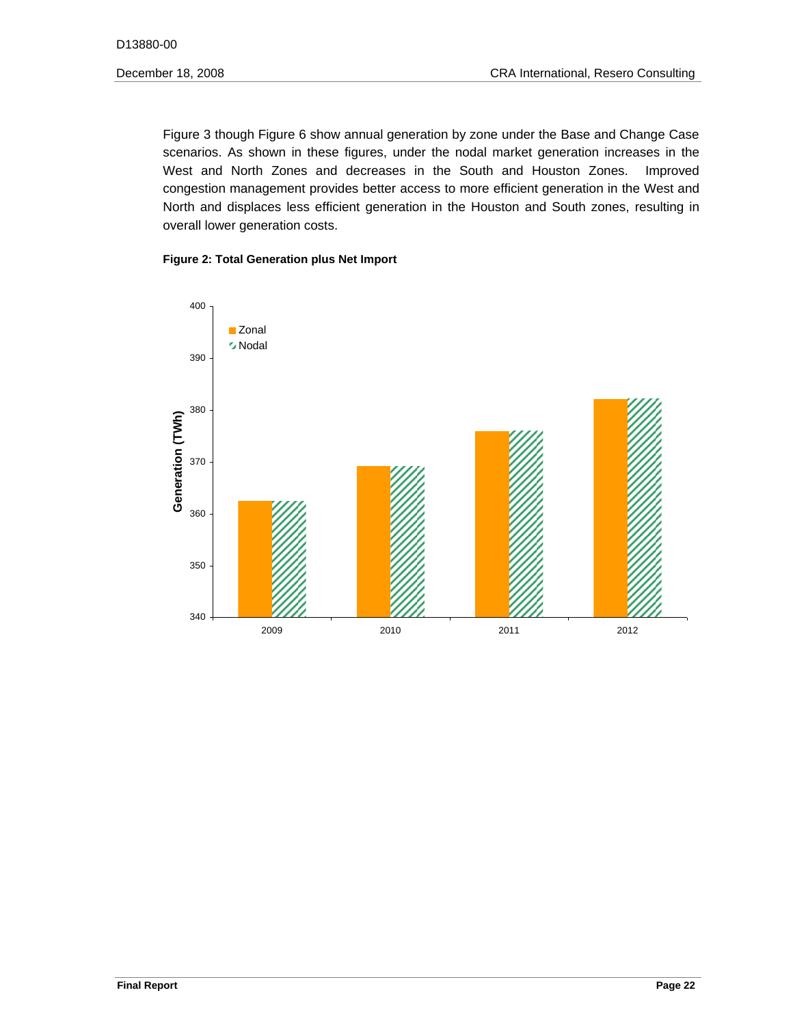Figure 3 though Figure 6 show annual generation by zone under the Base and Change Case scenarios. As shown in these figures, under the nodal market generation increases in the West and North Zones and decreases in the South and Houston Zones. Improved congestion management provides better access to more efficient generation in the West and North and displaces less efficient generation in the Houston and South zones, resulting in overall lower generation costs.

#### **Figure 2: Total Generation plus Net Import**

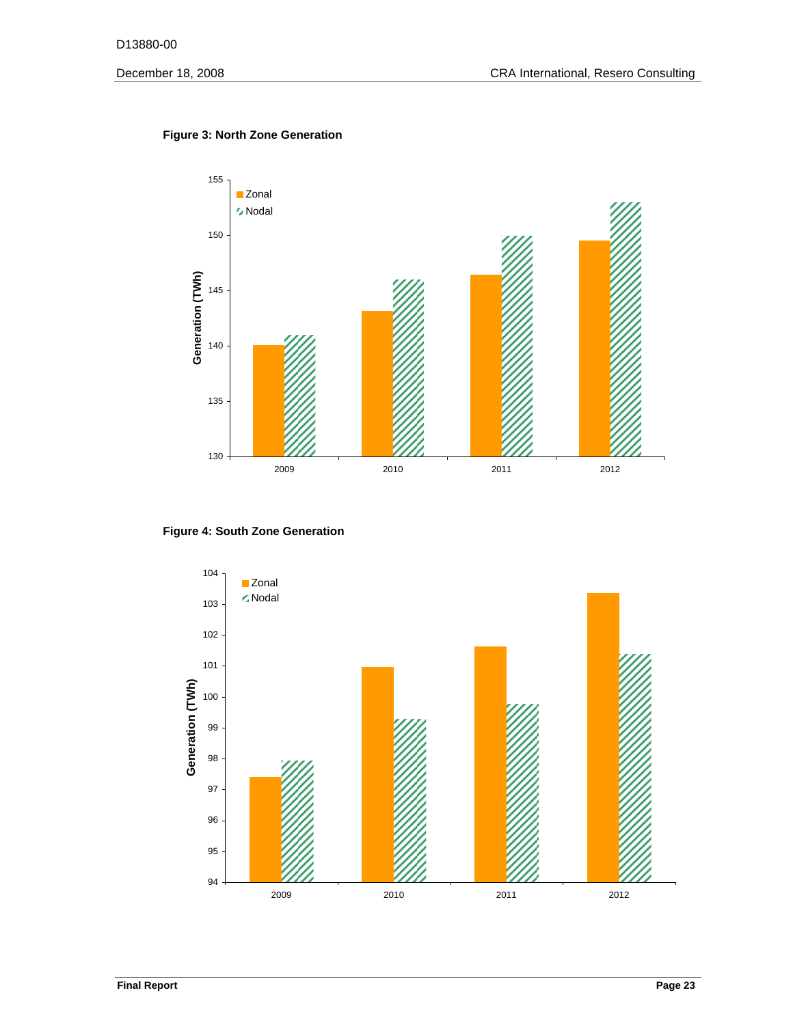

# **Figure 3: North Zone Generation**



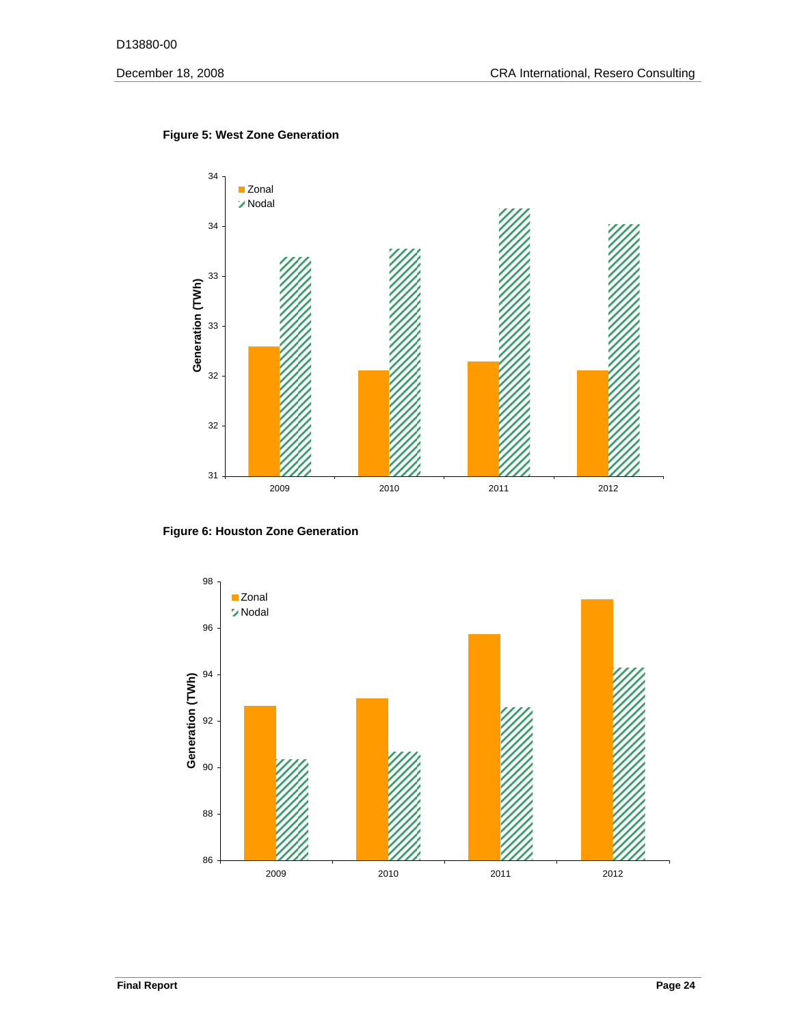

#### **Figure 5: West Zone Generation**

**Figure 6: Houston Zone Generation** 

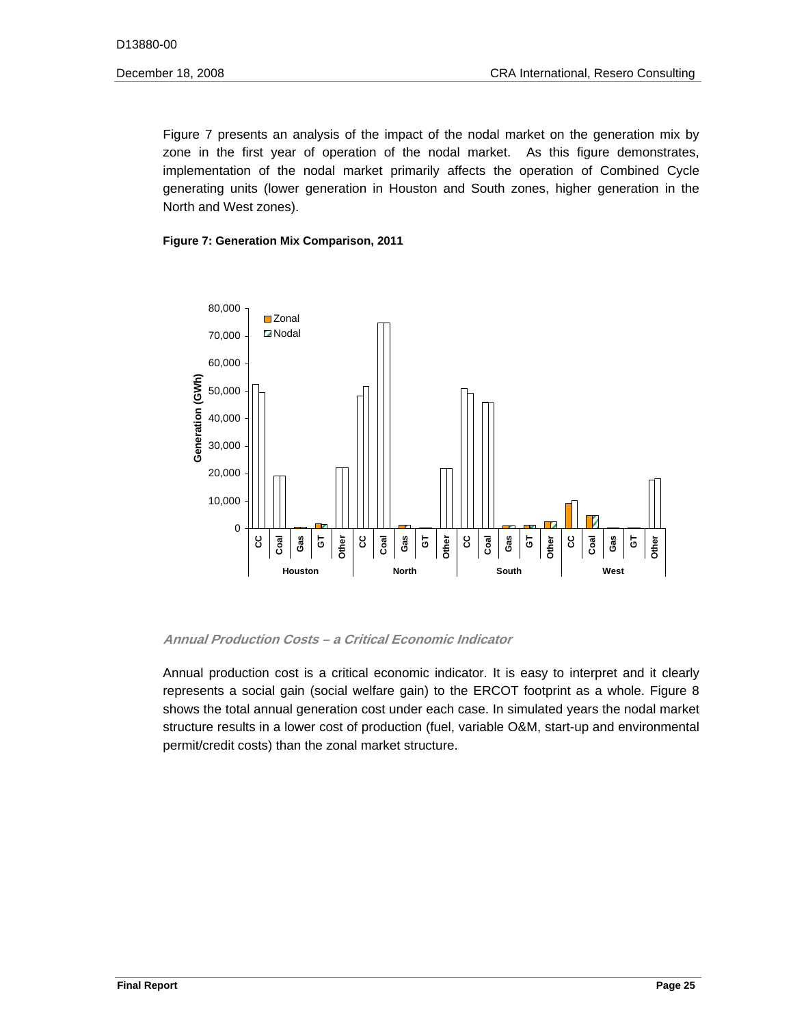generating units (lower generation in Houston and South zones, higher generation in the Figure 7 presents an analysis of the impact of the nodal market on the generation mix by zone in the first year of operation of the nodal market. As this figure demonstrates, implementation of the nodal market primarily affects the operation of Combined Cycle North and West zones).

#### **Figure 7: Generation Mix Comparison, 2011**



#### **Annual Production Costs – a Critical Economic Indicator**

Annual production cost is a critical economic indicator. It is easy to interpret and it clearly represents a social gain (social welfare gain) to the ERCOT footprint as a whole. Figure 8 shows the total annual generation cost under each case. In simulated years the nodal market structure results in a lower cost of production (fuel, variable O&M, start-up and environmental permit/credit costs) than the zonal market structure.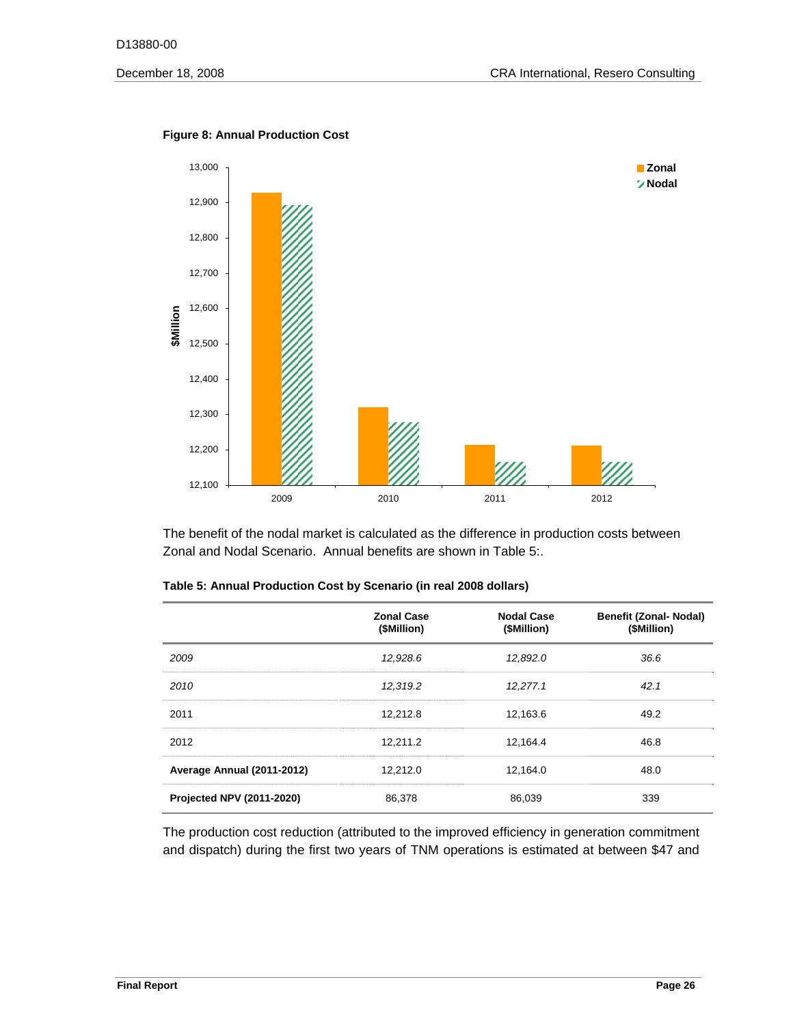

#### **Figure 8: Annual Production Cost**

The benefit of the nodal market is calculated as the difference in production costs between Zonal and Nodal Scenario. Annual benefits are shown in Table 5:.

|                            | <b>Zonal Case</b><br>(\$Million) | <b>Nodal Case</b><br>(\$Million) | <b>Benefit (Zonal- Nodal)</b><br>(\$Million) |
|----------------------------|----------------------------------|----------------------------------|----------------------------------------------|
| 2009                       | 12,928.6                         | 12,892.0                         | 36.6                                         |
| 2010                       | 12,319.2                         | 12,277.1                         | 42.1                                         |
| 2011                       | 12,212.8                         | 12,163.6                         | 49.2                                         |
| 2012                       | 12,211.2                         | 12,164.4                         | 46.8                                         |
| Average Annual (2011-2012) | 12,212.0                         | 12.164.0                         | 48.0                                         |
| Projected NPV (2011-2020)  | 86,378                           | 86.039                           | 339                                          |

| Table 5: Annual Production Cost by Scenario (in real 2008 dollars) |  |  |
|--------------------------------------------------------------------|--|--|
|--------------------------------------------------------------------|--|--|

The production cost reduction (attributed to the improved efficiency in generation commitment and dispatch) during the first two years of TNM operations is estimated at between \$47 and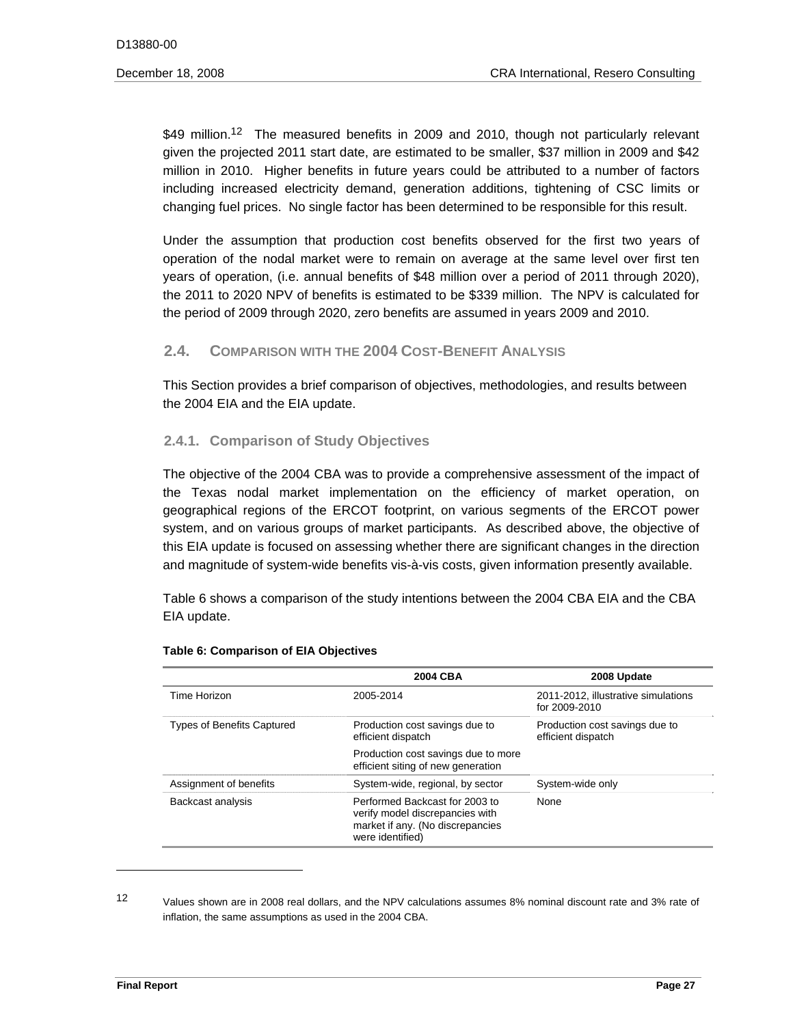\$49 million.<sup>12</sup> The measured benefits in 2009 and 2010, though not particularly relevant given the projected 2011 start date, are estimated to be smaller, \$37 million in 2009 and \$42 million in 2010. Higher benefits in future years could be attributed to a number of factors including increased electricity demand, generation additions, tightening of CSC limits or changing fuel prices. No single factor has been determined to be responsible for this result.

Under the assumption that production cost benefits observed for the first two years of operation of the nodal market were to remain on average at the same level over first ten years of operation, (i.e. annual benefits of \$48 million over a period of 2011 through 2020), the 2011 to 2020 NPV of benefits is estimated to be \$339 million. The NPV is calculated for the period of 2009 through 2020, zero benefits are assumed in years 2009 and 2010.

# **2.4. COMPARISON WITH THE 2004 COST-BENEFIT ANALYSIS**

This Section provides a brief comparison of objectives, methodologies, and results between the 2004 EIA and the EIA update.

# **2.4.1. Comparison of Study Objectives**

The objective of the 2004 CBA was to provide a comprehensive assessment of the impact of the Texas nodal market implementation on the efficiency of market operation, on geographical regions of the ERCOT footprint, on various segments of the ERCOT power system, and on various groups of market participants. As described above, the objective of this EIA update is focused on assessing whether there are significant changes in the direction and magnitude of system-wide benefits vis-à-vis costs, given information presently available.

Table 6 shows a comparison of the study intentions between the 2004 CBA EIA and the CBA EIA update.

|                                   | 2004 CBA                                                                                                                  | 2008 Update                                          |
|-----------------------------------|---------------------------------------------------------------------------------------------------------------------------|------------------------------------------------------|
| Time Horizon                      | 2005-2014                                                                                                                 | 2011-2012, illustrative simulations<br>for 2009-2010 |
| <b>Types of Benefits Captured</b> | Production cost savings due to<br>efficient dispatch                                                                      | Production cost savings due to<br>efficient dispatch |
|                                   | Production cost savings due to more<br>efficient siting of new generation                                                 |                                                      |
| Assignment of benefits            | System-wide, regional, by sector                                                                                          | System-wide only                                     |
| Backcast analysis                 | Performed Backcast for 2003 to<br>verify model discrepancies with<br>market if any. (No discrepancies<br>were identified) | None                                                 |

#### **Table 6: Comparison of EIA Objectives**

 12 Values shown are in 2008 real dollars, and the NPV calculations assumes 8% nominal discount rate and 3% rate of inflation, the same assumptions as used in the 2004 CBA.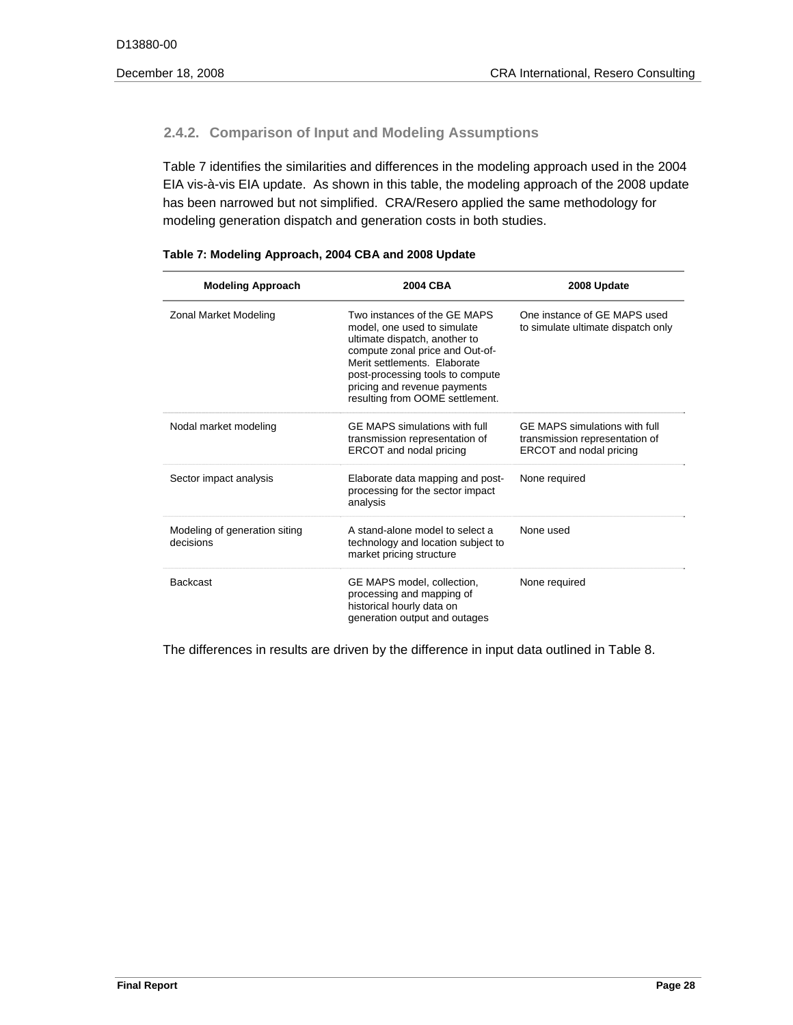# **2.4.2. Comparison of Input and Modeling Assumptions**

Table 7 identifies the similarities and differences in the modeling approach used in the 2004 EIA vis-à-vis EIA update. As shown in this table, the modeling approach of the 2008 update has been narrowed but not simplified. CRA/Resero applied the same methodology for modeling generation dispatch and generation costs in both studies.

| <b>Modeling Approach</b>                   | 2004 CBA                                                                                                                                                                                                                                                               | 2008 Update                                                                                |
|--------------------------------------------|------------------------------------------------------------------------------------------------------------------------------------------------------------------------------------------------------------------------------------------------------------------------|--------------------------------------------------------------------------------------------|
| Zonal Market Modeling                      | Two instances of the GF MAPS<br>model, one used to simulate<br>ultimate dispatch, another to<br>compute zonal price and Out-of-<br>Merit settlements. Elaborate<br>post-processing tools to compute<br>pricing and revenue payments<br>resulting from OOME settlement. | One instance of GE MAPS used<br>to simulate ultimate dispatch only                         |
| Nodal market modeling                      | GF MAPS simulations with full<br>transmission representation of<br>ERCOT and nodal pricing                                                                                                                                                                             | GF MAPS simulations with full<br>transmission representation of<br>ERCOT and nodal pricing |
| Sector impact analysis                     | Elaborate data mapping and post-<br>processing for the sector impact<br>analysis                                                                                                                                                                                       | None required                                                                              |
| Modeling of generation siting<br>decisions | A stand-alone model to select a<br>technology and location subject to<br>market pricing structure                                                                                                                                                                      | None used                                                                                  |
| <b>Backcast</b>                            | GE MAPS model, collection.<br>processing and mapping of<br>historical hourly data on<br>generation output and outages                                                                                                                                                  | None required                                                                              |

The differences in results are driven by the difference in input data outlined in Table 8.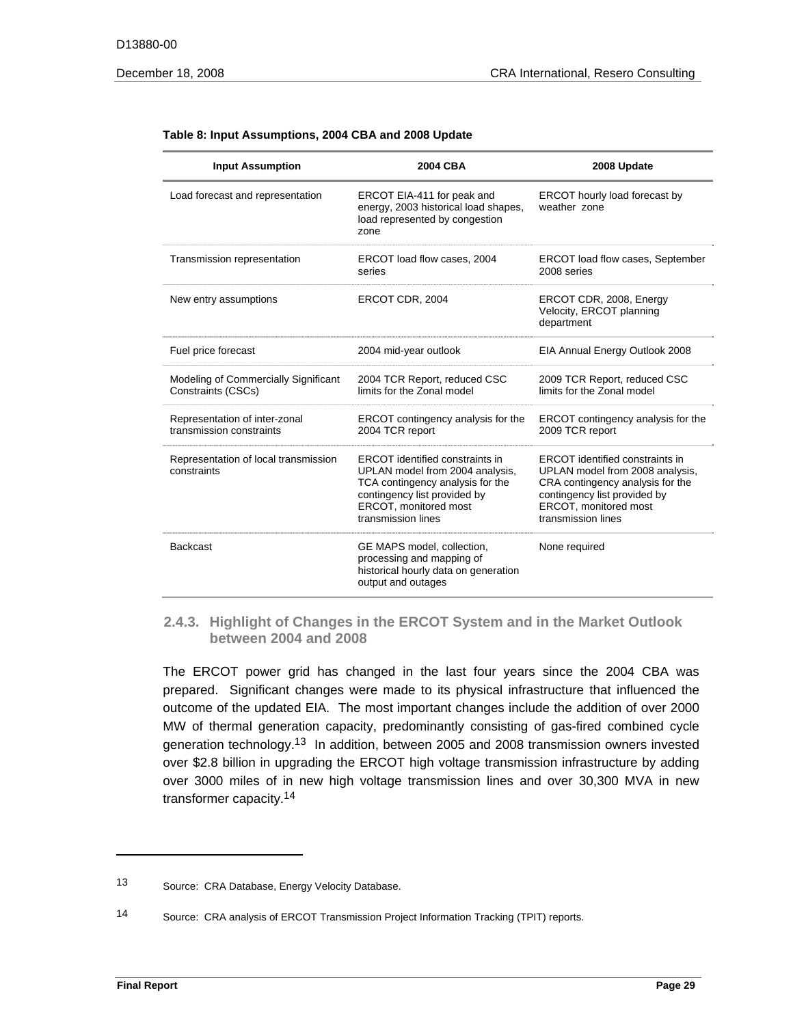| <b>Input Assumption</b>                                    | 2004 CBA                                                                                                                                                                                     | 2008 Update                                                                                                                                                                                  |
|------------------------------------------------------------|----------------------------------------------------------------------------------------------------------------------------------------------------------------------------------------------|----------------------------------------------------------------------------------------------------------------------------------------------------------------------------------------------|
| Load forecast and representation                           | ERCOT EIA-411 for peak and<br>energy, 2003 historical load shapes,<br>load represented by congestion<br>zone                                                                                 | ERCOT hourly load forecast by<br>weather zone                                                                                                                                                |
| Transmission representation                                | ERCOT load flow cases, 2004<br>series                                                                                                                                                        | ERCOT load flow cases, September<br>2008 series                                                                                                                                              |
| New entry assumptions                                      | ERCOT CDR, 2004                                                                                                                                                                              | ERCOT CDR, 2008, Energy<br>Velocity, ERCOT planning<br>department                                                                                                                            |
| Fuel price forecast                                        | 2004 mid-year outlook                                                                                                                                                                        | EIA Annual Energy Outlook 2008                                                                                                                                                               |
| Modeling of Commercially Significant<br>Constraints (CSCs) | 2004 TCR Report, reduced CSC<br>limits for the Zonal model                                                                                                                                   | 2009 TCR Report, reduced CSC<br>limits for the Zonal model                                                                                                                                   |
| Representation of inter-zonal<br>transmission constraints  | ERCOT contingency analysis for the<br>2004 TCR report                                                                                                                                        | ERCOT contingency analysis for the<br>2009 TCR report                                                                                                                                        |
| Representation of local transmission<br>constraints        | <b>ERCOT</b> identified constraints in<br>UPLAN model from 2004 analysis,<br>TCA contingency analysis for the<br>contingency list provided by<br>ERCOT, monitored most<br>transmission lines | <b>ERCOT</b> identified constraints in<br>UPLAN model from 2008 analysis,<br>CRA contingency analysis for the<br>contingency list provided by<br>ERCOT, monitored most<br>transmission lines |
| <b>Backcast</b>                                            | GE MAPS model, collection.<br>processing and mapping of<br>historical hourly data on generation<br>output and outages                                                                        | None required                                                                                                                                                                                |

#### **Table 8: Input Assumptions, 2004 CBA and 2008 Update**

#### **2.4.3. Highlight of Changes in the ERCOT System and in the Market Outlook between 2004 and 2008**

The ERCOT power grid has changed in the last four years since the 2004 CBA was prepared. Significant changes were made to its physical infrastructure that influenced the outcome of the updated EIA. The most important changes include the addition of over 2000 MW of thermal generation capacity, predominantly consisting of gas-fired combined cycle generation technology.13 In addition, between 2005 and 2008 transmission owners invested over \$2.8 billion in upgrading the ERCOT high voltage transmission infrastructure by adding over 3000 miles of in new high voltage transmission lines and over 30,300 MVA in new transformer capacity.14

 $13$ Source: CRA Database, Energy Velocity Database.

 $14$ Source: CRA analysis of ERCOT Transmission Project Information Tracking (TPIT) reports.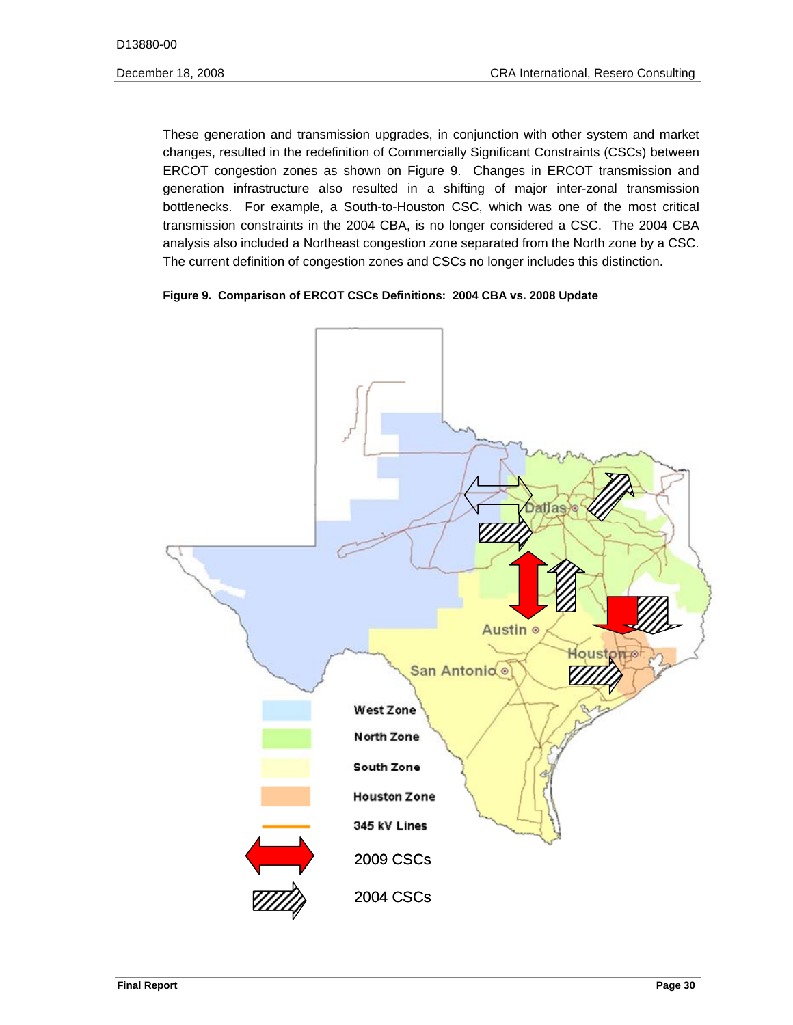ERCOT congestion zones as shown on Figure 9. Changes in ERCOT transmission and These generation and transmission upgrades, in conjunction with other system and market changes, resulted in the redefinition of Commercially Significant Constraints (CSCs) between generation infrastructure also resulted in a shifting of major inter-zonal transmission bottlenecks. For example, a South-to-Houston CSC, which was one of the most critical transmission constraints in the 2004 CBA, is no longer considered a CSC. The 2004 CBA analysis also included a Northeast congestion zone separated from the North zone by a CSC. The current definition of congestion zones and CSCs no longer includes this distinction.

#### **Figure 9. Comparison of ERCOT CSCs Definitions: 2004 CBA vs. 2008 Update**

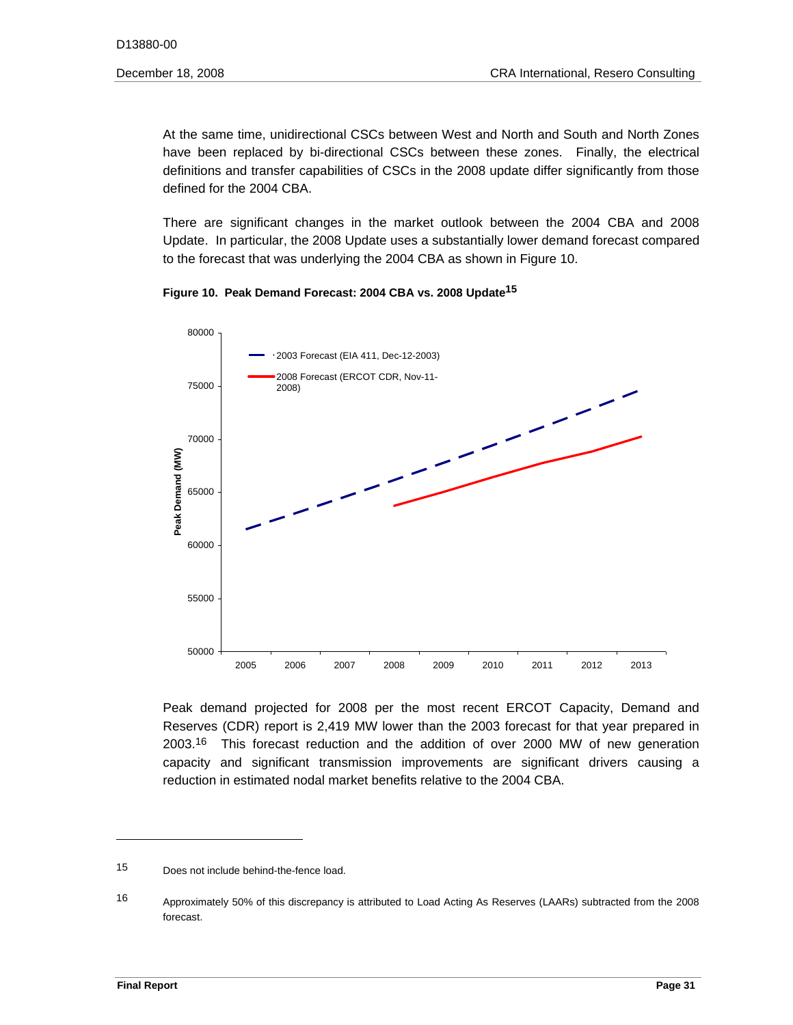At the same time, unidirectional CSCs between West and North and South and North Zones have been replaced by bi-directional CSCs between these zones. Finally, the electrical definitions and transfer capabilities of CSCs in the 2008 update differ significantly from those defined for the 2004 CBA.

There are significant changes in the market outlook between the 2004 CBA and 2008 Update. In particular, the 2008 Update uses a substantially lower demand forecast compared to the forecast that was underlying the 2004 CBA as shown in Figure 10.

**Figure 10. Peak Demand Forecast: 2004 CBA vs. 2008 Update15** 



Peak demand projected for 2008 per the most recent ERCOT Capacity, Demand and Reserves (CDR) report is 2,419 MW lower than the 2003 forecast for that year prepared in 2003.16 This forecast reduction and the addition of over 2000 MW of new generation capacity and significant transmission improvements are significant drivers causing a reduction in estimated nodal market benefits relative to the 2004 CBA.

 15 Does not include behind-the-fence load.

 16 Approximately 50% of this discrepancy is attributed to Load Acting As Reserves (LAARs) subtracted from the 2008 forecast.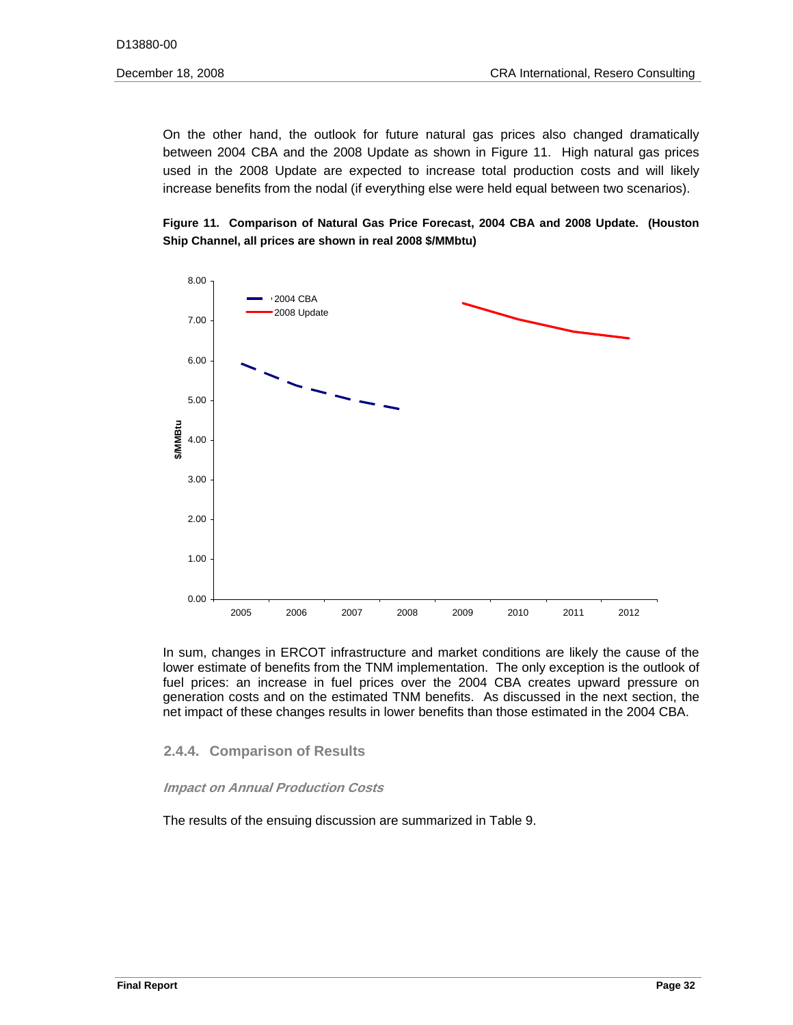On the other hand, the outlook for future natural gas prices also changed dramatically between 2004 CBA and the 2008 Update as shown in Figure 11. High natural gas prices used in the 2008 Update are expected to increase total production costs and will likely increase benefits from the nodal (if everything else were held equal between two scenarios).

**Figure 11. Comparison of Natural Gas Price Forecast, 2004 CBA and 2008 Update. (Houston Ship Channel, all prices are shown in real 2008 \$/MMbtu)** 



In sum, changes in ERCOT infrastructure and market conditions are likely the cause of the lower estimate of benefits from the TNM implementation. The only exception is the outlook of fuel prices: an increase in fuel prices over the 2004 CBA creates upward pressure on generation costs and on the estimated TNM benefits. As discussed in the next section, the net impact of these changes results in lower benefits than those estimated in the 2004 CBA.

# **2.4.4. Comparison of Results**

#### **Impact on Annual Production Costs**

The results of the ensuing discussion are summarized in Table 9.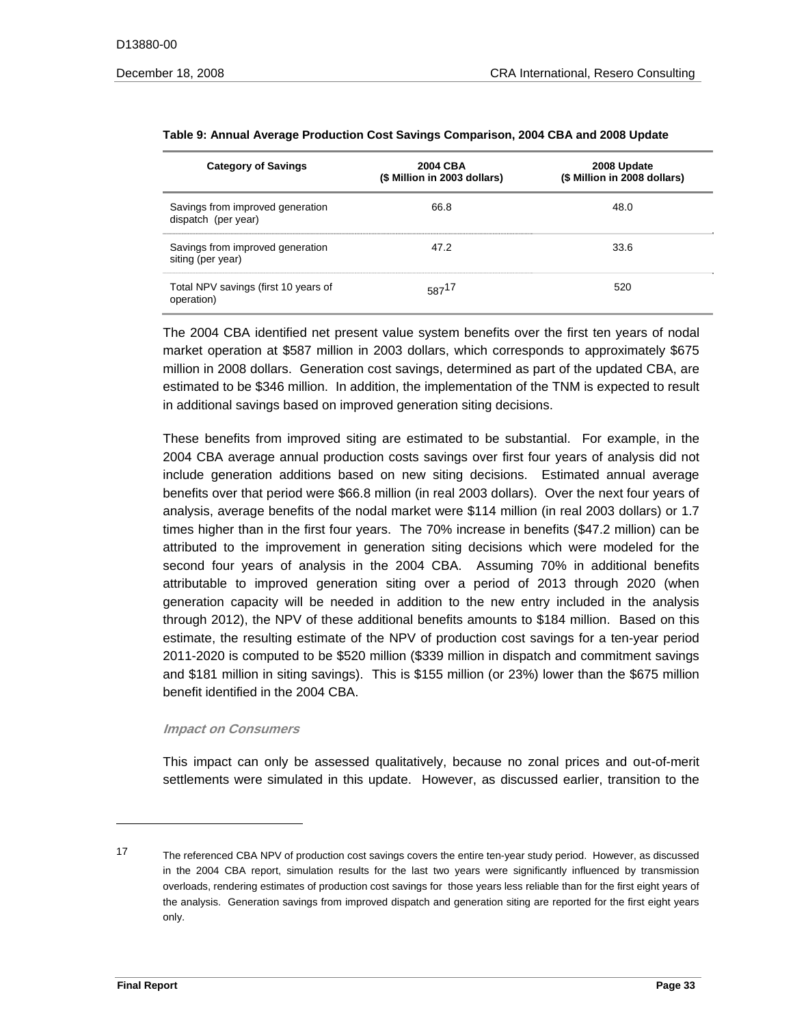| <b>Category of Savings</b>                              | 2004 CBA<br>(\$ Million in 2003 dollars) | 2008 Update<br>(\$ Million in 2008 dollars) |
|---------------------------------------------------------|------------------------------------------|---------------------------------------------|
| Savings from improved generation<br>dispatch (per year) | 66.8                                     | 48.0                                        |
| Savings from improved generation<br>siting (per year)   | 47.2                                     | 33.6                                        |
| Total NPV savings (first 10 years of<br>operation)      | 58717                                    | 520                                         |

#### **Table 9: Annual Average Production Cost Savings Comparison, 2004 CBA and 2008 Update**

The 2004 CBA identified net present value system benefits over the first ten years of nodal market operation at \$587 million in 2003 dollars, which corresponds to approximately \$675 million in 2008 dollars. Generation cost savings, determined as part of the updated CBA, are estimated to be \$346 million. In addition, the implementation of the TNM is expected to result in additional savings based on improved generation siting decisions.

These benefits from improved siting are estimated to be substantial. For example, in the 2004 CBA average annual production costs savings over first four years of analysis did not include generation additions based on new siting decisions. Estimated annual average benefits over that period were \$66.8 million (in real 2003 dollars). Over the next four years of analysis, average benefits of the nodal market were \$114 million (in real 2003 dollars) or 1.7 times higher than in the first four years. The 70% increase in benefits (\$47.2 million) can be attributed to the improvement in generation siting decisions which were modeled for the second four years of analysis in the 2004 CBA. Assuming 70% in additional benefits attributable to improved generation siting over a period of 2013 through 2020 (when generation capacity will be needed in addition to the new entry included in the analysis through 2012), the NPV of these additional benefits amounts to \$184 million. Based on this estimate, the resulting estimate of the NPV of production cost savings for a ten-year period 2011-2020 is computed to be \$520 million (\$339 million in dispatch and commitment savings and \$181 million in siting savings). This is \$155 million (or 23%) lower than the \$675 million benefit identified in the 2004 CBA.

#### **Impact on Consumers**

This impact can only be assessed qualitatively, because no zonal prices and out-of-merit settlements were simulated in this update. However, as discussed earlier, transition to the

 17 The referenced CBA NPV of production cost savings covers the entire ten-year study period. However, as discussed in the 2004 CBA report, simulation results for the last two years were significantly influenced by transmission overloads, rendering estimates of production cost savings for those years less reliable than for the first eight years of the analysis. Generation savings from improved dispatch and generation siting are reported for the first eight years only.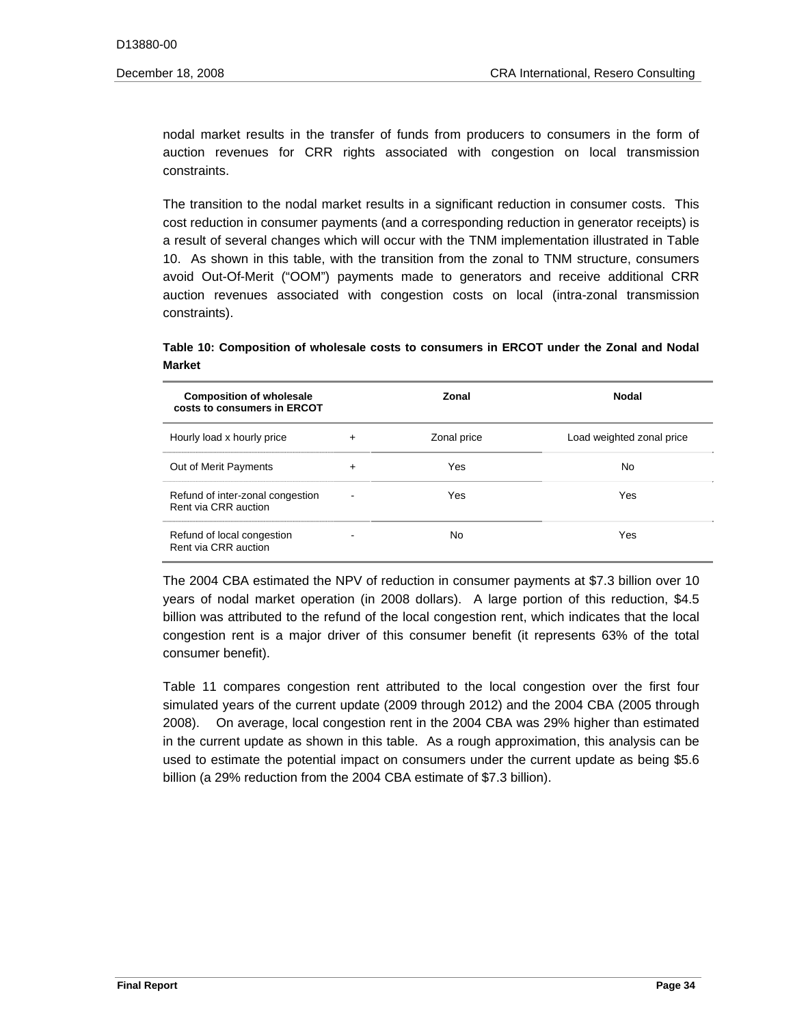nodal market results in the transfer of funds from producers to consumers in the form of auction revenues for CRR rights associated with congestion on local transmission constraints.

The transition to the nodal market results in a significant reduction in consumer costs. This cost reduction in consumer payments (and a corresponding reduction in generator receipts) is a result of several changes which will occur with the TNM implementation illustrated in Table 10. As shown in this table, with the transition from the zonal to TNM structure, consumers avoid Out-Of-Merit ("OOM") payments made to generators and receive additional CRR auction revenues associated with congestion costs on local (intra-zonal transmission constraints).

Table 10: Composition of wholesale costs to consumers in ERCOT under the Zonal and Nodal<br>Market

| <b>Composition of wholesale</b><br>costs to consumers in ERCOT |                          | Zonal       | <b>Nodal</b>              |
|----------------------------------------------------------------|--------------------------|-------------|---------------------------|
| Hourly load x hourly price                                     | $\ddot{}$                | Zonal price | Load weighted zonal price |
| Out of Merit Payments                                          | $\ddot{}$                | Yes         | No                        |
| Refund of inter-zonal congestion<br>Rent via CRR auction       | $\overline{\phantom{a}}$ | Yes         | Yes                       |
| Refund of local congestion<br>Rent via CRR auction             |                          | No          | Yes                       |

The 2004 CBA estimated the NPV of reduction in consumer payments at \$7.3 billion over 10 years of nodal market operation (in 2008 dollars). A large portion of this reduction, \$4.5 billion was attributed to the refund of the local congestion rent, which indicates that the local congestion rent is a major driver of this consumer benefit (it represents 63% of the total consumer benefit).

Table 11 compares congestion rent attributed to the local congestion over the first four simulated years of the current update (2009 through 2012) and the 2004 CBA (2005 through 2008). On average, local congestion rent in the 2004 CBA was 29% higher than estimated in the current update as shown in this table. As a rough approximation, this analysis can be used to estimate the potential impact on consumers under the current update as being \$5.6 billion (a 29% reduction from the 2004 CBA estimate of \$7.3 billion).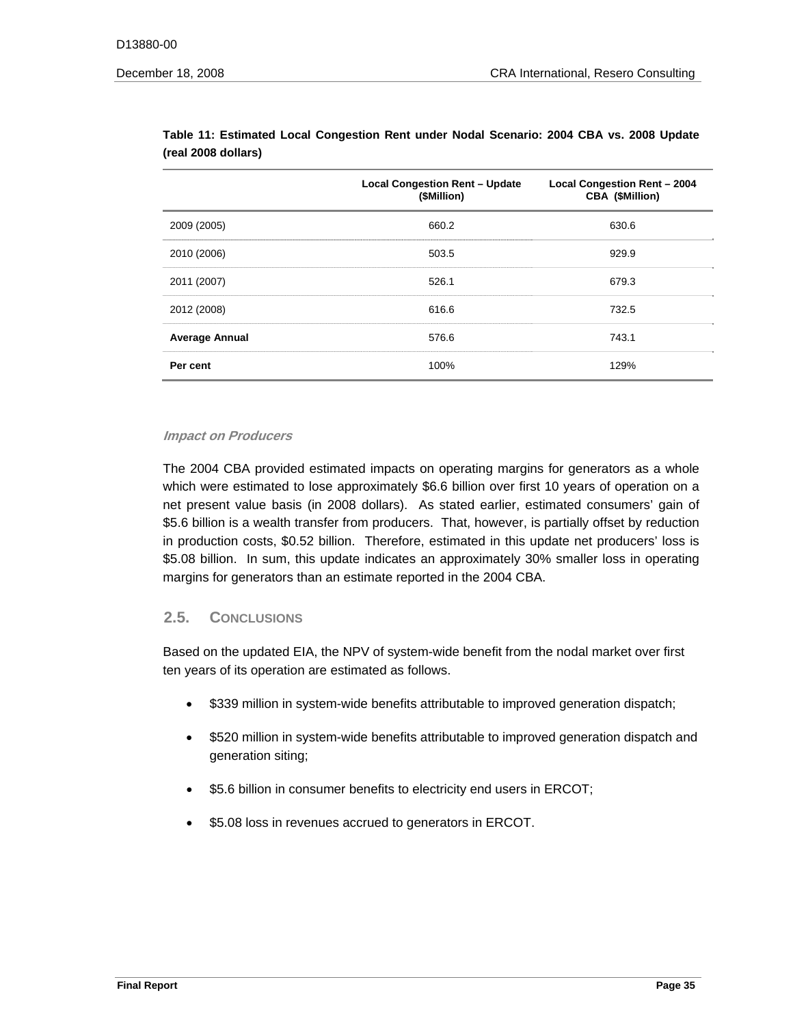|                       | <b>Local Congestion Rent - Update</b><br>(\$Million) | <b>Local Congestion Rent - 2004</b><br>CBA (\$Million) |
|-----------------------|------------------------------------------------------|--------------------------------------------------------|
| 2009 (2005)           | 660.2                                                | 630.6                                                  |
| 2010 (2006)           | 503.5                                                | 929.9                                                  |
| 2011 (2007)           | 526.1                                                | 679.3                                                  |
| 2012 (2008)           | 616.6                                                | 732.5                                                  |
| <b>Average Annual</b> | 576.6                                                | 743.1                                                  |
| Per cent              | 100%                                                 | 129%                                                   |

**Table 11: Estimated Local Congestion Rent under Nodal Scenario: 2004 CBA vs. 2008 Update (real 2008 dollars)** 

#### **Impact on Producers**

The 2004 CBA provided estimated impacts on operating margins for generators as a whole which were estimated to lose approximately \$6.6 billion over first 10 years of operation on a net present value basis (in 2008 dollars). As stated earlier, estimated consumers' gain of \$5.6 billion is a wealth transfer from producers. That, however, is partially offset by reduction in production costs, \$0.52 billion. Therefore, estimated in this update net producers' loss is \$5.08 billion. In sum, this update indicates an approximately 30% smaller loss in operating margins for generators than an estimate reported in the 2004 CBA.

# **2.5. CONCLUSIONS**

Based on the updated EIA, the NPV of system-wide benefit from the nodal market over first ten years of its operation are estimated as follows.

- \$339 million in system-wide benefits attributable to improved generation dispatch;
- • \$520 million in system-wide benefits attributable to improved generation dispatch and generation siting;
- \$5.6 billion in consumer benefits to electricity end users in ERCOT;
- \$5.08 loss in revenues accrued to generators in ERCOT.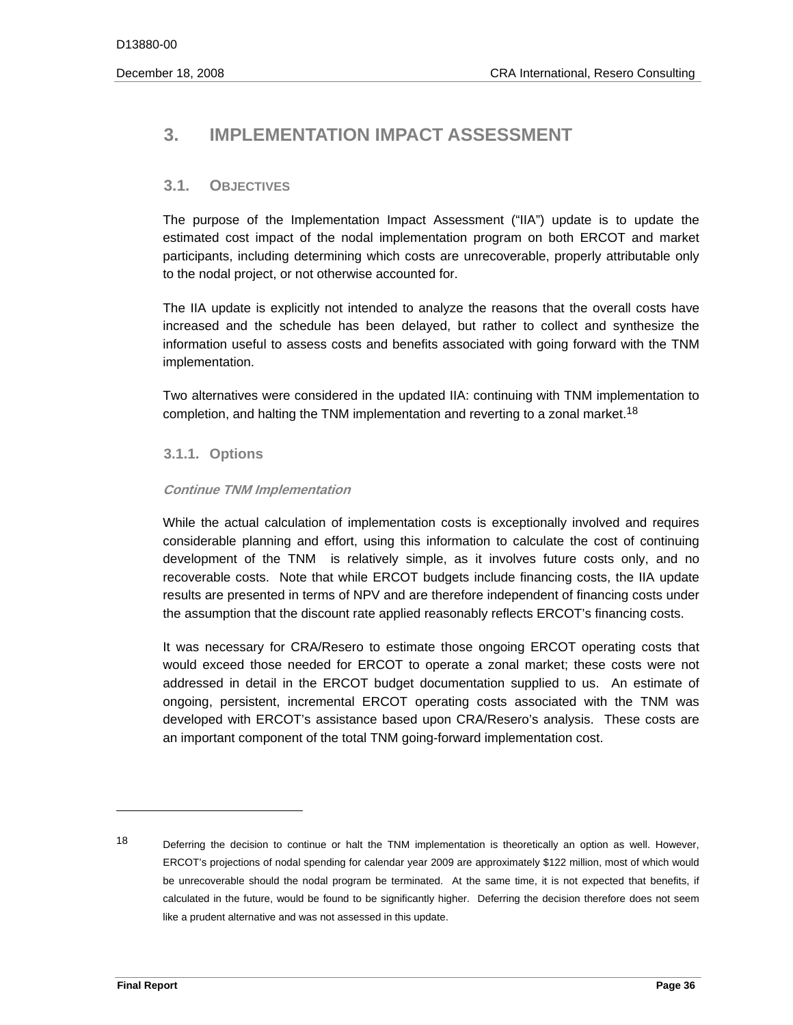# **3. IMPLEMENTATION IMPACT ASSESSMENT**

# **3.1. OBJECTIVES**

The purpose of the Implementation Impact Assessment ("IIA") update is to update the estimated cost impact of the nodal implementation program on both ERCOT and market participants, including determining which costs are unrecoverable, properly attributable only to the nodal project, or not otherwise accounted for.

The IIA update is explicitly not intended to analyze the reasons that the overall costs have increased and the schedule has been delayed, but rather to collect and synthesize the information useful to assess costs and benefits associated with going forward with the TNM implementation.

completion, and halting the TNM implementation and reverting to a zonal market.<sup>18</sup> Two alternatives were considered in the updated IIA: continuing with TNM implementation to

# **3.1.1. Options**

#### **Continue TNM Implementation**

While the actual calculation of implementation costs is exceptionally involved and requires considerable planning and effort, using this information to calculate the cost of continuing development of the TNM is relatively simple, as it involves future costs only, and no recoverable costs. Note that while ERCOT budgets include financing costs, the IIA update results are presented in terms of NPV and are therefore independent of financing costs under the assumption that the discount rate applied reasonably reflects ERCOT's financing costs.

It was necessary for CRA/Resero to estimate those ongoing ERCOT operating costs that would exceed those needed for ERCOT to operate a zonal market; these costs were not addressed in detail in the ERCOT budget documentation supplied to us. An estimate of ongoing, persistent, incremental ERCOT operating costs associated with the TNM was developed with ERCOT's assistance based upon CRA/Resero's analysis. These costs are an important component of the total TNM going-forward implementation cost.

 18 Deferring the decision to continue or halt the TNM implementation is theoretically an option as well. However, ERCOT's projections of nodal spending for calendar year 2009 are approximately \$122 million, most of which would be unrecoverable should the nodal program be terminated. At the same time, it is not expected that benefits, if calculated in the future, would be found to be significantly higher. Deferring the decision therefore does not seem like a prudent alternative and was not assessed in this update.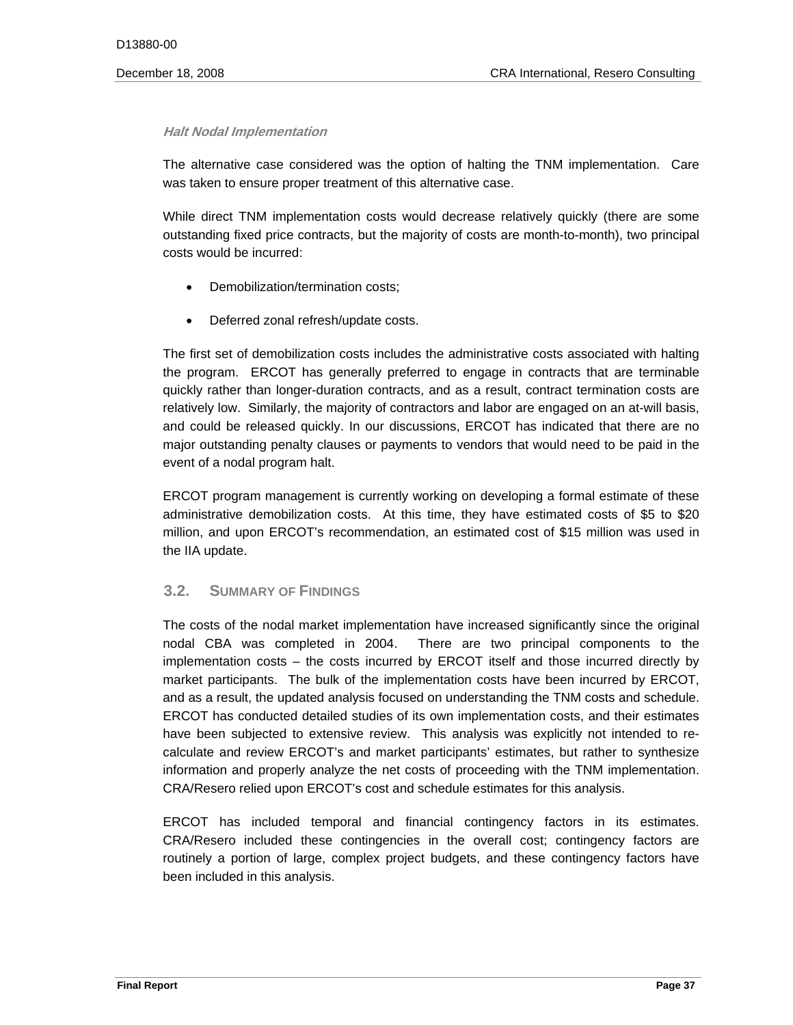#### **Halt Nodal Implementation**

The alternative case considered was the option of halting the TNM implementation. Care was taken to ensure proper treatment of this alternative case.

While direct TNM implementation costs would decrease relatively quickly (there are some outstanding fixed price contracts, but the majority of costs are month-to-month), two principal costs would be incurred:

- Demobilization/termination costs;
- Deferred zonal refresh/update costs.

The first set of demobilization costs includes the administrative costs associated with halting the program. ERCOT has generally preferred to engage in contracts that are terminable quickly rather than longer-duration contracts, and as a result, contract termination costs are relatively low. Similarly, the majority of contractors and labor are engaged on an at-will basis, and could be released quickly. In our discussions, ERCOT has indicated that there are no major outstanding penalty clauses or payments to vendors that would need to be paid in the event of a nodal program halt.

ERCOT program management is currently working on developing a formal estimate of these administrative demobilization costs. At this time, they have estimated costs of \$5 to \$20 million, and upon ERCOT's recommendation, an estimated cost of \$15 million was used in the IIA update.

# **3.2. SUMMARY OF FINDINGS**

information and properly analyze the net costs of proceeding with the TNM implementation.<br>CRA/Resero relied upon ERCOT's cost and schedule estimates for this analysis. The costs of the nodal market implementation have increased significantly since the original nodal CBA was completed in 2004. There are two principal components to the implementation costs – the costs incurred by ERCOT itself and those incurred directly by market participants. The bulk of the implementation costs have been incurred by ERCOT, and as a result, the updated analysis focused on understanding the TNM costs and schedule. ERCOT has conducted detailed studies of its own implementation costs, and their estimates have been subjected to extensive review. This analysis was explicitly not intended to recalculate and review ERCOT's and market participants' estimates, but rather to synthesize

ERCOT has included temporal and financial contingency factors in its estimates. CRA/Resero included these contingencies in the overall cost; contingency factors are routinely a portion of large, complex project budgets, and these contingency factors have been included in this analysis.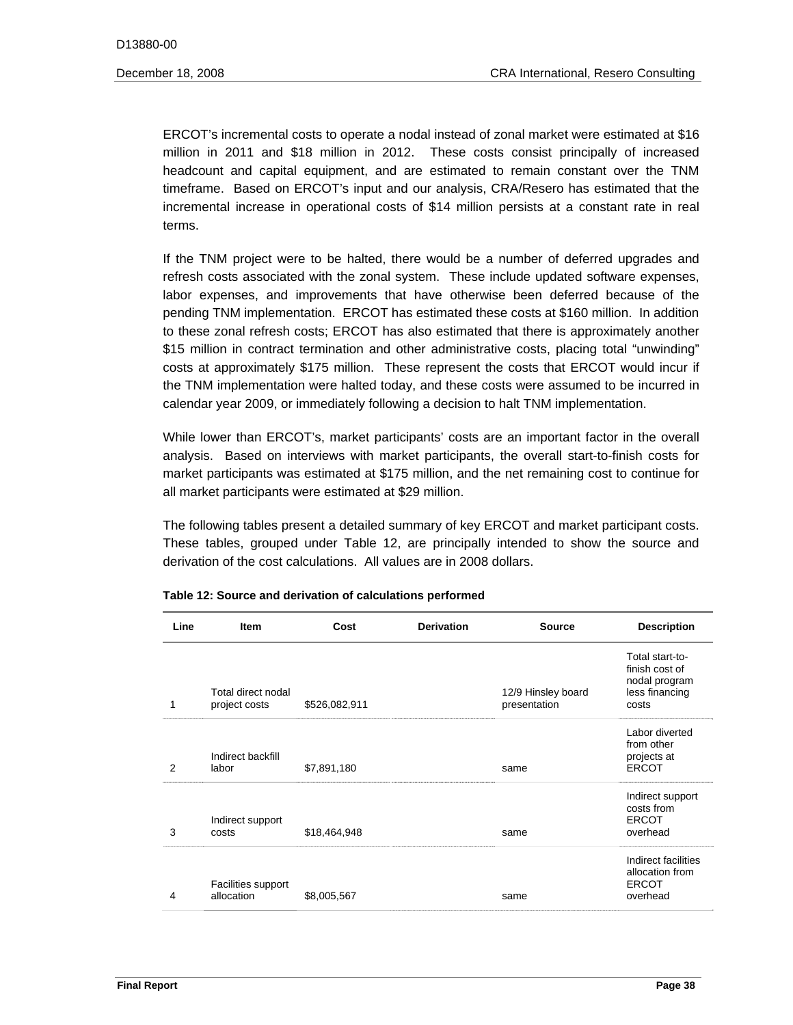ERCOT's incremental costs to operate a nodal instead of zonal market were estimated at \$16 million in 2011 and \$18 million in 2012. These costs consist principally of increased headcount and capital equipment, and are estimated to remain constant over the TNM timeframe. Based on ERCOT's input and our analysis, CRA/Resero has estimated that the incremental increase in operational costs of \$14 million persists at a constant rate in real terms.

If the TNM project were to be halted, there would be a number of deferred upgrades and refresh costs associated with the zonal system. These include updated software expenses, labor expenses, and improvements that have otherwise been deferred because of the pending TNM implementation. ERCOT has estimated these costs at \$160 million. In addition to these zonal refresh costs; ERCOT has also estimated that there is approximately another \$15 million in contract termination and other administrative costs, placing total "unwinding" costs at approximately \$175 million. These represent the costs that ERCOT would incur if the TNM implementation were halted today, and these costs were assumed to be incurred in calendar year 2009, or immediately following a decision to halt TNM implementation.

While lower than ERCOT's, market participants' costs are an important factor in the overall analysis. Based on interviews with market participants, the overall start-to-finish costs for market participants was estimated at \$175 million, and the net remaining cost to continue for all market participants were estimated at \$29 million.

The following tables present a detailed summary of key ERCOT and market participant costs. These tables, grouped under Table 12, are principally intended to show the source and derivation of the cost calculations. All values are in 2008 dollars.

| Line | Item                                | Cost          | <b>Derivation</b> | <b>Source</b>                      | <b>Description</b>                                                            |
|------|-------------------------------------|---------------|-------------------|------------------------------------|-------------------------------------------------------------------------------|
| 1    | Total direct nodal<br>project costs | \$526,082,911 |                   | 12/9 Hinsley board<br>presentation | Total start-to-<br>finish cost of<br>nodal program<br>less financing<br>costs |
| 2    | Indirect backfill<br>labor          | \$7,891,180   |                   | same                               | Labor diverted<br>from other<br>projects at<br><b>ERCOT</b>                   |
| 3    | Indirect support<br>costs           | \$18,464,948  |                   | same                               | Indirect support<br>costs from<br><b>ERCOT</b><br>overhead                    |
| 4    | Facilities support<br>allocation    | \$8,005,567   |                   | same                               | Indirect facilities<br>allocation from<br><b>ERCOT</b><br>overhead            |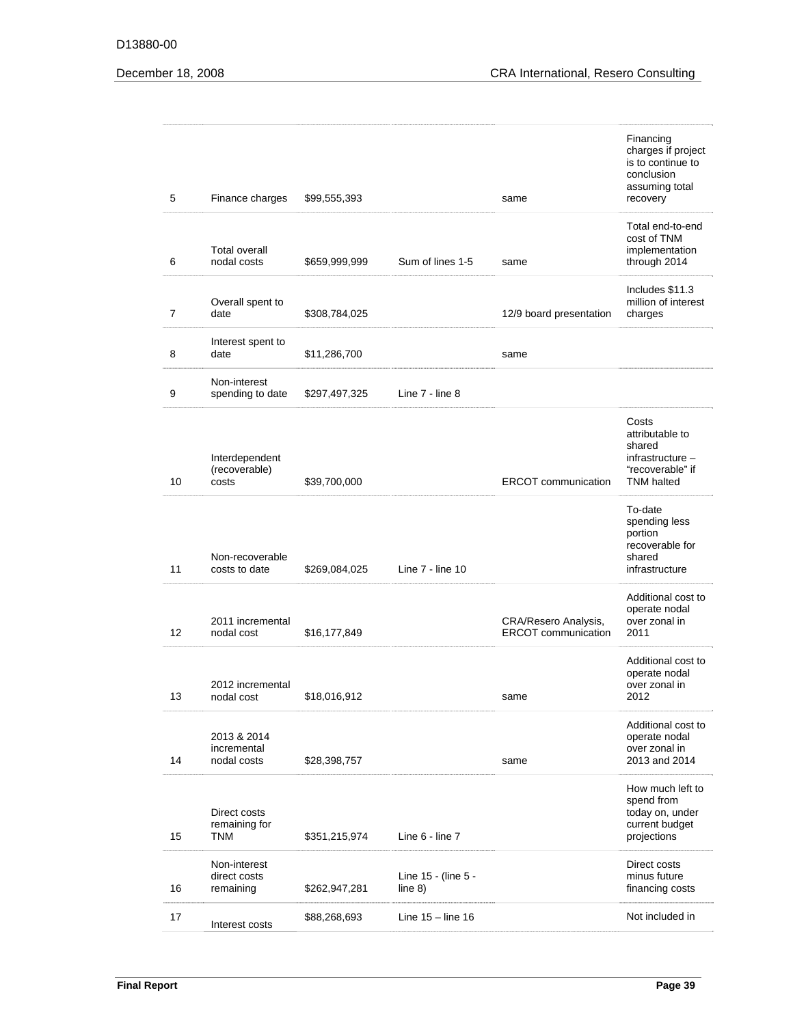#### D13880-00

| 5  | Finance charges                             | \$99,555,393  |                                  | same                                               | Financing<br>charges if project<br>is to continue to<br>conclusion<br>assuming total<br>recovery |
|----|---------------------------------------------|---------------|----------------------------------|----------------------------------------------------|--------------------------------------------------------------------------------------------------|
| 6  | <b>Total overall</b><br>nodal costs         | \$659,999,999 | Sum of lines 1-5                 | same                                               | Total end-to-end<br>cost of TNM<br>implementation<br>through 2014                                |
| 7  | Overall spent to<br>date                    | \$308,784,025 |                                  | 12/9 board presentation                            | Includes \$11.3<br>million of interest<br>charges                                                |
| 8  | Interest spent to<br>date                   | \$11,286,700  |                                  | same                                               |                                                                                                  |
| 9  | Non-interest<br>spending to date            | \$297,497,325 | Line 7 - line 8                  |                                                    |                                                                                                  |
| 10 | Interdependent<br>(recoverable)<br>costs    | \$39,700,000  |                                  | <b>ERCOT</b> communication                         | Costs<br>attributable to<br>shared<br>infrastructure -<br>"recoverable" if<br><b>TNM</b> halted  |
| 11 | Non-recoverable<br>costs to date            | \$269,084,025 | Line 7 - line 10                 |                                                    | To-date<br>spending less<br>portion<br>recoverable for<br>shared<br>infrastructure               |
| 12 | 2011 incremental<br>nodal cost              | \$16,177,849  |                                  | CRA/Resero Analysis,<br><b>ERCOT</b> communication | Additional cost to<br>operate nodal<br>over zonal in<br>2011                                     |
| 13 | 2012 incremental<br>nodal cost              | \$18,016,912  |                                  | same                                               | Additional cost to<br>operate nodal<br>over zonal in<br>2012                                     |
| 14 | 2013 & 2014<br>incremental<br>nodal costs   | \$28,398,757  |                                  | same                                               | Additional cost to<br>operate nodal<br>over zonal in<br>2013 and 2014                            |
| 15 | Direct costs<br>remaining for<br><b>TNM</b> | \$351,215,974 | Line 6 - line 7                  |                                                    | How much left to<br>spend from<br>today on, under<br>current budget<br>projections               |
| 16 | Non-interest<br>direct costs<br>remaining   | \$262,947,281 | Line 15 - (line 5 -<br>line $8)$ |                                                    | Direct costs<br>minus future<br>financing costs                                                  |
| 17 | Interest costs                              | \$88,268,693  | Line $15 -$ line $16$            |                                                    | Not included in                                                                                  |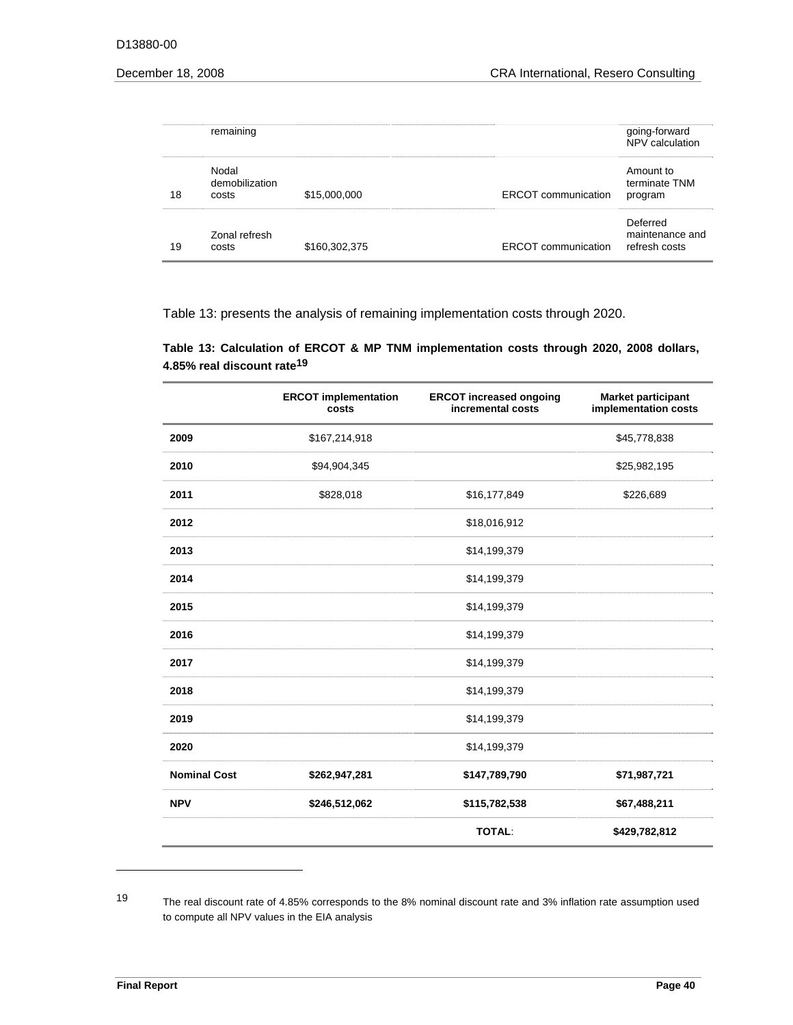|    | remaining                        |               |                            | going-forward<br>NPV calculation             |
|----|----------------------------------|---------------|----------------------------|----------------------------------------------|
| 18 | Nodal<br>demobilization<br>costs | \$15,000,000  | <b>ERCOT</b> communication | Amount to<br>terminate TNM<br>program        |
| 19 | Zonal refresh<br>costs           | \$160,302,375 | <b>ERCOT</b> communication | Deferred<br>maintenance and<br>refresh costs |

Table 13: presents the analysis of remaining implementation costs through 2020.

| Table 13: Calculation of ERCOT & MP TNM implementation costs through 2020, 2008 dollars, |  |  |  |  |
|------------------------------------------------------------------------------------------|--|--|--|--|
| 4.85% real discount rate <sup>19</sup>                                                   |  |  |  |  |

|                     | <b>ERCOT implementation</b><br>costs | <b>ERCOT increased ongoing</b><br>incremental costs | <b>Market participant</b><br>implementation costs |
|---------------------|--------------------------------------|-----------------------------------------------------|---------------------------------------------------|
| 2009                | \$167,214,918                        |                                                     | \$45,778,838                                      |
| 2010                | \$94,904,345                         |                                                     | \$25,982,195                                      |
| 2011                | \$828,018                            | \$16,177,849                                        | \$226,689                                         |
| 2012                |                                      | \$18,016,912                                        |                                                   |
| 2013                |                                      | \$14,199,379                                        |                                                   |
| 2014                |                                      | \$14,199,379                                        |                                                   |
| 2015                |                                      | \$14,199,379                                        |                                                   |
| 2016                |                                      | \$14,199,379                                        |                                                   |
| 2017                |                                      | \$14,199,379                                        |                                                   |
| 2018                |                                      | \$14,199,379                                        |                                                   |
| 2019                |                                      | \$14,199,379                                        |                                                   |
| 2020                |                                      | \$14,199,379                                        |                                                   |
| <b>Nominal Cost</b> | \$262,947,281                        | \$147,789,790                                       | \$71,987,721                                      |
| <b>NPV</b>          | \$246,512,062                        | \$115,782,538                                       | \$67,488,211                                      |
|                     |                                      | <b>TOTAL:</b>                                       | \$429,782,812                                     |

 19 The real discount rate of 4.85% corresponds to the 8% nominal discount rate and 3% inflation rate assumption used to compute all NPV values in the EIA analysis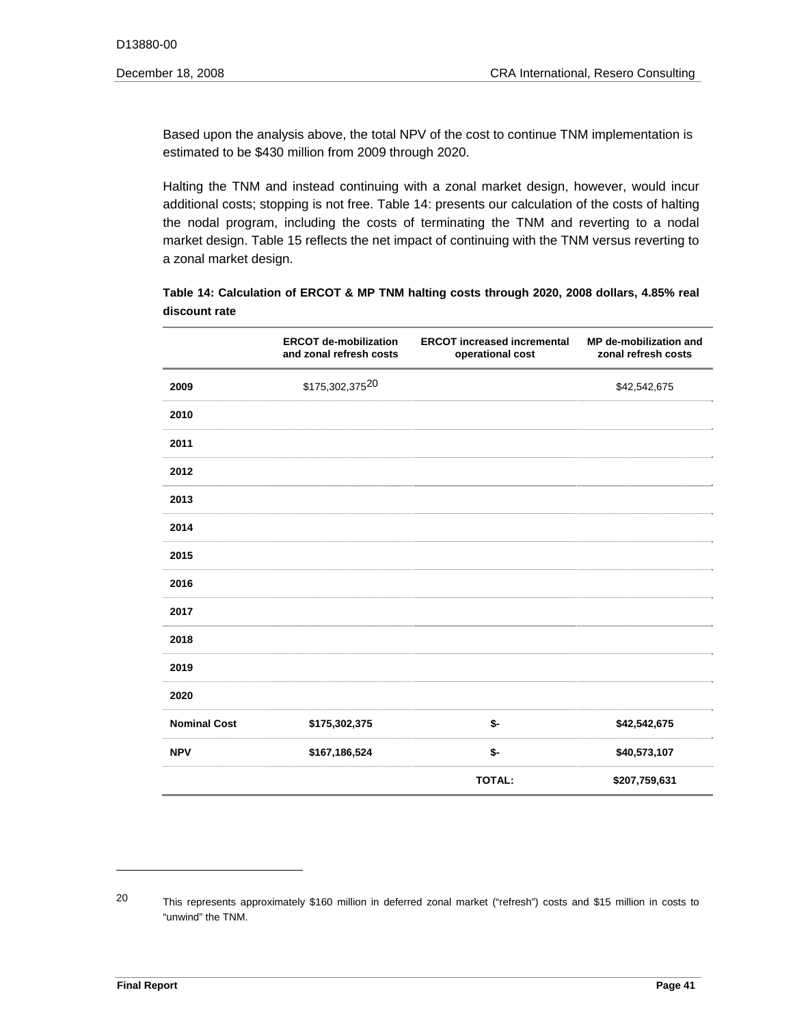Based upon the analysis above, the total NPV of the cost to continue TNM implementation is estimated to be \$430 million from 2009 through 2020.

Halting the TNM and instead continuing with a zonal market design, however, would incur additional costs; stopping is not free. Table 14: presents our calculation of the costs of halting the nodal program, including the costs of terminating the TNM and reverting to a nodal market design. Table 15 reflects the net impact of continuing with the TNM versus reverting to a zonal market design.

**Table 14: Calculation of ERCOT & MP TNM halting costs through 2020, 2008 dollars, 4.85% real discount rate**

|                     | <b>ERCOT de-mobilization</b><br>and zonal refresh costs | <b>ERCOT increased incremental</b><br>operational cost | MP de-mobilization and<br>zonal refresh costs |
|---------------------|---------------------------------------------------------|--------------------------------------------------------|-----------------------------------------------|
| 2009                | \$175,302,37520                                         |                                                        | \$42,542,675                                  |
| 2010                |                                                         |                                                        |                                               |
| 2011                |                                                         |                                                        |                                               |
| 2012                |                                                         |                                                        |                                               |
| 2013                |                                                         |                                                        |                                               |
| 2014                |                                                         |                                                        |                                               |
| 2015                |                                                         |                                                        |                                               |
| 2016                |                                                         |                                                        |                                               |
| 2017                |                                                         |                                                        |                                               |
| 2018                |                                                         |                                                        |                                               |
| 2019                |                                                         |                                                        |                                               |
| 2020                |                                                         |                                                        |                                               |
| <b>Nominal Cost</b> | \$175,302,375                                           | \$-                                                    | \$42,542,675                                  |
| <b>NPV</b>          | \$167,186,524                                           | \$-                                                    | \$40,573,107                                  |
|                     |                                                         | <b>TOTAL:</b>                                          | \$207,759,631                                 |

 20 This represents approximately \$160 million in deferred zonal market ("refresh") costs and \$15 million in costs to "unwind" the TNM.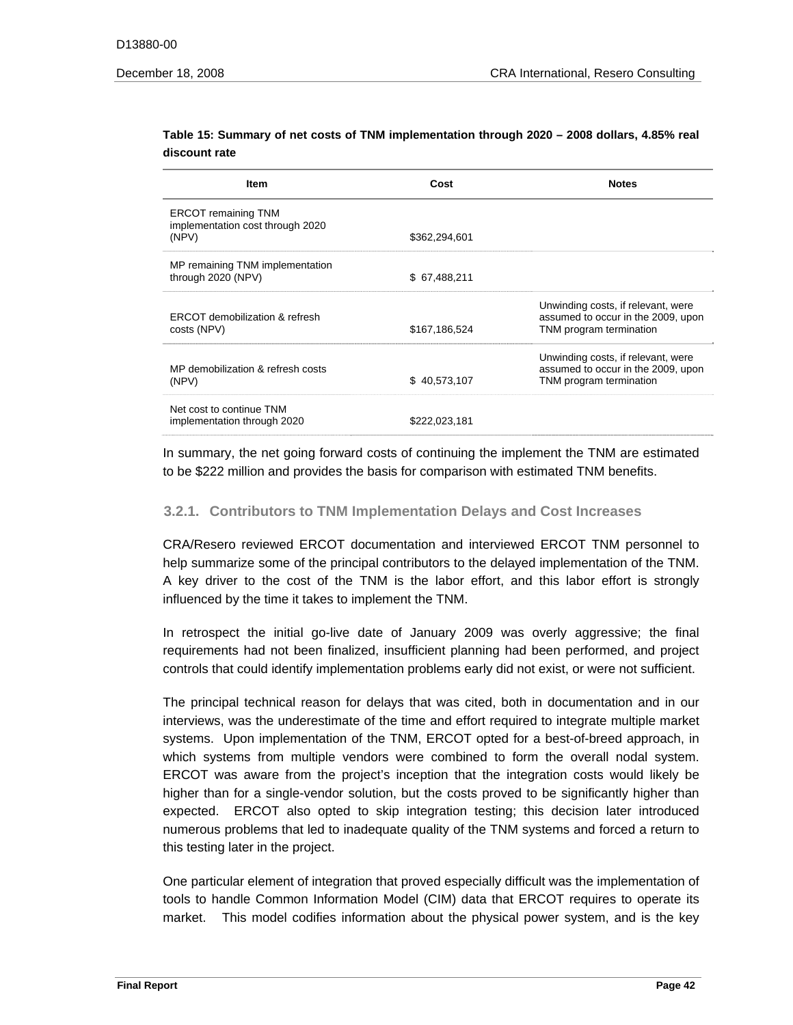| Item                                                                    | Cost          | <b>Notes</b>                                                                                        |
|-------------------------------------------------------------------------|---------------|-----------------------------------------------------------------------------------------------------|
| <b>ERCOT remaining TNM</b><br>implementation cost through 2020<br>(NPV) | \$362,294,601 |                                                                                                     |
| MP remaining TNM implementation<br>through 2020 (NPV)                   | \$67,488,211  |                                                                                                     |
| ERCOT demobilization & refresh<br>costs (NPV)                           | \$167,186,524 | Unwinding costs, if relevant, were<br>assumed to occur in the 2009, upon<br>TNM program termination |
| MP demobilization & refresh costs<br>(NPV)                              | \$40,573,107  | Unwinding costs, if relevant, were<br>assumed to occur in the 2009, upon<br>TNM program termination |
| Net cost to continue TNM<br>implementation through 2020                 | \$222.023.181 |                                                                                                     |

#### **Table 15: Summary of net costs of TNM implementation through 2020 – 2008 dollars, 4.85% real discount rate**

In summary, the net going forward costs of continuing the implement the TNM are estimated to be \$222 million and provides the basis for comparison with estimated TNM benefits.

# **3.2.1. Contributors to TNM Implementation Delays and Cost Increases**

CRA/Resero reviewed ERCOT documentation and interviewed ERCOT TNM personnel to help summarize some of the principal contributors to the delayed implementation of the TNM. A key driver to the cost of the TNM is the labor effort, and this labor effort is strongly influenced by the time it takes to implement the TNM.

In retrospect the initial go-live date of January 2009 was overly aggressive; the final requirements had not been finalized, insufficient planning had been performed, and project controls that could identify implementation problems early did not exist, or were not sufficient.

The principal technical reason for delays that was cited, both in documentation and in our interviews, was the underestimate of the time and effort required to integrate multiple market systems. Upon implementation of the TNM, ERCOT opted for a best-of-breed approach, in which systems from multiple vendors were combined to form the overall nodal system. ERCOT was aware from the project's inception that the integration costs would likely be higher than for a single-vendor solution, but the costs proved to be significantly higher than expected. ERCOT also opted to skip integration testing; this decision later introduced numerous problems that led to inadequate quality of the TNM systems and forced a return to this testing later in the project.

One particular element of integration that proved especially difficult was the implementation of tools to handle Common Information Model (CIM) data that ERCOT requires to operate its market. This model codifies information about the physical power system, and is the key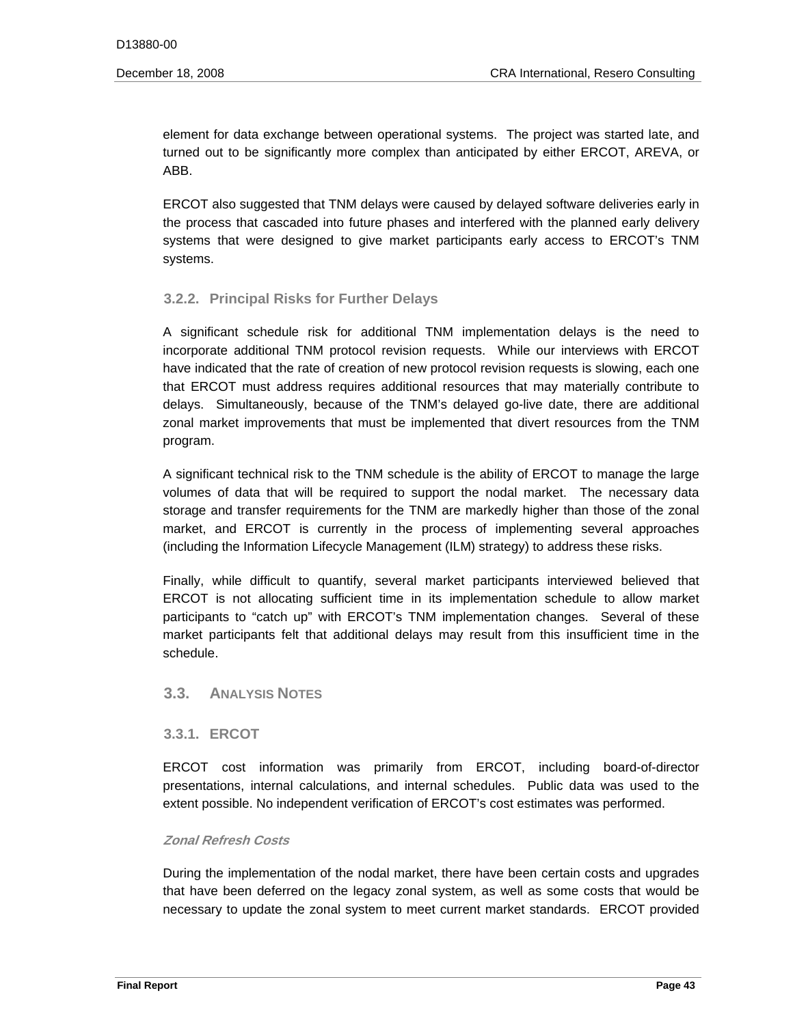element for data exchange between operational systems. The project was started late, and turned out to be significantly more complex than anticipated by either ERCOT, AREVA, or ABB.

 systems. ERCOT also suggested that TNM delays were caused by delayed software deliveries early in the process that cascaded into future phases and interfered with the planned early delivery systems that were designed to give market participants early access to ERCOT's TNM

# **3.2.2. Principal Risks for Further Delays**

A significant schedule risk for additional TNM implementation delays is the need to incorporate additional TNM protocol revision requests. While our interviews with ERCOT have indicated that the rate of creation of new protocol revision requests is slowing, each one that ERCOT must address requires additional resources that may materially contribute to delays. Simultaneously, because of the TNM's delayed go-live date, there are additional zonal market improvements that must be implemented that divert resources from the TNM program.

A significant technical risk to the TNM schedule is the ability of ERCOT to manage the large volumes of data that will be required to support the nodal market. The necessary data storage and transfer requirements for the TNM are markedly higher than those of the zonal market, and ERCOT is currently in the process of implementing several approaches (including the Information Lifecycle Management (ILM) strategy) to address these risks.

Finally, while difficult to quantify, several market participants interviewed believed that ERCOT is not allocating sufficient time in its implementation schedule to allow market participants to "catch up" with ERCOT's TNM implementation changes. Several of these market participants felt that additional delays may result from this insufficient time in the schedule.

# **3.3. ANALYSIS NOTES**

# **3.3.1. ERCOT**

ERCOT cost information was primarily from ERCOT, including board-of-director presentations, internal calculations, and internal schedules. Public data was used to the extent possible. No independent verification of ERCOT's cost estimates was performed.

#### **Zonal Refresh Costs**

During the implementation of the nodal market, there have been certain costs and upgrades that have been deferred on the legacy zonal system, as well as some costs that would be necessary to update the zonal system to meet current market standards. ERCOT provided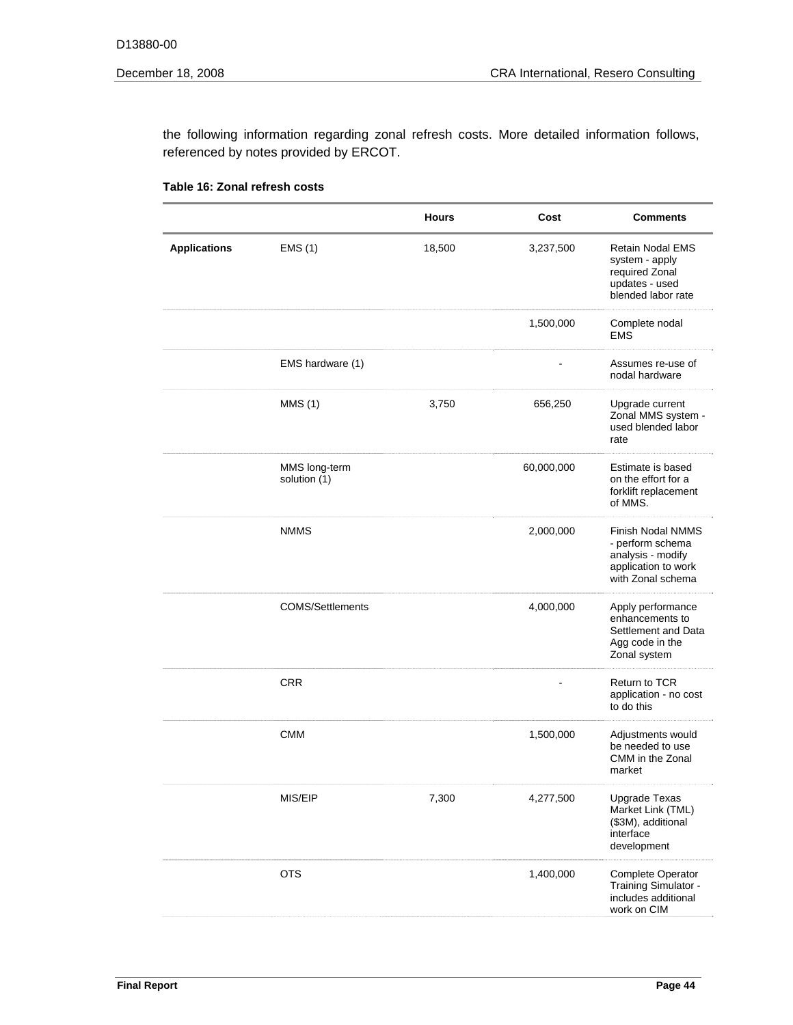the following information regarding zonal refresh costs. More detailed information follows, referenced by notes provided by ERCOT.

|                     |                               | <b>Hours</b> | Cost       | <b>Comments</b>                                                                                        |
|---------------------|-------------------------------|--------------|------------|--------------------------------------------------------------------------------------------------------|
| <b>Applications</b> | EMS(1)                        | 18,500       | 3,237,500  | <b>Retain Nodal EMS</b><br>system - apply<br>required Zonal<br>updates - used<br>blended labor rate    |
|                     |                               |              | 1,500,000  | Complete nodal<br><b>EMS</b>                                                                           |
|                     | EMS hardware (1)              |              |            | Assumes re-use of<br>nodal hardware                                                                    |
|                     | MMS(1)                        | 3,750        | 656,250    | Upgrade current<br>Zonal MMS system -<br>used blended labor<br>rate                                    |
|                     | MMS long-term<br>solution (1) |              | 60,000,000 | Estimate is based<br>on the effort for a<br>forklift replacement<br>of MMS.                            |
|                     | <b>NMMS</b>                   |              | 2,000,000  | Finish Nodal NMMS<br>- perform schema<br>analysis - modify<br>application to work<br>with Zonal schema |
|                     | <b>COMS/Settlements</b>       |              | 4,000,000  | Apply performance<br>enhancements to<br>Settlement and Data<br>Agg code in the<br>Zonal system         |
|                     | <b>CRR</b>                    |              |            | <b>Return to TCR</b><br>application - no cost<br>to do this                                            |
|                     | <b>CMM</b>                    |              | 1,500,000  | Adjustments would<br>be needed to use<br>CMM in the Zonal<br>market                                    |
|                     | MIS/EIP                       | 7,300        | 4,277,500  | <b>Upgrade Texas</b><br>Market Link (TML)<br>(\$3M), additional<br>interface<br>development            |
|                     | <b>OTS</b>                    |              | 1,400,000  | Complete Operator<br>Training Simulator -<br>includes additional<br>work on CIM                        |

| Table 16: Zonal refresh costs |  |
|-------------------------------|--|
|-------------------------------|--|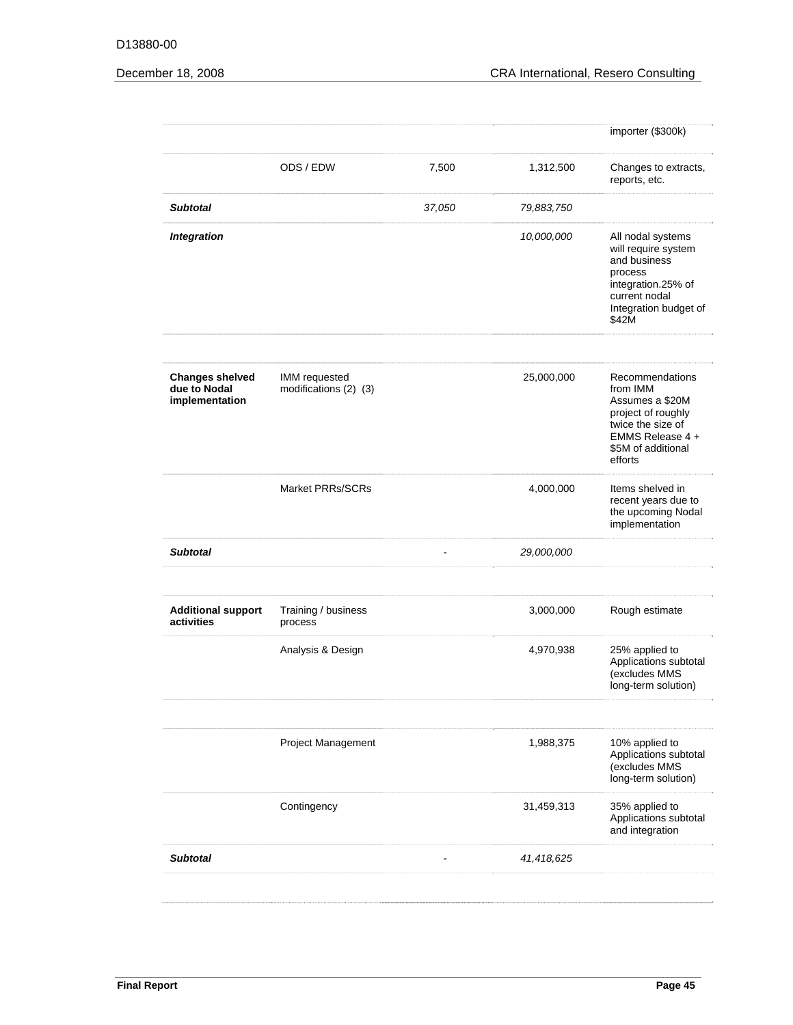|                                                          |                                        |        |            | importer (\$300k)                                                                                                                              |
|----------------------------------------------------------|----------------------------------------|--------|------------|------------------------------------------------------------------------------------------------------------------------------------------------|
|                                                          | ODS / EDW                              | 7,500  | 1,312,500  | Changes to extracts,<br>reports, etc.                                                                                                          |
| <b>Subtotal</b>                                          |                                        | 37,050 | 79,883,750 |                                                                                                                                                |
| <b>Integration</b>                                       |                                        |        | 10,000,000 | All nodal systems<br>will require system<br>and business<br>process<br>integration.25% of<br>current nodal<br>Integration budget of<br>\$42M   |
| <b>Changes shelved</b><br>due to Nodal<br>implementation | IMM requested<br>modifications (2) (3) |        | 25,000,000 | Recommendations<br>from IMM<br>Assumes a \$20M<br>project of roughly<br>twice the size of<br>EMMS Release 4 +<br>\$5M of additional<br>efforts |
|                                                          | <b>Market PRRs/SCRs</b>                |        | 4,000,000  | Items shelved in<br>recent years due to<br>the upcoming Nodal<br>implementation                                                                |
| <b>Subtotal</b>                                          |                                        |        | 29,000,000 |                                                                                                                                                |
| <b>Additional support</b><br>activities                  | Training / business<br>process         |        | 3,000,000  | Rough estimate                                                                                                                                 |
|                                                          | Analysis & Design                      |        | 4,970,938  | 25% applied to<br>Applications subtotal<br>(excludes MMS<br>long-term solution)                                                                |
|                                                          | <b>Project Management</b>              |        | 1,988,375  | 10% applied to<br>Applications subtotal<br>(excludes MMS<br>long-term solution)                                                                |
|                                                          | Contingency                            |        | 31,459,313 | 35% applied to<br>Applications subtotal<br>and integration                                                                                     |
| <b>Subtotal</b>                                          |                                        |        | 41,418,625 |                                                                                                                                                |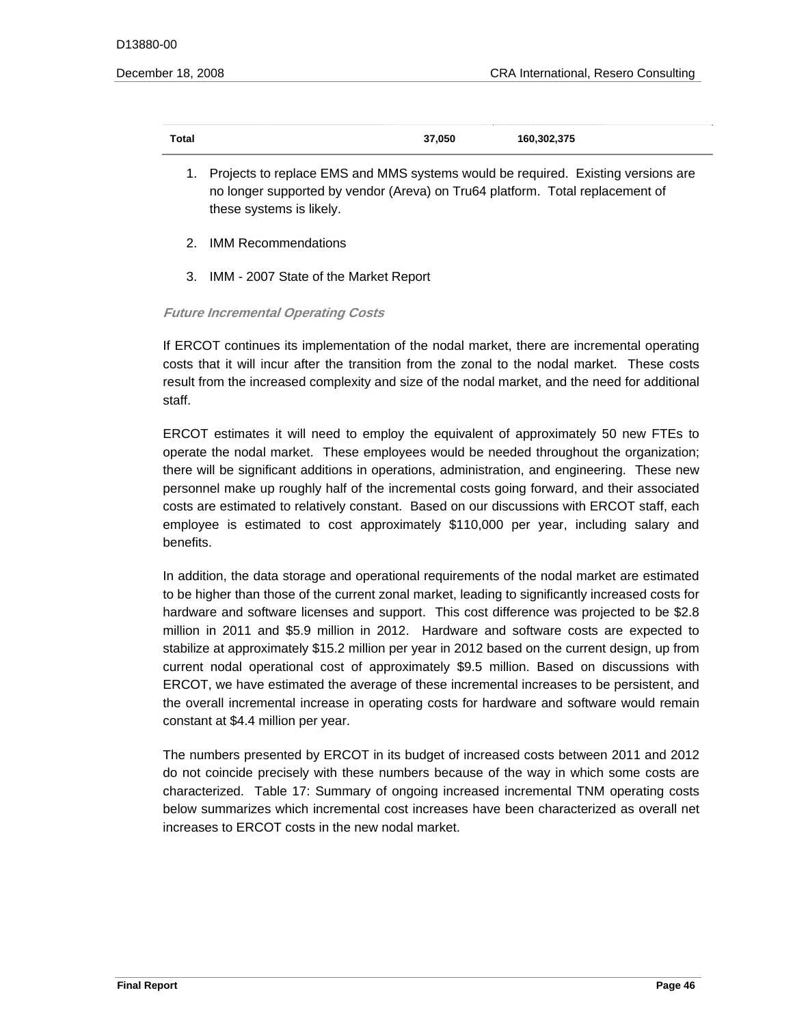| <b>Total</b> | 37,050 | 160,302,375 |
|--------------|--------|-------------|

- 1. Projects to replace EMS and MMS systems would be required. Existing versions are no longer supported by vendor (Areva) on Tru64 platform. Total replacement of these systems is likely.
- 2. IMM Recommendations
- 3. IMM 2007 State of the Market Report

# **Future Incremental Operating Costs**

If ERCOT continues its implementation of the nodal market, there are incremental operating costs that it will incur after the transition from the zonal to the nodal market. These costs result from the increased complexity and size of the nodal market, and the need for additional staff.

ERCOT estimates it will need to employ the equivalent of approximately 50 new FTEs to operate the nodal market. These employees would be needed throughout the organization; there will be significant additions in operations, administration, and engineering. These new personnel make up roughly half of the incremental costs going forward, and their associated costs are estimated to relatively constant. Based on our discussions with ERCOT staff, each employee is estimated to cost approximately \$110,000 per year, including salary and benefits.

In addition, the data storage and operational requirements of the nodal market are estimated to be higher than those of the current zonal market, leading to significantly increased costs for hardware and software licenses and support. This cost difference was projected to be \$2.8 million in 2011 and \$5.9 million in 2012. Hardware and software costs are expected to stabilize at approximately \$15.2 million per year in 2012 based on the current design, up from current nodal operational cost of approximately \$9.5 million. Based on discussions with ERCOT, we have estimated the average of these incremental increases to be persistent, and the overall incremental increase in operating costs for hardware and software would remain constant at \$4.4 million per year.

The numbers presented by ERCOT in its budget of increased costs between 2011 and 2012 do not coincide precisely with these numbers because of the way in which some costs are characterized. Table 17: Summary of ongoing increased incremental TNM operating costs below summarizes which incremental cost increases have been characterized as overall net increases to ERCOT costs in the new nodal market.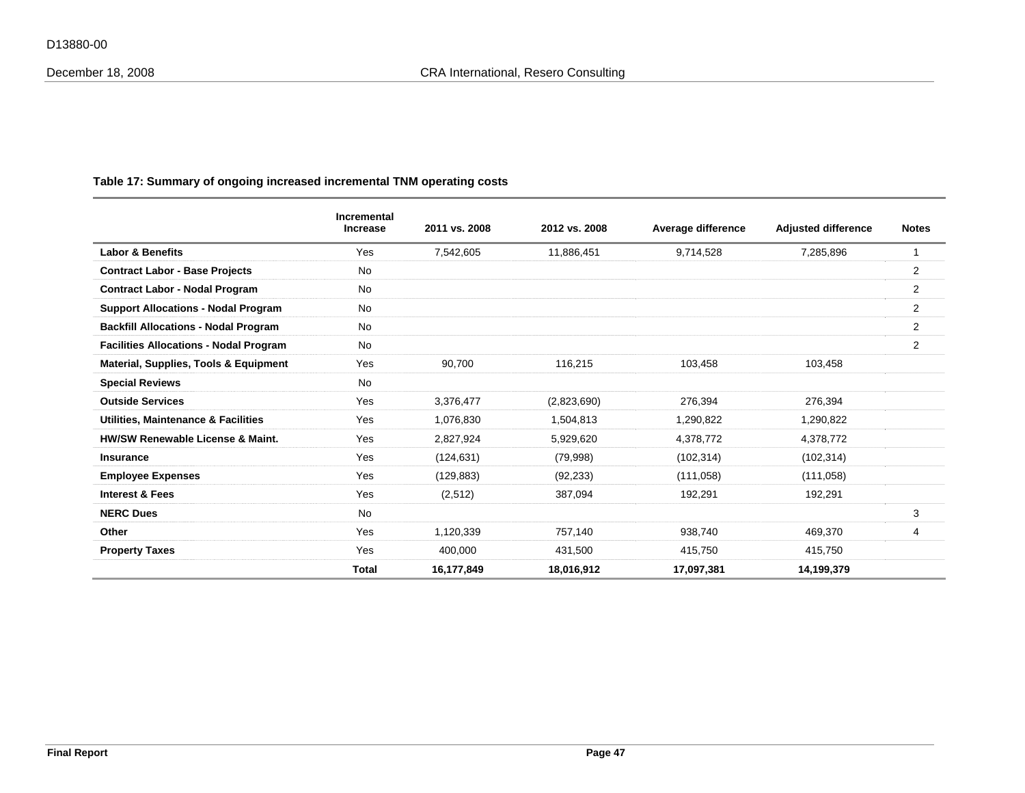|                                               | Incremental<br><b>Increase</b> | 2011 vs. 2008 | 2012 vs. 2008 | Average difference | <b>Adjusted difference</b> | <b>Notes</b>   |
|-----------------------------------------------|--------------------------------|---------------|---------------|--------------------|----------------------------|----------------|
| <b>Labor &amp; Benefits</b>                   | Yes                            | 7,542,605     | 11,886,451    | 9,714,528          | 7,285,896                  | $\mathbf 1$    |
| <b>Contract Labor - Base Projects</b>         | <b>No</b>                      |               |               |                    |                            | 2              |
| <b>Contract Labor - Nodal Program</b>         | No                             |               |               |                    |                            | $\overline{c}$ |
| <b>Support Allocations - Nodal Program</b>    | No                             |               |               |                    |                            | 2              |
| <b>Backfill Allocations - Nodal Program</b>   | No                             |               |               |                    |                            | 2              |
| <b>Facilities Allocations - Nodal Program</b> | <b>No</b>                      |               |               |                    |                            | 2              |
| Material, Supplies, Tools & Equipment         | Yes                            | 90,700        | 116,215       | 103,458            | 103,458                    |                |
| <b>Special Reviews</b>                        | <b>No</b>                      |               |               |                    |                            |                |
| <b>Outside Services</b>                       | Yes                            | 3,376,477     | (2,823,690)   | 276,394            | 276,394                    |                |
| Utilities, Maintenance & Facilities           | Yes                            | 1,076,830     | 1,504,813     | 1,290,822          | 1,290,822                  |                |
| <b>HW/SW Renewable License &amp; Maint.</b>   | Yes                            | 2,827,924     | 5,929,620     | 4,378,772          | 4,378,772                  |                |
| <b>Insurance</b>                              | Yes                            | (124, 631)    | (79,998)      | (102, 314)         | (102, 314)                 |                |
| <b>Employee Expenses</b>                      | Yes                            | (129, 883)    | (92, 233)     | (111,058)          | (111, 058)                 |                |
| <b>Interest &amp; Fees</b>                    | Yes                            | (2,512)       | 387,094       | 192,291            | 192,291                    |                |
| <b>NERC Dues</b>                              | <b>No</b>                      |               |               |                    |                            | 3              |
| Other                                         | Yes                            | 1,120,339     | 757,140       | 938,740            | 469,370                    | 4              |
| <b>Property Taxes</b>                         | Yes                            | 400,000       | 431,500       | 415,750            | 415,750                    |                |
|                                               | <b>Total</b>                   | 16,177,849    | 18,016,912    | 17,097,381         | 14,199,379                 |                |

# **Table 17: Summary of ongoing increased incremental TNM operating costs**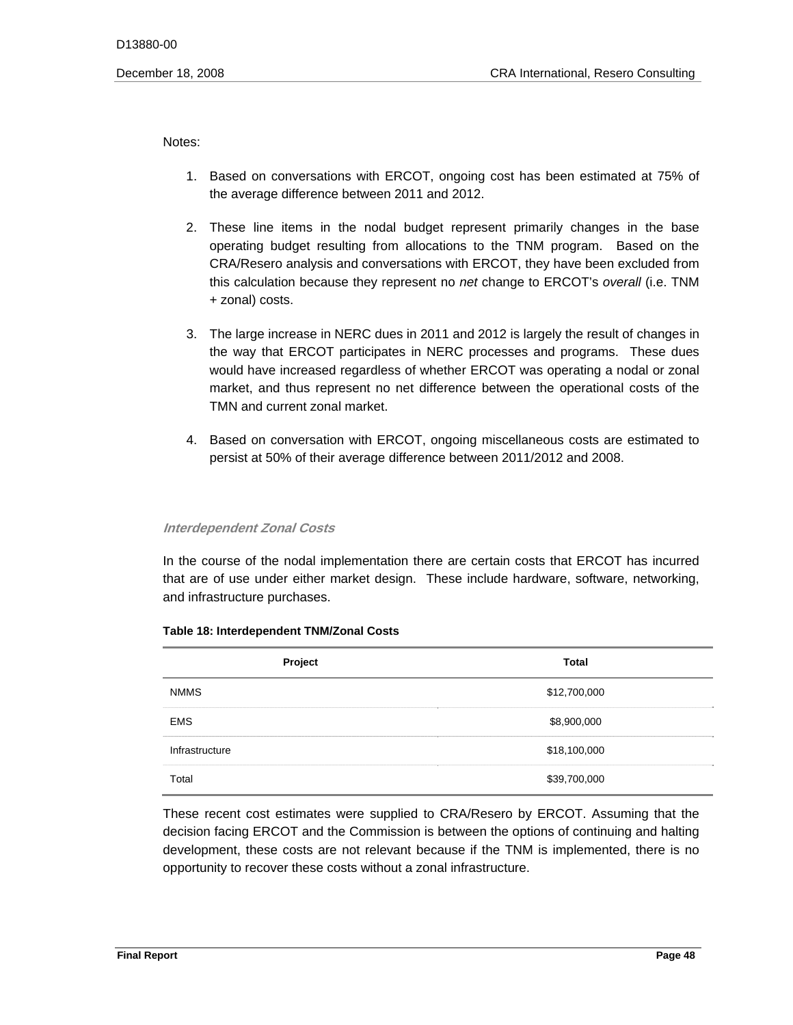Notes:

- 1. Based on conversations with ERCOT, ongoing cost has been estimated at 75% of the average difference between 2011 and 2012.
- 2. These line items in the nodal budget represent primarily changes in the base operating budget resulting from allocations to the TNM program. Based on the CRA/Resero analysis and conversations with ERCOT, they have been excluded from this calculation because they represent no *net* change to ERCOT's *overall* (i.e. TNM + zonal) costs.
- 3. The large increase in NERC dues in 2011 and 2012 is largely the result of changes in the way that ERCOT participates in NERC processes and programs. These dues would have increased regardless of whether ERCOT was operating a nodal or zonal market, and thus represent no net difference between the operational costs of the TMN and current zonal market.
- 4. Based on conversation with ERCOT, ongoing miscellaneous costs are estimated to persist at 50% of their average difference between 2011/2012 and 2008.

#### **Interdependent Zonal Costs**

In the course of the nodal implementation there are certain costs that ERCOT has incurred<br>that are of use under either market design. These include hardware, software, networking, and infrastructure purchases.

| Project        | <b>Total</b> |
|----------------|--------------|
| <b>NMMS</b>    | \$12,700,000 |
| <b>EMS</b>     | \$8,900,000  |
| Infrastructure | \$18,100,000 |
| Total          | \$39,700,000 |

#### **Table 18: Interdependent TNM/Zonal Costs**

These recent cost estimates were supplied to CRA/Resero by ERCOT. Assuming that the decision facing ERCOT and the Commission is between the options of continuing and halting development, these costs are not relevant because if the TNM is implemented, there is no opportunity to recover these costs without a zonal infrastructure.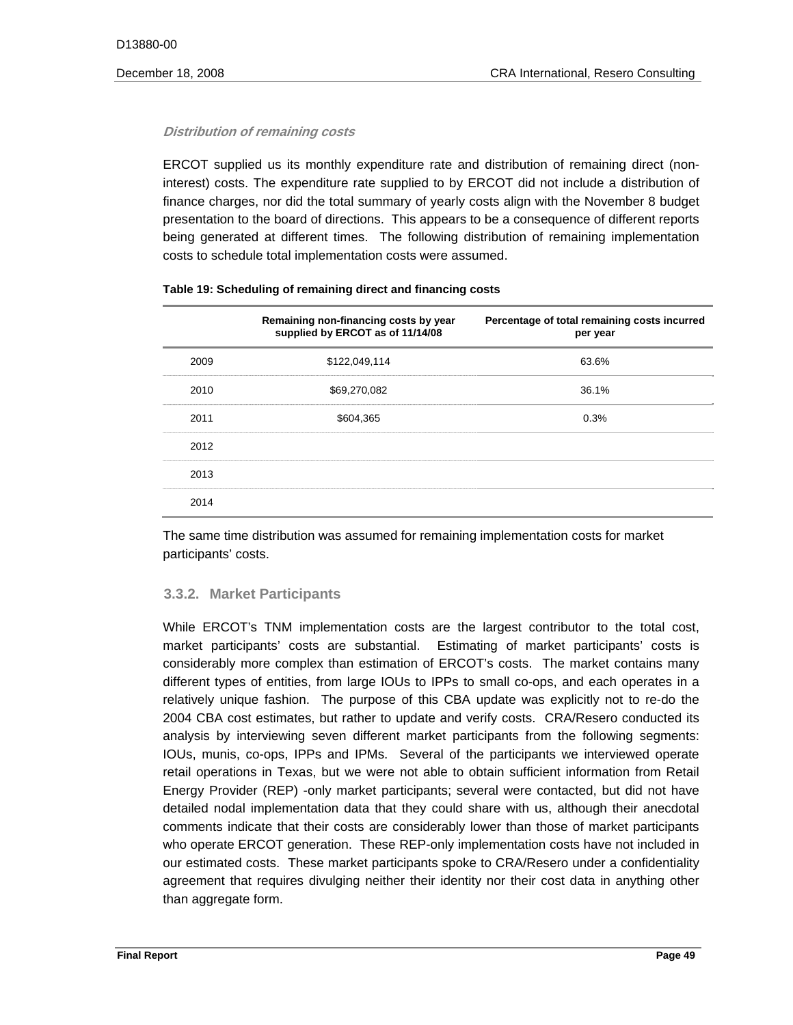#### **Distribution of remaining costs**

ERCOT supplied us its monthly expenditure rate and distribution of remaining direct (noninterest) costs. The expenditure rate supplied to by ERCOT did not include a distribution of finance charges, nor did the total summary of yearly costs align with the November 8 budget presentation to the board of directions. This appears to be a consequence of different reports being generated at different times. The following distribution of remaining implementation costs to schedule total implementation costs were assumed.

|      | Remaining non-financing costs by year<br>supplied by ERCOT as of 11/14/08 | Percentage of total remaining costs incurred<br>per year |
|------|---------------------------------------------------------------------------|----------------------------------------------------------|
| 2009 | \$122,049,114                                                             | 63.6%                                                    |
| 2010 | \$69,270,082                                                              | 36.1%                                                    |
| 2011 | \$604.365                                                                 | 0.3%                                                     |
| 2012 |                                                                           |                                                          |
| 2013 |                                                                           |                                                          |
| 2014 |                                                                           |                                                          |

#### **Table 19: Scheduling of remaining direct and financing costs**

The same time distribution was assumed for remaining implementation costs for market participants' costs.

#### **3.3.2. Market Participants**

While ERCOT's TNM implementation costs are the largest contributor to the total cost, market participants' costs are substantial. Estimating of market participants' costs is considerably more complex than estimation of ERCOT's costs. The market contains many different types of entities, from large IOUs to IPPs to small co-ops, and each operates in a relatively unique fashion. The purpose of this CBA update was explicitly not to re-do the 2004 CBA cost estimates, but rather to update and verify costs. CRA/Resero conducted its analysis by interviewing seven different market participants from the following segments: IOUs, munis, co-ops, IPPs and IPMs. Several of the participants we interviewed operate retail operations in Texas, but we were not able to obtain sufficient information from Retail Energy Provider (REP) -only market participants; several were contacted, but did not have detailed nodal implementation data that they could share with us, although their anecdotal comments indicate that their costs are considerably lower than those of market participants who operate ERCOT generation. These REP-only implementation costs have not included in our estimated costs. These market participants spoke to CRA/Resero under a confidentiality agreement that requires divulging neither their identity nor their cost data in anything other than aggregate form.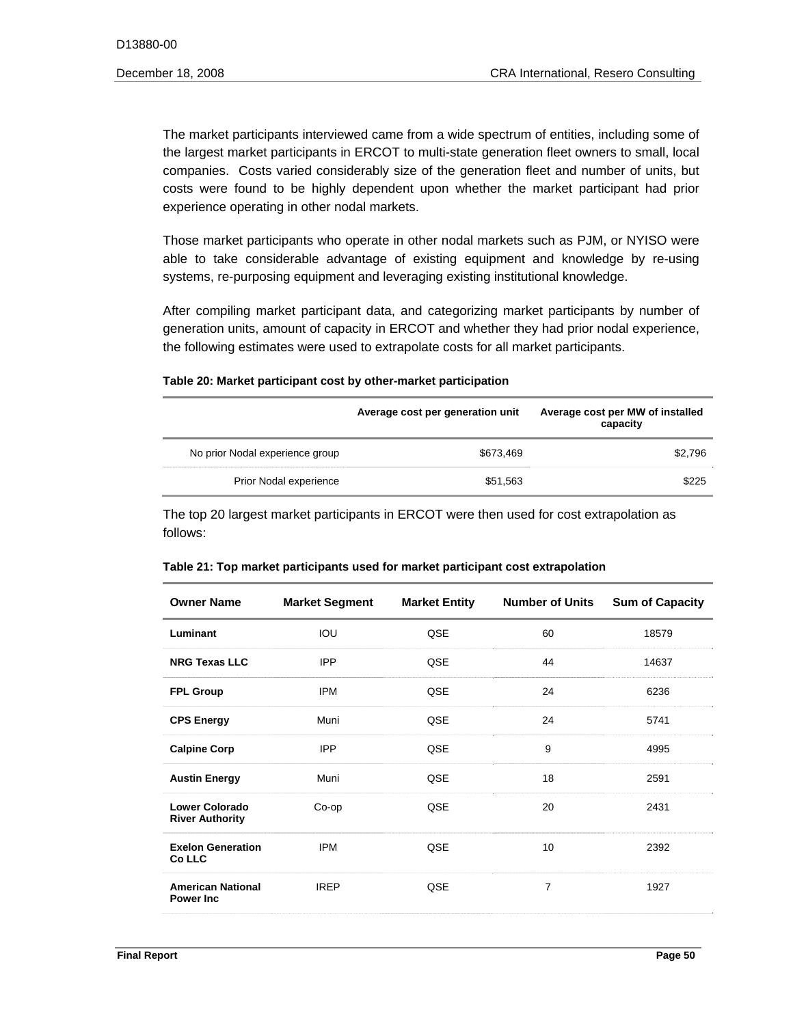The market participants interviewed came from a wide spectrum of entities, including some of the largest market participants in ERCOT to multi-state generation fleet owners to small, local companies. Costs varied considerably size of the generation fleet and number of units, but costs were found to be highly dependent upon whether the market participant had prior experience operating in other nodal markets.

Those market participants who operate in other nodal markets such as PJM, or NYISO were able to take considerable advantage of existing equipment and knowledge by re-using systems, re-purposing equipment and leveraging existing institutional knowledge.

After compiling market participant data, and categorizing market participants by number of generation units, amount of capacity in ERCOT and whether they had prior nodal experience, the following estimates were used to extrapolate costs for all market participants.

# **Table 20: Market participant cost by other-market participation**

|                                 | Average cost per generation unit | Average cost per MW of installed<br>capacity |
|---------------------------------|----------------------------------|----------------------------------------------|
| No prior Nodal experience group | \$673.469                        | \$2.796                                      |
| Prior Nodal experience          | \$51,563                         | \$225                                        |

The top 20 largest market participants in ERCOT were then used for cost extrapolation as follows:

| <b>Owner Name</b>                               | <b>Market Segment</b> | <b>Market Entity</b> | <b>Number of Units</b> | <b>Sum of Capacity</b> |
|-------------------------------------------------|-----------------------|----------------------|------------------------|------------------------|
| Luminant                                        | IOU                   | QSE                  | 60                     | 18579                  |
| <b>NRG Texas LLC</b>                            | <b>IPP</b>            | QSE                  | 44                     | 14637                  |
| <b>FPL Group</b>                                | <b>IPM</b>            | QSE                  | 24                     | 6236                   |
| <b>CPS Energy</b>                               | Muni                  | QSE                  | 24                     | 5741                   |
| <b>Calpine Corp</b>                             | <b>IPP</b>            | QSE                  | 9                      | 4995                   |
| <b>Austin Energy</b>                            | Muni                  | QSE                  | 18                     | 2591                   |
| <b>Lower Colorado</b><br><b>River Authority</b> | Co-op                 | QSE                  | 20                     | 2431                   |
| <b>Exelon Generation</b><br>Co LLC              | <b>IPM</b>            | QSE                  | 10                     | 2392                   |
| <b>American National</b><br><b>Power Inc.</b>   | <b>IREP</b>           | QSE                  | 7                      | 1927                   |

#### **Table 21: Top market participants used for market participant cost extrapolation**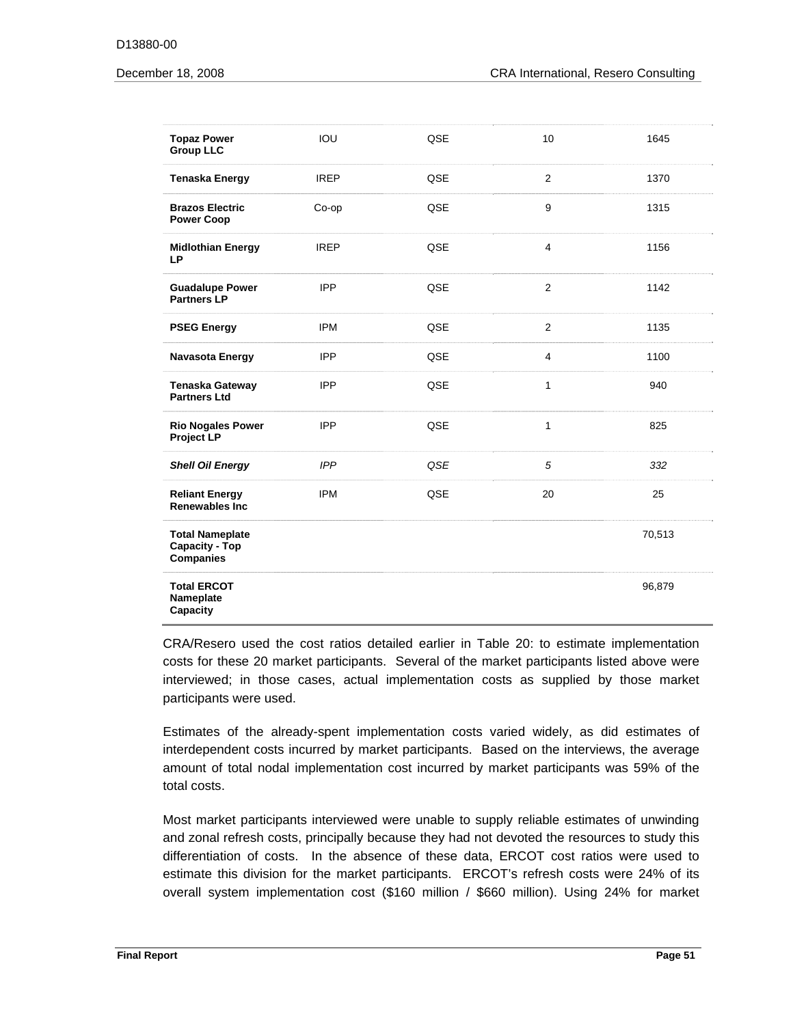| <b>Topaz Power</b><br><b>Group LLC</b>                       | IOU         | QSE        | 10             | 1645   |
|--------------------------------------------------------------|-------------|------------|----------------|--------|
| <b>Tenaska Energy</b>                                        | <b>IREP</b> | <b>QSE</b> | $\overline{2}$ | 1370   |
| <b>Brazos Electric</b><br><b>Power Coop</b>                  | Co-op       | QSE        | 9              | 1315   |
| <b>Midlothian Energy</b><br><b>LP</b>                        | <b>IREP</b> | QSE        | $\overline{4}$ | 1156   |
| <b>Guadalupe Power</b><br><b>Partners LP</b>                 | <b>IPP</b>  | QSE        | $\overline{2}$ | 1142   |
| <b>PSEG Energy</b>                                           | <b>IPM</b>  | QSE        | $\overline{2}$ | 1135   |
| <b>Navasota Energy</b>                                       | <b>IPP</b>  | QSE        | $\overline{4}$ | 1100   |
| <b>Tenaska Gateway</b><br><b>Partners Ltd</b>                | <b>IPP</b>  | QSE        | 1              | 940    |
| <b>Rio Nogales Power</b><br>Project LP                       | <b>IPP</b>  | QSE        | 1              | 825    |
| <b>Shell Oil Energy</b>                                      | <b>IPP</b>  | QSE        | 5              | 332    |
| <b>Reliant Energy</b><br>Renewables Inc.                     | <b>IPM</b>  | QSE        | 20             | 25     |
| <b>Total Nameplate</b><br>Capacity - Top<br><b>Companies</b> |             |            |                | 70,513 |
| <b>Total ERCOT</b><br>Nameplate<br>Capacity                  |             |            |                | 96,879 |

CRA/Resero used the cost ratios detailed earlier in Table 20: to estimate implementation costs for these 20 market participants. Several of the market participants listed above were interviewed; in those cases, actual implementation costs as supplied by those market participants were used.

Estimates of the already-spent implementation costs varied widely, as did estimates of interdependent costs incurred by market participants. Based on the interviews, the average amount of total nodal implementation cost incurred by market participants was 59% of the total costs.

Most market participants interviewed were unable to supply reliable estimates of unwinding and zonal refresh costs, principally because they had not devoted the resources to study this differentiation of costs. In the absence of these data, ERCOT cost ratios were used to estimate this division for the market participants. ERCOT's refresh costs were 24% of its overall system implementation cost (\$160 million / \$660 million). Using 24% for market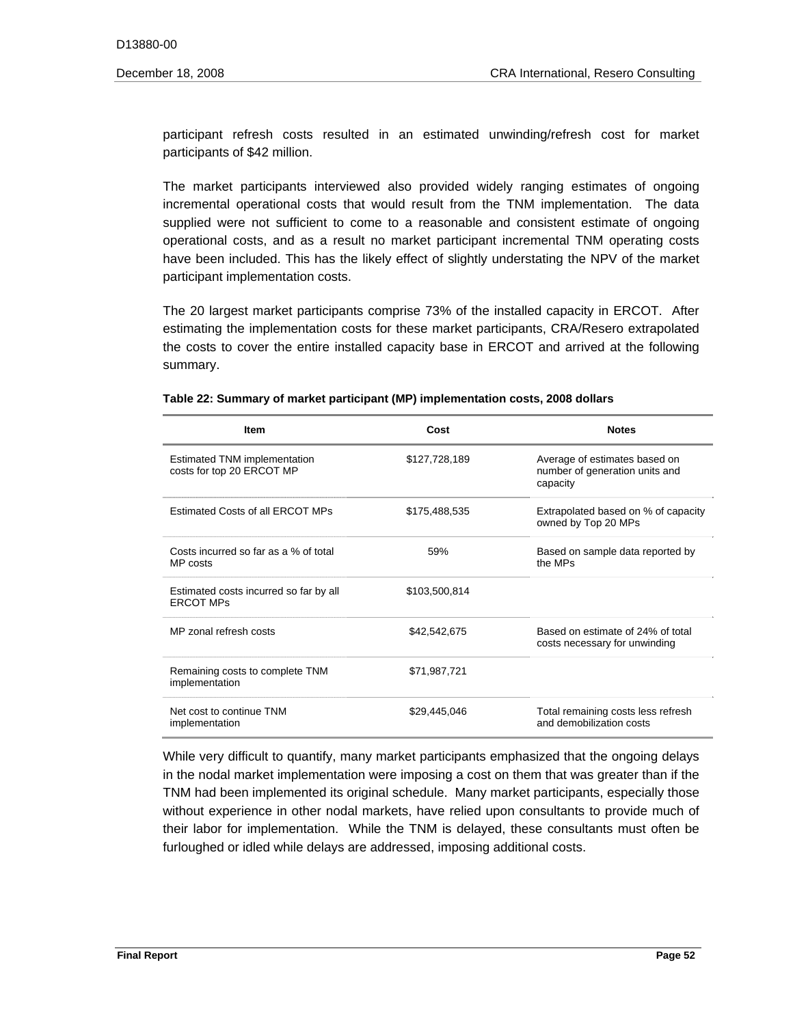participant refresh costs resulted in an estimated unwinding/refresh cost for market participants of \$42 million.

The market participants interviewed also provided widely ranging estimates of ongoing incremental operational costs that would result from the TNM implementation. The data supplied were not sufficient to come to a reasonable and consistent estimate of ongoing operational costs, and as a result no market participant incremental TNM operating costs have been included. This has the likely effect of slightly understating the NPV of the market participant implementation costs.

The 20 largest market participants comprise 73% of the installed capacity in ERCOT. After estimating the implementation costs for these market participants, CRA/Resero extrapolated the costs to cover the entire installed capacity base in ERCOT and arrived at the following summary.

| Cost<br><b>Item</b>                                              |               | <b>Notes</b>                                                                |
|------------------------------------------------------------------|---------------|-----------------------------------------------------------------------------|
| <b>Estimated TNM implementation</b><br>costs for top 20 ERCOT MP | \$127,728,189 | Average of estimates based on<br>number of generation units and<br>capacity |
| <b>Estimated Costs of all ERCOT MPs</b>                          | \$175,488,535 | Extrapolated based on % of capacity<br>owned by Top 20 MPs                  |
| Costs incurred so far as a % of total<br>MP costs                | 59%           | Based on sample data reported by<br>the MPs                                 |
| Estimated costs incurred so far by all<br><b>ERCOT MPs</b>       | \$103,500,814 |                                                                             |
| MP zonal refresh costs                                           | \$42,542,675  | Based on estimate of 24% of total<br>costs necessary for unwinding          |
| Remaining costs to complete TNM<br>implementation                | \$71,987,721  |                                                                             |
| Net cost to continue TNM<br>implementation                       | \$29,445,046  | Total remaining costs less refresh<br>and demobilization costs              |

#### **Table 22: Summary of market participant (MP) implementation costs, 2008 dollars**

While very difficult to quantify, many market participants emphasized that the ongoing delays in the nodal market implementation were imposing a cost on them that was greater than if the TNM had been implemented its original schedule. Many market participants, especially those without experience in other nodal markets, have relied upon consultants to provide much of their labor for implementation. While the TNM is delayed, these consultants must often be furloughed or idled while delays are addressed, imposing additional costs.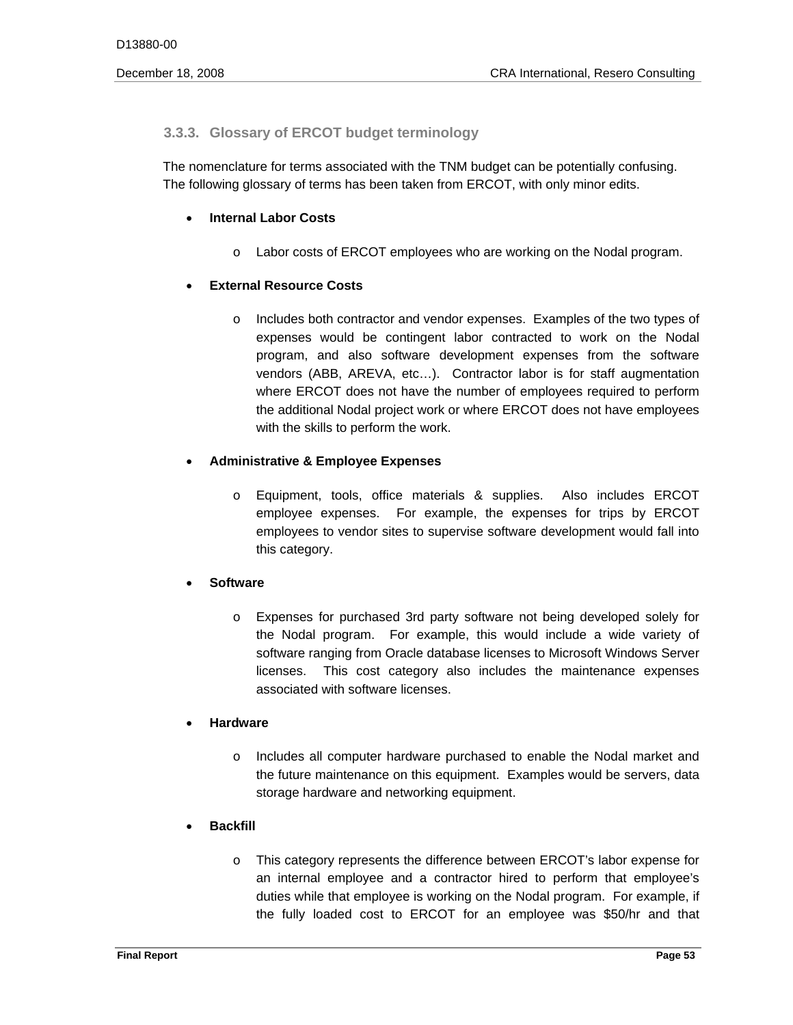# **3.3.3. Glossary of ERCOT budget terminology**

The nomenclature for terms associated with the TNM budget can be potentially confusing. The following glossary of terms has been taken from ERCOT, with only minor edits.

# **Internal Labor Costs**

 $\circ$  Labor costs of ERCOT employees who are working on the Nodal program.

# **External Resource Costs**

o Includes both contractor and vendor expenses. Examples of the two types of expenses would be contingent labor contracted to work on the Nodal program, and also software development expenses from the software vendors (ABB, AREVA, etc…). Contractor labor is for staff augmentation where ERCOT does not have the number of employees required to perform the additional Nodal project work or where ERCOT does not have employees with the skills to perform the work.

# **Administrative & Employee Expenses**

 $\circ$  Equipment, tools, office materials & supplies. Also includes ERCOT employee expenses. For example, the expenses for trips by ERCOT employees to vendor sites to supervise software development would fall into this category.

# **Software**

 $\circ$  Expenses for purchased 3rd party software not being developed solely for the Nodal program. For example, this would include a wide variety of software ranging from Oracle database licenses to Microsoft Windows Server licenses. This cost category also includes the maintenance expenses associated with software licenses.

# **Hardware**

o Includes all computer hardware purchased to enable the Nodal market and the future maintenance on this equipment. Examples would be servers, data storage hardware and networking equipment.

# **Backfill**

 $\circ$  This category represents the difference between ERCOT's labor expense for an internal employee and a contractor hired to perform that employee's duties while that employee is working on the Nodal program. For example, if the fully loaded cost to ERCOT for an employee was \$50/hr and that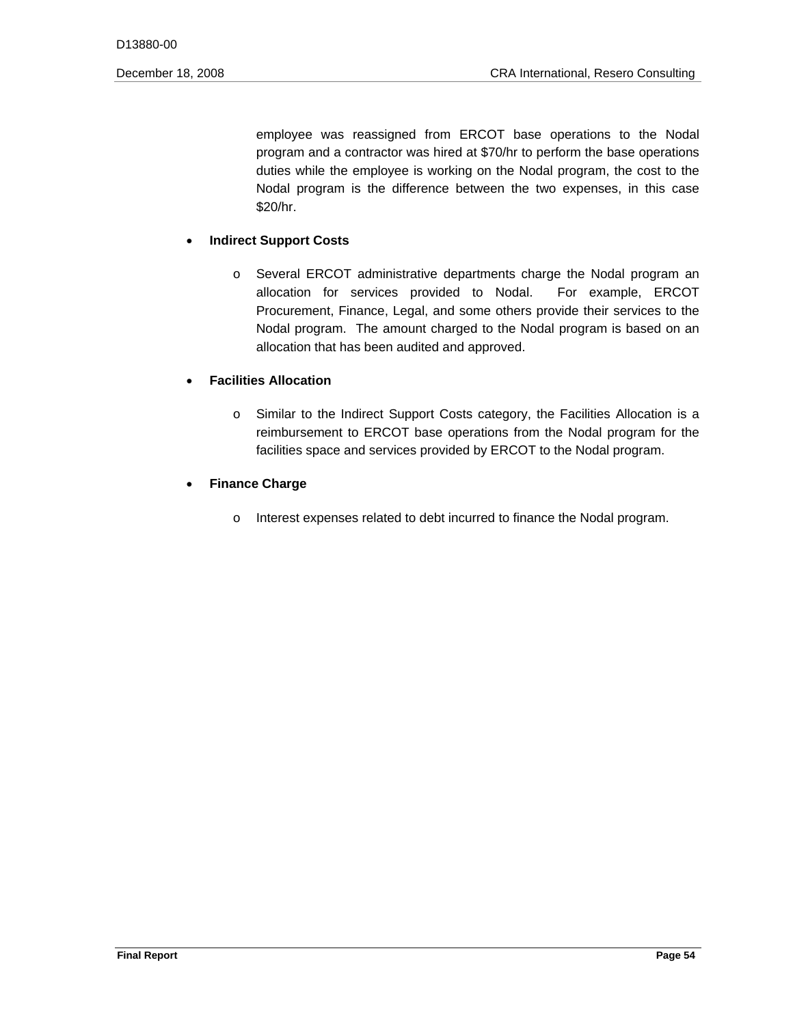employee was reassigned from ERCOT base operations to the Nodal program and a contractor was hired at \$70/hr to perform the base operations duties while the employee is working on the Nodal program, the cost to the Nodal program is the difference between the two expenses, in this case \$20/hr.

# **Indirect Support Costs**

o Several ERCOT administrative departments charge the Nodal program an allocation for services provided to Nodal. For example, ERCOT Procurement, Finance, Legal, and some others provide their services to the Nodal program. The amount charged to the Nodal program is based on an allocation that has been audited and approved.

# **Facilities Allocation**

o Similar to the Indirect Support Costs category, the Facilities Allocation is a reimbursement to ERCOT base operations from the Nodal program for the facilities space and services provided by ERCOT to the Nodal program.

# **Finance Charge**

o Interest expenses related to debt incurred to finance the Nodal program.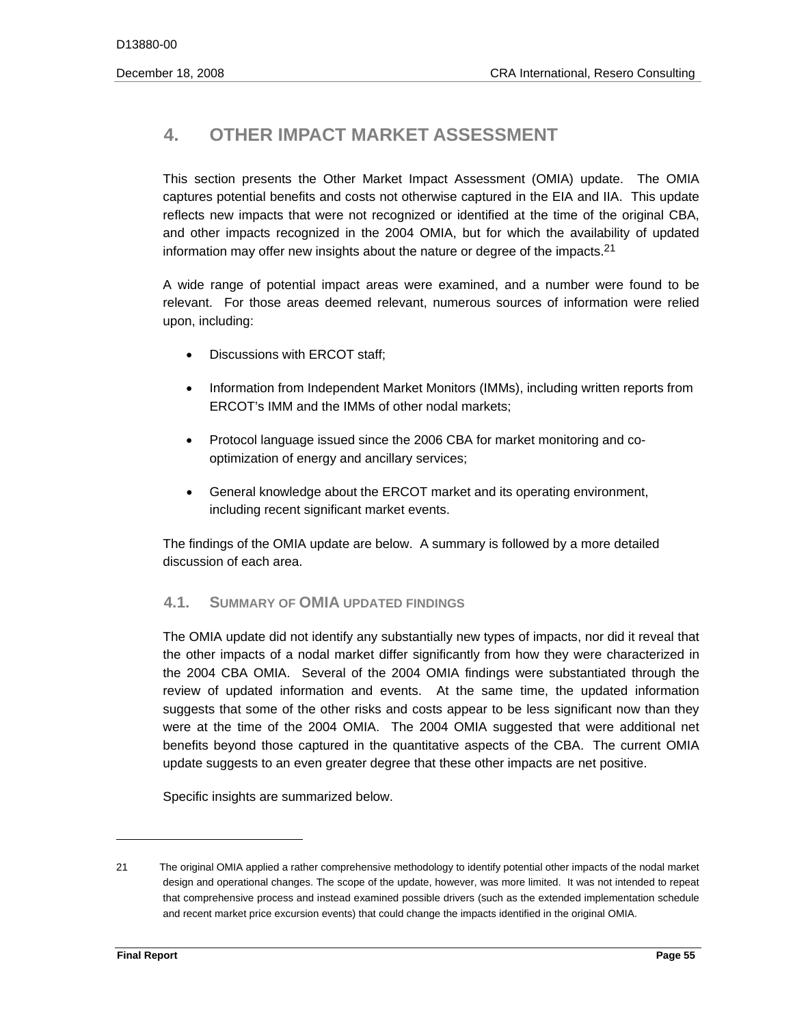# **4. OTHER IMPACT MARKET ASSESSMENT**

information may offer new insights about the nature or degree of the impacts.<sup>21</sup> This section presents the Other Market Impact Assessment (OMIA) update. The OMIA captures potential benefits and costs not otherwise captured in the EIA and IIA. This update reflects new impacts that were not recognized or identified at the time of the original CBA, and other impacts recognized in the 2004 OMIA, but for which the availability of updated

 A wide range of potential impact areas were examined, and a number were found to be relevant. For those areas deemed relevant, numerous sources of information were relied upon, including:

- Discussions with ERCOT staff;
- Information from Independent Market Monitors (IMMs), including written reports from ERCOT's IMM and the IMMs of other nodal markets;
- Protocol language issued since the 2006 CBA for market monitoring and cooptimization of energy and ancillary services;
- General knowledge about the ERCOT market and its operating environment, including recent significant market events.

The findings of the OMIA update are below. A summary is followed by a more detailed discussion of each area.

# **4.1. SUMMARY OF OMIA UPDATED FINDINGS**

The OMIA update did not identify any substantially new types of impacts, nor did it reveal that the other impacts of a nodal market differ significantly from how they were characterized in the 2004 CBA OMIA. Several of the 2004 OMIA findings were substantiated through the review of updated information and events. At the same time, the updated information suggests that some of the other risks and costs appear to be less significant now than they were at the time of the 2004 OMIA. The 2004 OMIA suggested that were additional net benefits beyond those captured in the quantitative aspects of the CBA. The current OMIA update suggests to an even greater degree that these other impacts are net positive.

Specific insights are summarized below.

 21 The original OMIA applied a rather comprehensive methodology to identify potential other impacts of the nodal market design and operational changes. The scope of the update, however, was more limited. It was not intended to repeat that comprehensive process and instead examined possible drivers (such as the extended implementation schedule and recent market price excursion events) that could change the impacts identified in the original OMIA.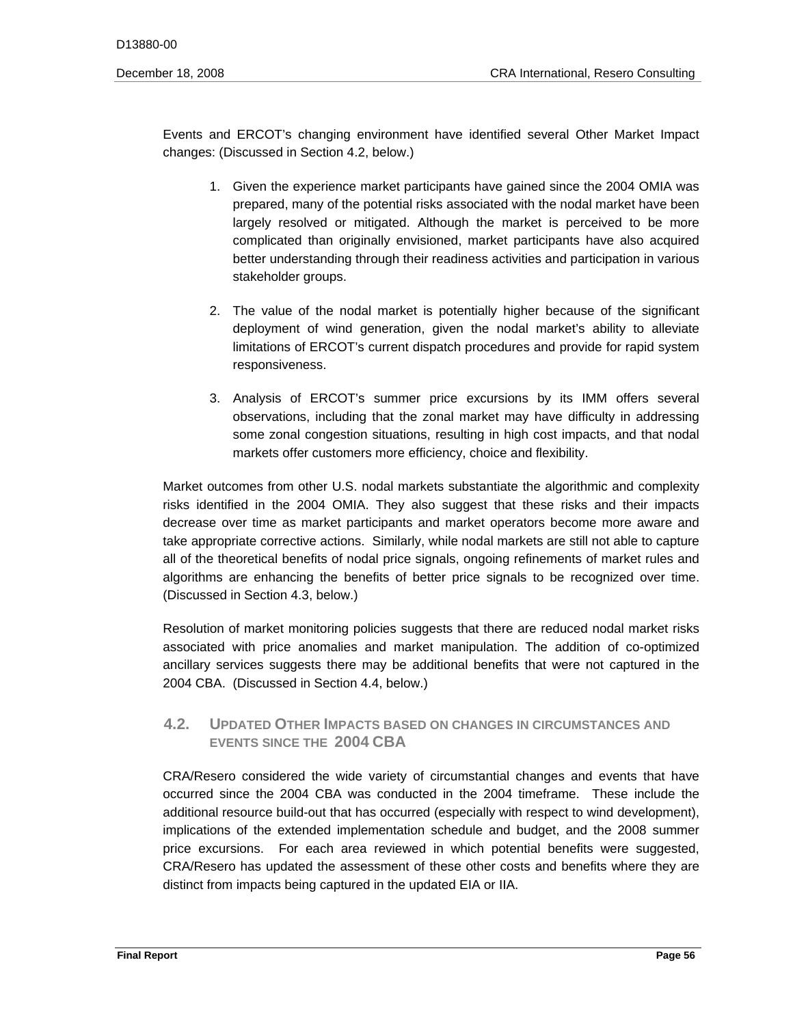Events and ERCOT's changing environment have identified several Other Market Impact changes: (Discussed in Section 4.2, below.)

- 1. Given the experience market participants have gained since the 2004 OMIA was prepared, many of the potential risks associated with the nodal market have been largely resolved or mitigated. Although the market is perceived to be more complicated than originally envisioned, market participants have also acquired better understanding through their readiness activities and participation in various stakeholder groups.
- 2. The value of the nodal market is potentially higher because of the significant deployment of wind generation, given the nodal market's ability to alleviate limitations of ERCOT's current dispatch procedures and provide for rapid system responsiveness.
- 3. Analysis of ERCOT's summer price excursions by its IMM offers several observations, including that the zonal market may have difficulty in addressing some zonal congestion situations, resulting in high cost impacts, and that nodal markets offer customers more efficiency, choice and flexibility.

algorithms are enhancing the benefits of better price signals to be recognized over time.<br>(Discussed in Section 4.3, below.) Market outcomes from other U.S. nodal markets substantiate the algorithmic and complexity risks identified in the 2004 OMIA. They also suggest that these risks and their impacts decrease over time as market participants and market operators become more aware and take appropriate corrective actions. Similarly, while nodal markets are still not able to capture all of the theoretical benefits of nodal price signals, ongoing refinements of market rules and

Resolution of market monitoring policies suggests that there are reduced nodal market risks associated with price anomalies and market manipulation. The addition of co-optimized ancillary services suggests there may be additional benefits that were not captured in the 2004 CBA. (Discussed in Section 4.4, below.)

# **4.2. UPDATED OTHER IMPACTS BASED ON CHANGES IN CIRCUMSTANCES AND EVENTS SINCE THE 2004 CBA**

CRA/Resero considered the wide variety of circumstantial changes and events that have occurred since the 2004 CBA was conducted in the 2004 timeframe. These include the additional resource build-out that has occurred (especially with respect to wind development), implications of the extended implementation schedule and budget, and the 2008 summer price excursions. For each area reviewed in which potential benefits were suggested, CRA/Resero has updated the assessment of these other costs and benefits where they are distinct from impacts being captured in the updated EIA or IIA.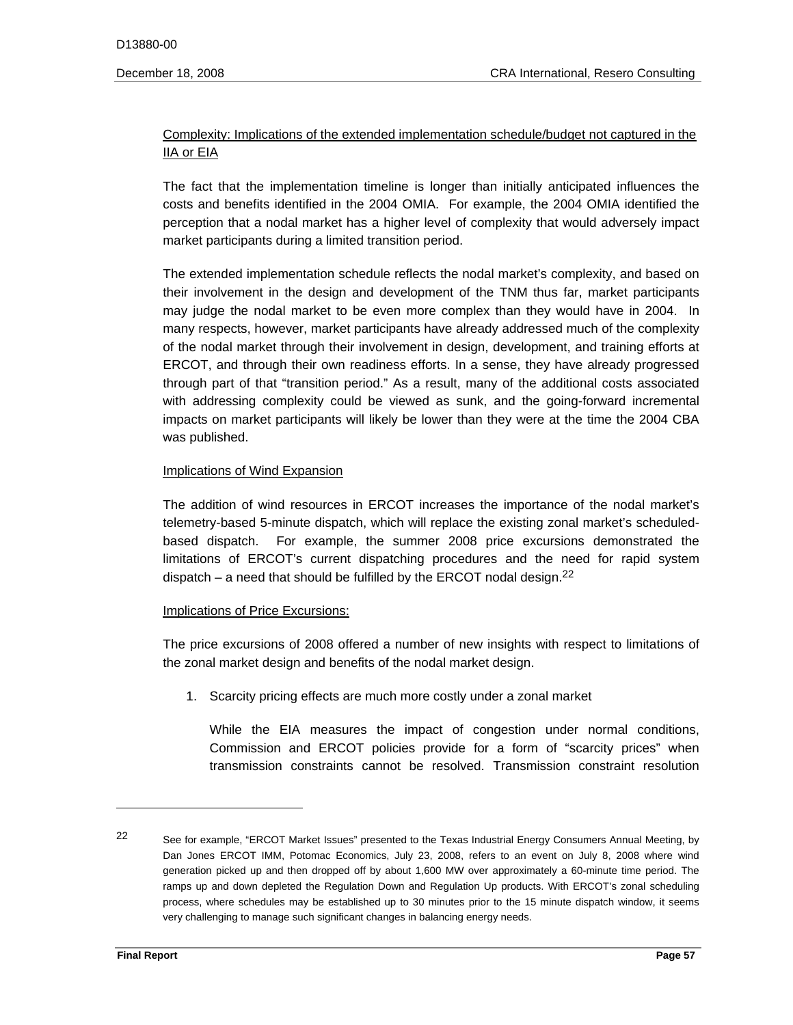# Complexity: Implications of the extended implementation schedule/budget not captured in the IIA or EIA

The fact that the implementation timeline is longer than initially anticipated influences the costs and benefits identified in the 2004 OMIA. For example, the 2004 OMIA identified the perception that a nodal market has a higher level of complexity that would adversely impact market participants during a limited transition period.

The extended implementation schedule reflects the nodal market's complexity, and based on their involvement in the design and development of the TNM thus far, market participants may judge the nodal market to be even more complex than they would have in 2004. In many respects, however, market participants have already addressed much of the complexity of the nodal market through their involvement in design, development, and training efforts at ERCOT, and through their own readiness efforts. In a sense, they have already progressed through part of that "transition period." As a result, many of the additional costs associated with addressing complexity could be viewed as sunk, and the going-forward incremental impacts on market participants will likely be lower than they were at the time the 2004 CBA was published.

#### Implications of Wind Expansion

The addition of wind resources in ERCOT increases the importance of the nodal market's telemetry-based 5-minute dispatch, which will replace the existing zonal market's scheduledbased dispatch. For example, the summer 2008 price excursions demonstrated the limitations of ERCOT's current dispatching procedures and the need for rapid system dispatch – a need that should be fulfilled by the ERCOT nodal design.<sup>22</sup>

# Implications of Price Excursions:

The price excursions of 2008 offered a number of new insights with respect to limitations of the zonal market design and benefits of the nodal market design.

1. Scarcity pricing effects are much more costly under a zonal market

 While the EIA measures the impact of congestion under normal conditions, Commission and ERCOT policies provide for a form of "scarcity prices" when transmission constraints cannot be resolved. Transmission constraint resolution

 22 See for example, "ERCOT Market Issues" presented to the Texas Industrial Energy Consumers Annual Meeting, by Dan Jones ERCOT IMM, Potomac Economics, July 23, 2008, refers to an event on July 8, 2008 where wind generation picked up and then dropped off by about 1,600 MW over approximately a 60-minute time period. The ramps up and down depleted the Regulation Down and Regulation Up products. With ERCOT's zonal scheduling process, where schedules may be established up to 30 minutes prior to the 15 minute dispatch window, it seems very challenging to manage such significant changes in balancing energy needs.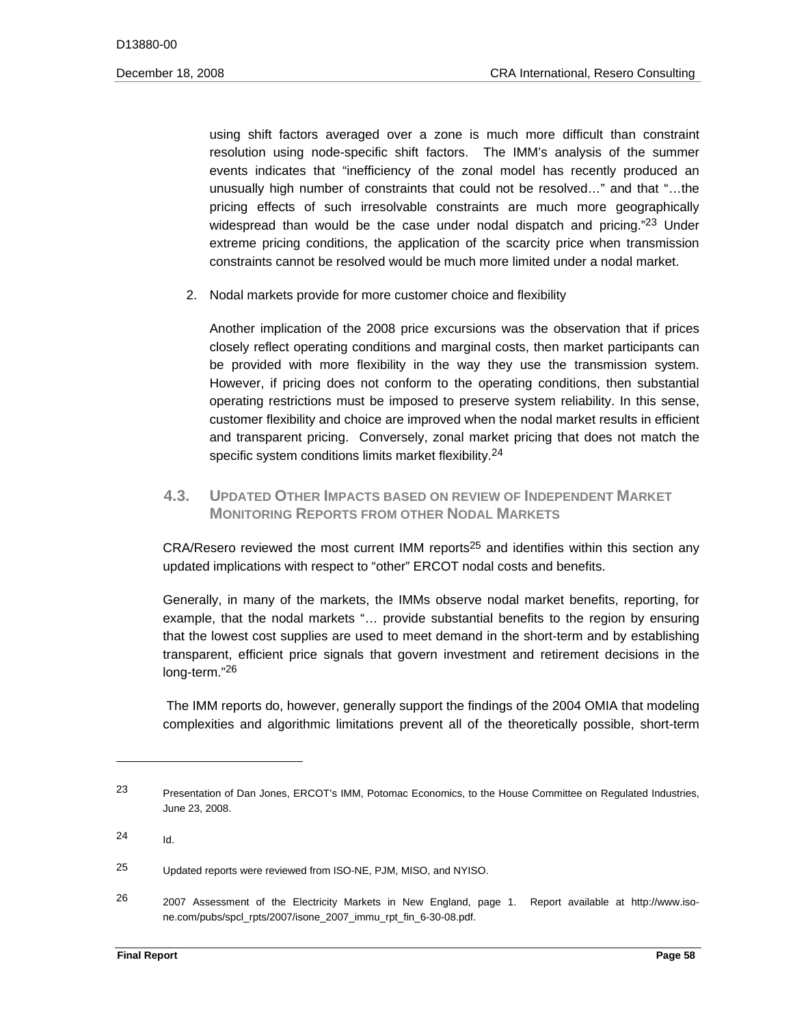using shift factors averaged over a zone is much more difficult than constraint resolution using node-specific shift factors. The IMM's analysis of the summer events indicates that "inefficiency of the zonal model has recently produced an unusually high number of constraints that could not be resolved…" and that "…the pricing effects of such irresolvable constraints are much more geographically widespread than would be the case under nodal dispatch and pricing.<sup>"23</sup> Under extreme pricing conditions, the application of the scarcity price when transmission constraints cannot be resolved would be much more limited under a nodal market.

2. Nodal markets provide for more customer choice and flexibility

Another implication of the 2008 price excursions was the observation that if prices closely reflect operating conditions and marginal costs, then market participants can be provided with more flexibility in the way they use the transmission system. However, if pricing does not conform to the operating conditions, then substantial operating restrictions must be imposed to preserve system reliability. In this sense, customer flexibility and choice are improved when the nodal market results in efficient and transparent pricing. Conversely, zonal market pricing that does not match the specific system conditions limits market flexibility.<sup>24</sup>

# **4.3. UPDATED OTHER IMPACTS BASED ON REVIEW OF INDEPENDENT MARKET MONITORING REPORTS FROM OTHER NODAL MARKETS**

 $CRA/Resero$  reviewed the most current IMM reports<sup>25</sup> and identifies within this section any updated implications with respect to "other" ERCOT nodal costs and benefits.

 example, that the nodal markets "… provide substantial benefits to the region by ensuring long-term."<sup>26</sup> Generally, in many of the markets, the IMMs observe nodal market benefits, reporting, for that the lowest cost supplies are used to meet demand in the short-term and by establishing transparent, efficient price signals that govern investment and retirement decisions in the

The IMM reports do, however, generally support the findings of the 2004 OMIA that modeling complexities and algorithmic limitations prevent all of the theoretically possible, short-term

<sup>23</sup> Presentation of Dan Jones, ERCOT's IMM, Potomac Economics, to the House Committee on Regulated Industries, June 23, 2008.

<sup>24</sup> 24 Id.

<sup>25</sup> Updated reports were reviewed from ISO-NE, PJM, MISO, and NYISO.

<sup>26</sup> 26 2007 Assessment of the Electricity Markets in New England, page 1. Report available at http://www.isone.com/pubs/spcl\_rpts/2007/isone\_2007\_immu\_rpt\_fin\_6-30-08.pdf.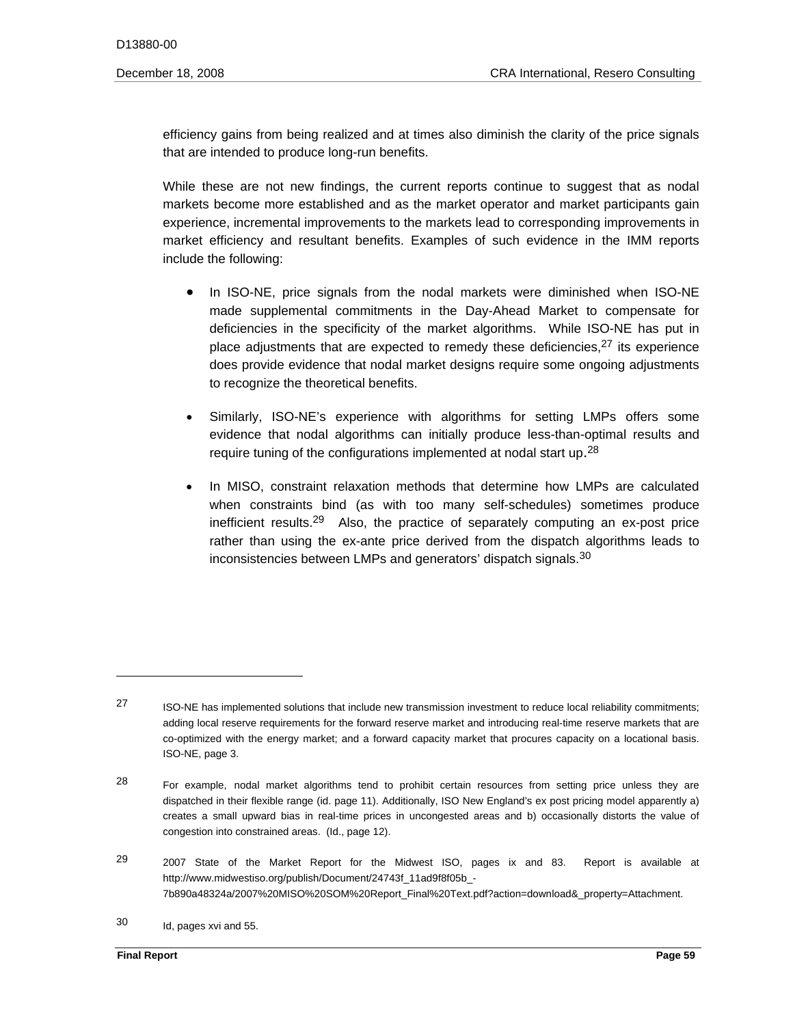efficiency gains from being realized and at times also diminish the clarity of the price signals that are intended to produce long-run benefits.

While these are not new findings, the current reports continue to suggest that as nodal markets become more established and as the market operator and market participants gain experience, incremental improvements to the markets lead to corresponding improvements in market efficiency and resultant benefits. Examples of such evidence in the IMM reports include the following:

- to recognize the theoretical benefits. In ISO-NE, price signals from the nodal markets were diminished when ISO-NE made supplemental commitments in the Day-Ahead Market to compensate for deficiencies in the specificity of the market algorithms. While ISO-NE has put in place adjustments that are expected to remedy these deficiencies,<sup>27</sup> its experience does provide evidence that nodal market designs require some ongoing adjustments
- require tuning of the configurations implemented at nodal start up.<sup>28</sup> Similarly, ISO-NE's experience with algorithms for setting LMPs offers some evidence that nodal algorithms can initially produce less-than-optimal results and
- inconsistencies between LMPs and generators' dispatch signals.<sup>30</sup> In MISO, constraint relaxation methods that determine how LMPs are calculated when constraints bind (as with too many self-schedules) sometimes produce inefficient results.29 Also, the practice of separately computing an ex-post price rather than using the ex-ante price derived from the dispatch algorithms leads to

<sup>27</sup> 27 ISO-NE has implemented solutions that include new transmission investment to reduce local reliability commitments; adding local reserve requirements for the forward reserve market and introducing real-time reserve markets that are co-optimized with the energy market; and a forward capacity market that procures capacity on a locational basis. ISO-NE, page 3.

<sup>28</sup> For example, nodal market algorithms tend to prohibit certain resources from setting price unless they are dispatched in their flexible range (id. page 11). Additionally, ISO New England's ex post pricing model apparently a) creates a small upward bias in real-time prices in uncongested areas and b) occasionally distorts the value of congestion into constrained areas. (Id., page 12).

<sup>29</sup> 29 2007 State of the Market Report for the Midwest ISO, pages ix and 83. Report is available at http://www.midwestiso.org/publish/Document/24743f\_11ad9f8f05b\_-7b890a48324a/2007%20MISO%20SOM%20Report\_Final%20Text.pdf?action=download&\_property=Attachment.

<sup>30</sup> Id, pages xvi and 55.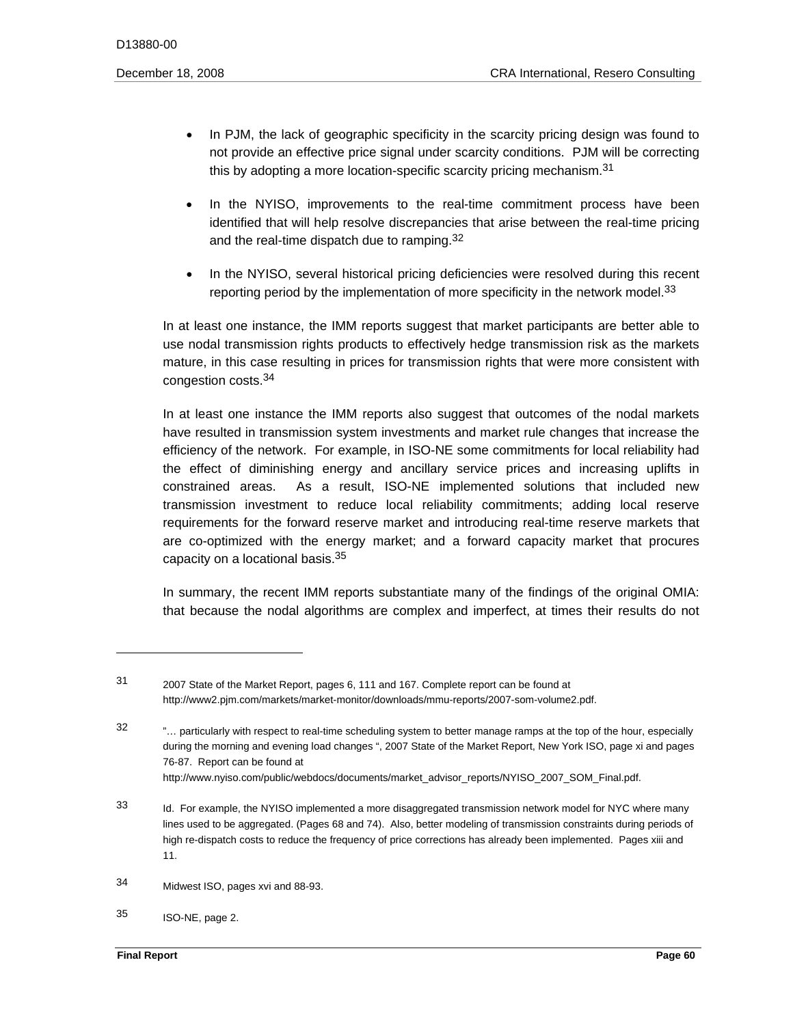- In PJM, the lack of geographic specificity in the scarcity pricing design was found to not provide an effective price signal under scarcity conditions. PJM will be correcting this by adopting a more location-specific scarcity pricing mechanism.<sup>31</sup>
- and the real-time dispatch due to ramping. $32$ In the NYISO, improvements to the real-time commitment process have been identified that will help resolve discrepancies that arise between the real-time pricing
- In the NYISO, several historical pricing deficiencies were resolved during this recent reporting period by the implementation of more specificity in the network model. $33$

In at least one instance, the IMM reports suggest that market participants are better able to use nodal transmission rights products to effectively hedge transmission risk as the markets mature, in this case resulting in prices for transmission rights that were more consistent with congestion costs.34

capacity on a locational basis.<sup>35</sup> In at least one instance the IMM reports also suggest that outcomes of the nodal markets have resulted in transmission system investments and market rule changes that increase the efficiency of the network. For example, in ISO-NE some commitments for local reliability had the effect of diminishing energy and ancillary service prices and increasing uplifts in constrained areas. As a result, ISO-NE implemented solutions that included new transmission investment to reduce local reliability commitments; adding local reserve requirements for the forward reserve market and introducing real-time reserve markets that are co-optimized with the energy market; and a forward capacity market that procures

In summary, the recent IMM reports substantiate many of the findings of the original OMIA: that because the nodal algorithms are complex and imperfect, at times their results do not

 $31$ 31 2007 State of the Market Report, pages 6, 111 and 167. Complete report can be found at http://www2.pjm.com/markets/market-monitor/downloads/mmu-reports/2007-som-volume2.pdf.

<sup>32</sup> "... particularly with respect to real-time scheduling system to better manage ramps at the top of the hour, especially during the morning and evening load changes ", 2007 State of the Market Report, New York ISO, page xi and pages 76-87. Report can be found at http://www.nyiso.com/public/webdocs/documents/market\_advisor\_reports/NYISO\_2007\_SOM\_Final.pdf.

<sup>33</sup> Id. For example, the NYISO implemented a more disaggregated transmission network model for NYC where many lines used to be aggregated. (Pages 68 and 74). Also, better modeling of transmission constraints during periods of high re-dispatch costs to reduce the frequency of price corrections has already been implemented. Pages xiii and 11.

<sup>34</sup> Midwest ISO, pages xvi and 88-93.

<sup>35</sup> ISO-NE, page 2.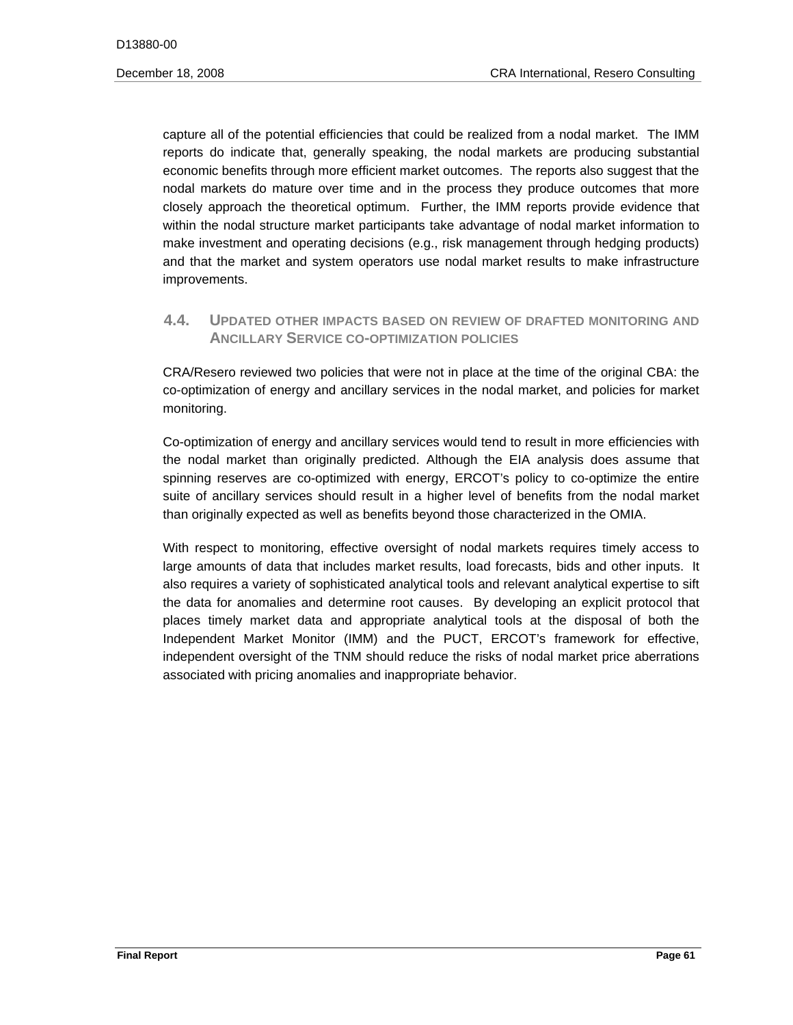capture all of the potential efficiencies that could be realized from a nodal market. The IMM reports do indicate that, generally speaking, the nodal markets are producing substantial economic benefits through more efficient market outcomes. The reports also suggest that the nodal markets do mature over time and in the process they produce outcomes that more closely approach the theoretical optimum. Further, the IMM reports provide evidence that within the nodal structure market participants take advantage of nodal market information to make investment and operating decisions (e.g., risk management through hedging products) and that the market and system operators use nodal market results to make infrastructure improvements.

# **4.4. UPDATED OTHER IMPACTS BASED ON REVIEW OF DRAFTED MONITORING AND ANCILLARY SERVICE CO-OPTIMIZATION POLICIES**

CRA/Resero reviewed two policies that were not in place at the time of the original CBA: the co-optimization of energy and ancillary services in the nodal market, and policies for market monitoring.

Co-optimization of energy and ancillary services would tend to result in more efficiencies with the nodal market than originally predicted. Although the EIA analysis does assume that spinning reserves are co-optimized with energy, ERCOT's policy to co-optimize the entire suite of ancillary services should result in a higher level of benefits from the nodal market than originally expected as well as benefits beyond those characterized in the OMIA.

With respect to monitoring, effective oversight of nodal markets requires timely access to large amounts of data that includes market results, load forecasts, bids and other inputs. It also requires a variety of sophisticated analytical tools and relevant analytical expertise to sift the data for anomalies and determine root causes. By developing an explicit protocol that places timely market data and appropriate analytical tools at the disposal of both the Independent Market Monitor (IMM) and the PUCT, ERCOT's framework for effective, independent oversight of the TNM should reduce the risks of nodal market price aberrations associated with pricing anomalies and inappropriate behavior.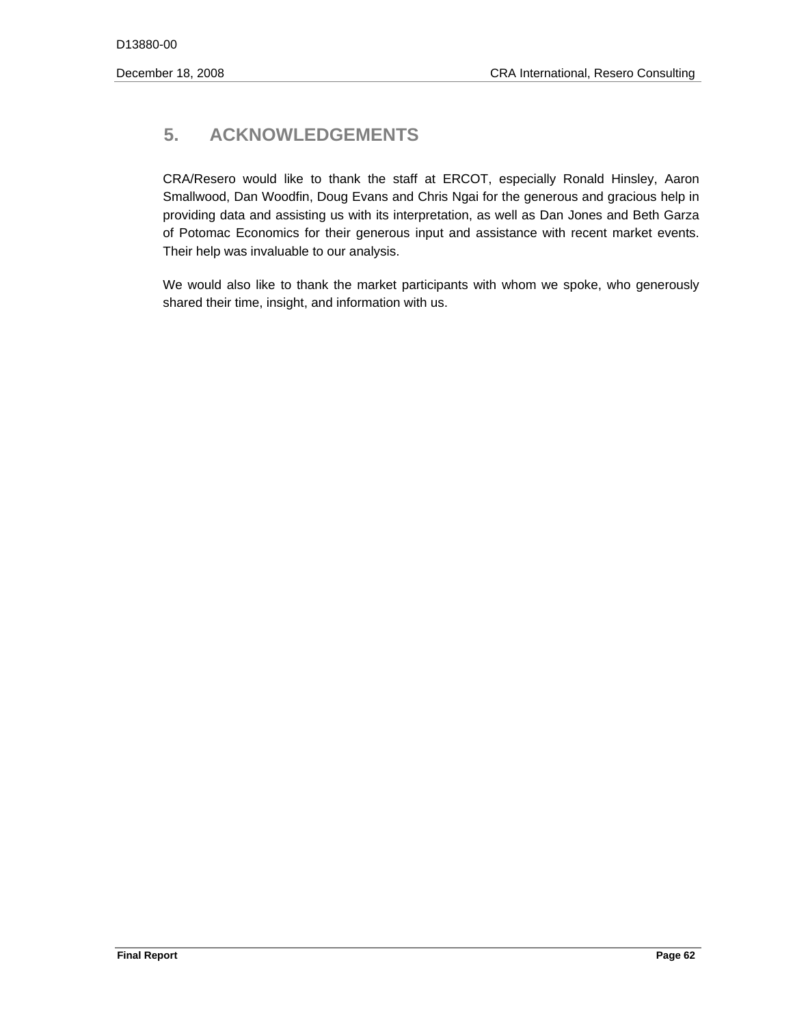# **5. ACKNOWLEDGEMENTS**

CRA/Resero would like to thank the staff at ERCOT, especially Ronald Hinsley, Aaron Smallwood, Dan Woodfin, Doug Evans and Chris Ngai for the generous and gracious help in providing data and assisting us with its interpretation, as well as Dan Jones and Beth Garza of Potomac Economics for their generous input and assistance with recent market events. Their help was invaluable to our analysis.

We would also like to thank the market participants with whom we spoke, who generously shared their time, insight, and information with us.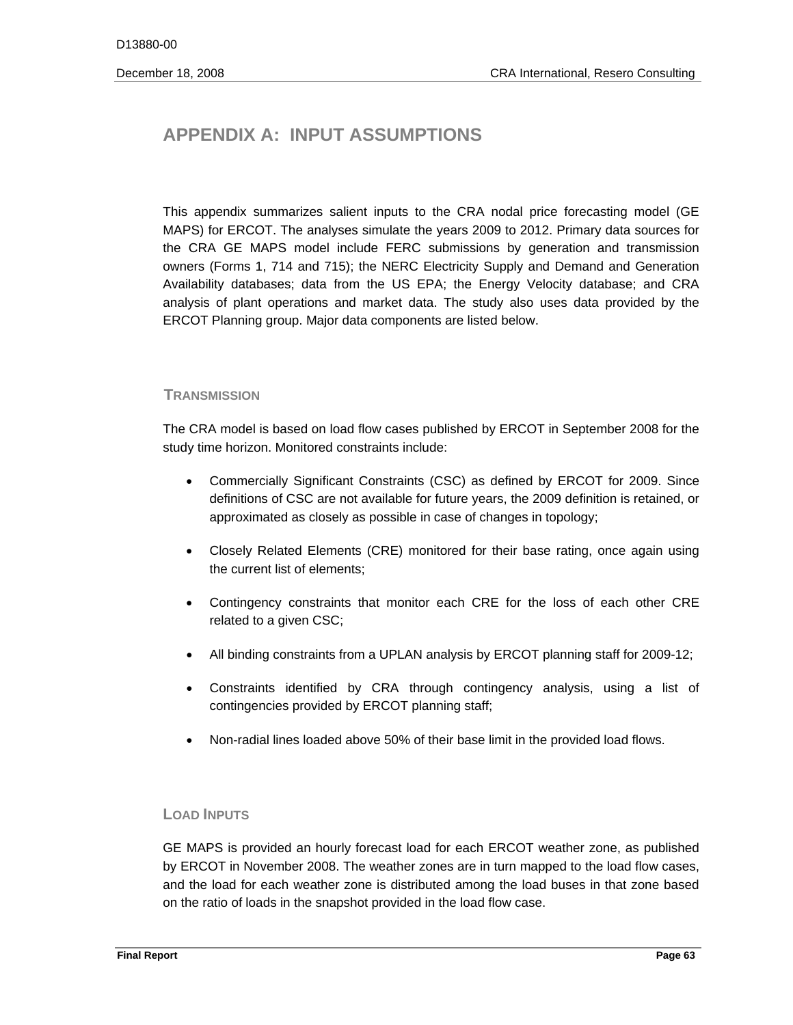# **APPENDIX A: INPUT ASSUMPTIONS**

This appendix summarizes salient inputs to the CRA nodal price forecasting model (GE MAPS) for ERCOT. The analyses simulate the years 2009 to 2012. Primary data sources for the CRA GE MAPS model include FERC submissions by generation and transmission owners (Forms 1, 714 and 715); the NERC Electricity Supply and Demand and Generation Availability databases; data from the US EPA; the Energy Velocity database; and CRA analysis of plant operations and market data. The study also uses data provided by the ERCOT Planning group. Major data components are listed below.

# **TRANSMISSION**

The CRA model is based on load flow cases published by ERCOT in September 2008 for the study time horizon. Monitored constraints include:

- Commercially Significant Constraints (CSC) as defined by ERCOT for 2009. Since definitions of CSC are not available for future years, the 2009 definition is retained, or approximated as closely as possible in case of changes in topology;
- Closely Related Elements (CRE) monitored for their base rating, once again using the current list of elements;
- Contingency constraints that monitor each CRE for the loss of each other CRE related to a given CSC;
- All binding constraints from a UPLAN analysis by ERCOT planning staff for 2009-12;
- Constraints identified by CRA through contingency analysis, using a list of contingencies provided by ERCOT planning staff;
- Non-radial lines loaded above 50% of their base limit in the provided load flows.

# **LOAD INPUTS**

GE MAPS is provided an hourly forecast load for each ERCOT weather zone, as published by ERCOT in November 2008. The weather zones are in turn mapped to the load flow cases, and the load for each weather zone is distributed among the load buses in that zone based on the ratio of loads in the snapshot provided in the load flow case.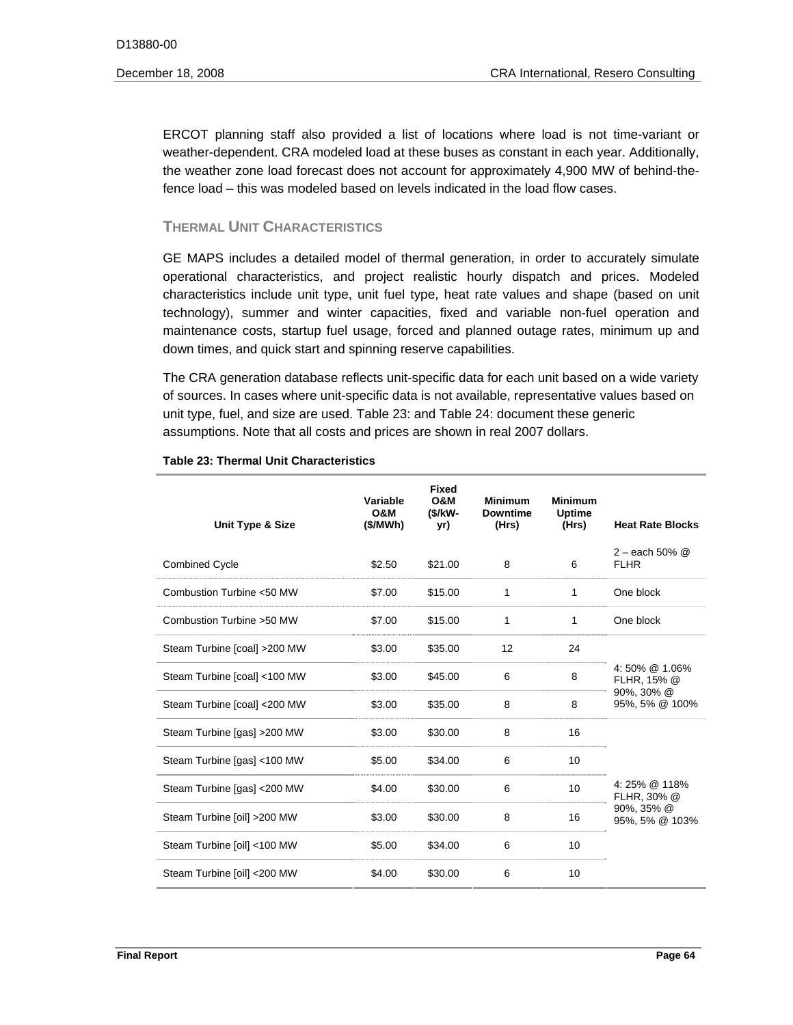ERCOT planning staff also provided a list of locations where load is not time-variant or weather-dependent. CRA modeled load at these buses as constant in each year. Additionally, the weather zone load forecast does not account for approximately 4,900 MW of behind-thefence load – this was modeled based on levels indicated in the load flow cases.

# **THERMAL UNIT CHARACTERISTICS**

GE MAPS includes a detailed model of thermal generation, in order to accurately simulate operational characteristics, and project realistic hourly dispatch and prices. Modeled characteristics include unit type, unit fuel type, heat rate values and shape (based on unit technology), summer and winter capacities, fixed and variable non-fuel operation and maintenance costs, startup fuel usage, forced and planned outage rates, minimum up and down times, and quick start and spinning reserve capabilities.

The CRA generation database reflects unit-specific data for each unit based on a wide variety of sources. In cases where unit-specific data is not available, representative values based on unit type, fuel, and size are used. Table 23: and Table 24: document these generic assumptions. Note that all costs and prices are shown in real 2007 dollars.

| Unit Type & Size              | Variable<br><b>O&amp;M</b><br>(S/MWh) | <b>Fixed</b><br><b>O&amp;M</b><br>(\$/kW-<br>yr) | <b>Minimum</b><br><b>Downtime</b><br>(Hrs) | <b>Minimum</b><br><b>Uptime</b><br>(Hrs) | <b>Heat Rate Blocks</b>                                      |  |
|-------------------------------|---------------------------------------|--------------------------------------------------|--------------------------------------------|------------------------------------------|--------------------------------------------------------------|--|
| <b>Combined Cycle</b>         | \$2.50                                | \$21.00                                          | 8                                          | 6                                        | $2 -$ each 50% $@$<br><b>FLHR</b>                            |  |
| Combustion Turbine <50 MW     | \$7.00                                | \$15.00                                          | 1                                          | 1                                        | One block                                                    |  |
| Combustion Turbine > 50 MW    | \$7.00                                | \$15.00                                          | 1                                          | 1                                        | One block                                                    |  |
| Steam Turbine [coal] > 200 MW | \$3.00                                | \$35.00                                          | 12                                         | 24                                       |                                                              |  |
| Steam Turbine [coal] <100 MW  | \$3.00                                | \$45.00                                          | 6                                          | 8                                        | 4:50% @ 1.06%<br>FLHR, 15% @<br>90%, 30% @<br>95%, 5% @ 100% |  |
| Steam Turbine [coal] <200 MW  | \$3.00                                | \$35.00                                          | 8                                          | 8                                        |                                                              |  |
| Steam Turbine [gas] > 200 MW  | \$3.00                                | \$30.00                                          | 8                                          | 16                                       |                                                              |  |
| Steam Turbine [gas] <100 MW   | \$5.00                                | \$34.00                                          | 6                                          | 10                                       |                                                              |  |
| Steam Turbine [gas] <200 MW   | \$4.00                                | \$30.00                                          | 6                                          | 10                                       | 4:25% @ 118%<br>FLHR, 30% @                                  |  |
| Steam Turbine [oil] >200 MW   | \$3.00                                | \$30.00                                          | 8                                          | 16                                       | 90%, 35% @<br>95%, 5% @ 103%                                 |  |
| Steam Turbine [oil] <100 MW   | \$5.00                                | \$34.00                                          | 6                                          | 10                                       |                                                              |  |
| Steam Turbine [oil] <200 MW   | \$4.00                                | \$30.00                                          | 6                                          | 10                                       |                                                              |  |

#### **Table 23: Thermal Unit Characteristics**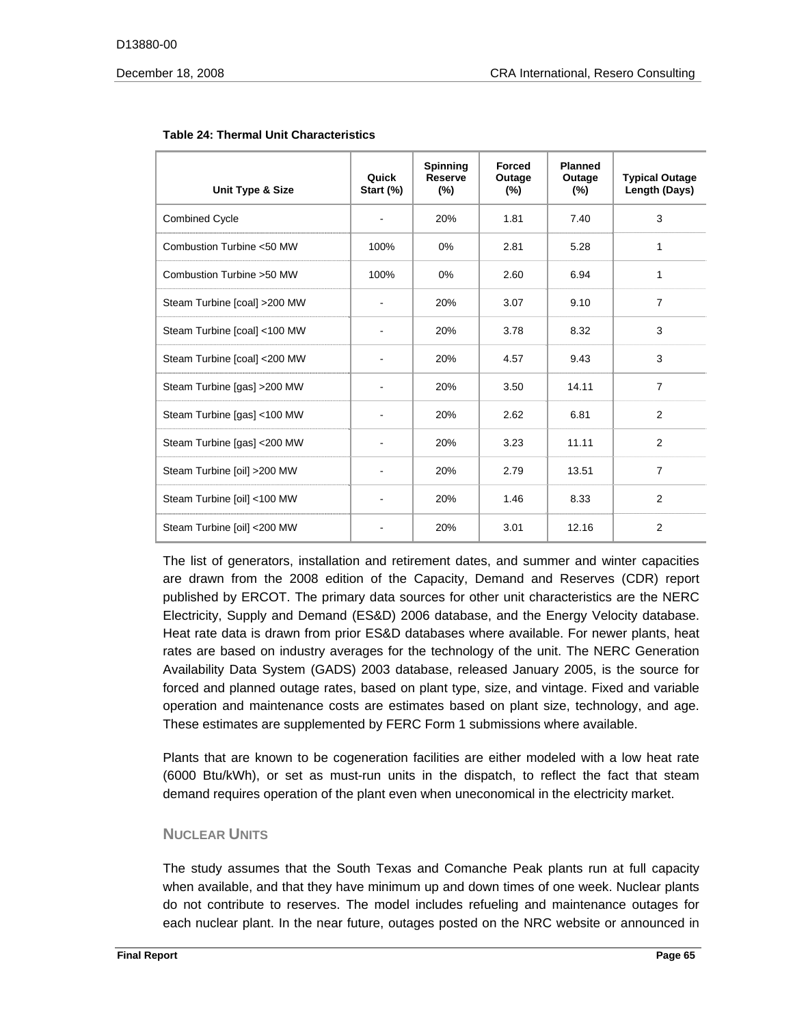| Unit Type & Size              | Quick<br>Start (%) | <b>Spinning</b><br><b>Reserve</b><br>$(\%)$ | <b>Forced</b><br>Outage<br>(%) | <b>Planned</b><br>Outage<br>$(\%)$ | <b>Typical Outage</b><br>Length (Days) |
|-------------------------------|--------------------|---------------------------------------------|--------------------------------|------------------------------------|----------------------------------------|
| <b>Combined Cycle</b>         | ٠                  | 20%                                         | 1.81                           | 7.40                               | 3                                      |
| Combustion Turbine <50 MW     | 100%               | $0\%$                                       | 2.81                           | 5.28                               | 1                                      |
| Combustion Turbine > 50 MW    | 100%               | 0%                                          | 2.60                           | 6.94                               | 1                                      |
| Steam Turbine [coal] > 200 MW |                    | 20%                                         | 3.07                           | 9.10                               | $\overline{7}$                         |
| Steam Turbine [coal] <100 MW  |                    | 20%                                         | 3.78                           | 8.32                               | 3                                      |
| Steam Turbine [coal] < 200 MW |                    | 20%                                         | 4.57                           | 9.43                               | 3                                      |
| Steam Turbine [gas] > 200 MW  |                    | 20%                                         | 3.50                           | 14.11                              | $\overline{7}$                         |
| Steam Turbine [gas] <100 MW   |                    | 20%                                         | 2.62                           | 6.81                               | 2                                      |
| Steam Turbine [gas] <200 MW   |                    | 20%                                         | 3.23                           | 11.11                              | 2                                      |
| Steam Turbine [oil] >200 MW   |                    | 20%                                         | 2.79                           | 13.51                              | $\overline{7}$                         |
| Steam Turbine [oil] <100 MW   |                    | 20%                                         | 1.46                           | 8.33                               | 2                                      |
| Steam Turbine [oil] <200 MW   |                    | 20%                                         | 3.01                           | 12.16                              | 2                                      |

#### **Table 24: Thermal Unit Characteristics**

The list of generators, installation and retirement dates, and summer and winter capacities are drawn from the 2008 edition of the Capacity, Demand and Reserves (CDR) report published by ERCOT. The primary data sources for other unit characteristics are the NERC Electricity, Supply and Demand (ES&D) 2006 database, and the Energy Velocity database. Heat rate data is drawn from prior ES&D databases where available. For newer plants, heat rates are based on industry averages for the technology of the unit. The NERC Generation Availability Data System (GADS) 2003 database, released January 2005, is the source for forced and planned outage rates, based on plant type, size, and vintage. Fixed and variable operation and maintenance costs are estimates based on plant size, technology, and age. These estimates are supplemented by FERC Form 1 submissions where available.

Plants that are known to be cogeneration facilities are either modeled with a low heat rate (6000 Btu/kWh), or set as must-run units in the dispatch, to reflect the fact that steam demand requires operation of the plant even when uneconomical in the electricity market.

# **NUCLEAR UNITS**

The study assumes that the South Texas and Comanche Peak plants run at full capacity when available, and that they have minimum up and down times of one week. Nuclear plants do not contribute to reserves. The model includes refueling and maintenance outages for each nuclear plant. In the near future, outages posted on the NRC website or announced in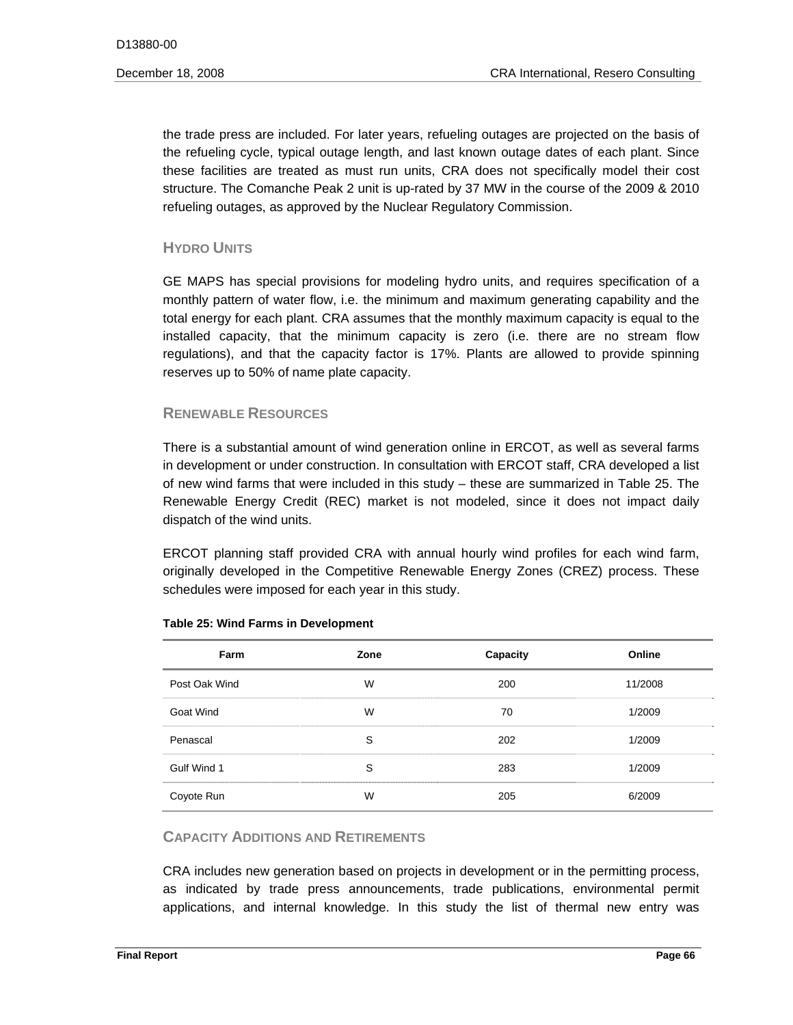the trade press are included. For later years, refueling outages are projected on the basis of the refueling cycle, typical outage length, and last known outage dates of each plant. Since these facilities are treated as must run units, CRA does not specifically model their cost structure. The Comanche Peak 2 unit is up-rated by 37 MW in the course of the 2009 & 2010 refueling outages, as approved by the Nuclear Regulatory Commission.

# **HYDRO UNITS**

GE MAPS has special provisions for modeling hydro units, and requires specification of a monthly pattern of water flow, i.e. the minimum and maximum generating capability and the total energy for each plant. CRA assumes that the monthly maximum capacity is equal to the installed capacity, that the minimum capacity is zero (i.e. there are no stream flow regulations), and that the capacity factor is 17%. Plants are allowed to provide spinning reserves up to 50% of name plate capacity.

# **RENEWABLE RESOURCES**

There is a substantial amount of wind generation online in ERCOT, as well as several farms in development or under construction. In consultation with ERCOT staff, CRA developed a list of new wind farms that were included in this study – these are summarized in Table 25. The Renewable Energy Credit (REC) market is not modeled, since it does not impact daily dispatch of the wind units.

ERCOT planning staff provided CRA with annual hourly wind profiles for each wind farm, originally developed in the Competitive Renewable Energy Zones (CREZ) process. These schedules were imposed for each year in this study.

| Farm          | Zone | Capacity | Online  |
|---------------|------|----------|---------|
| Post Oak Wind | W    | 200      | 11/2008 |
| Goat Wind     | W    | 70       | 1/2009  |
| Penascal      | S    | 202      | 1/2009  |
| Gulf Wind 1   | S    | 283      | 1/2009  |
| Coyote Run    | W    | 205      | 6/2009  |

# **Table 25: Wind Farms in Development**

# **CAPACITY ADDITIONS AND RETIREMENTS**

CRA includes new generation based on projects in development or in the permitting process, as indicated by trade press announcements, trade publications, environmental permit applications, and internal knowledge. In this study the list of thermal new entry was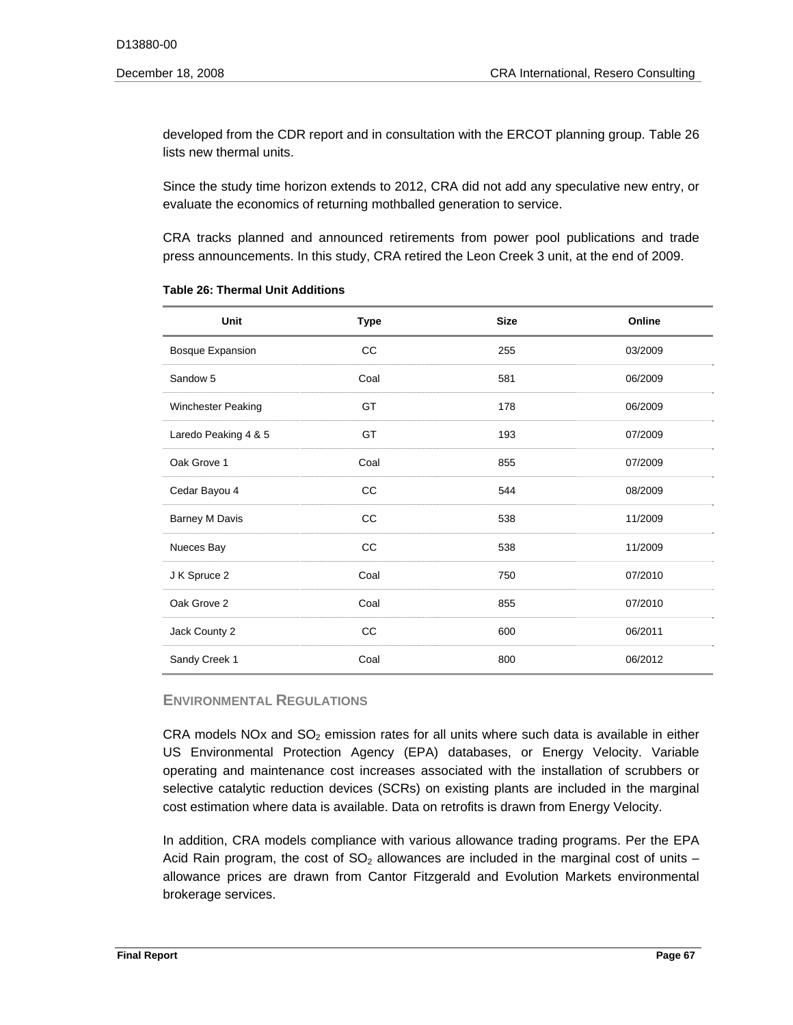developed from the CDR report and in consultation with the ERCOT planning group. Table 26 lists new thermal units.

Since the study time horizon extends to 2012, CRA did not add any speculative new entry, or evaluate the economics of returning mothballed generation to service.

CRA tracks planned and announced retirements from power pool publications and trade press announcements. In this study, CRA retired the Leon Creek 3 unit, at the end of 2009.

| Unit                    | <b>Type</b> | <b>Size</b> | Online  |
|-------------------------|-------------|-------------|---------|
| <b>Bosque Expansion</b> | cc          | 255         | 03/2009 |
| Sandow 5                | Coal        | 581         | 06/2009 |
| Winchester Peaking      | GT          | 178         | 06/2009 |
| Laredo Peaking 4 & 5    | GT          | 193         | 07/2009 |
| Oak Grove 1             | Coal        | 855         | 07/2009 |
| Cedar Bayou 4           | CC          | 544         | 08/2009 |
| <b>Barney M Davis</b>   | cc          | 538         | 11/2009 |
| Nueces Bay              | CC          | 538         | 11/2009 |
| J K Spruce 2            | Coal        | 750         | 07/2010 |
| Oak Grove 2             | Coal        | 855         | 07/2010 |
| Jack County 2           | cc          | 600         | 06/2011 |
| Sandy Creek 1           | Coal        | 800         | 06/2012 |

| Table 26: Thermal Unit Additions |  |  |  |  |  |
|----------------------------------|--|--|--|--|--|
|----------------------------------|--|--|--|--|--|

# **ENVIRONMENTAL REGULATIONS**

CRA models  $NOx$  and  $SO<sub>2</sub>$  emission rates for all units where such data is available in either US Environmental Protection Agency (EPA) databases, or Energy Velocity. Variable operating and maintenance cost increases associated with the installation of scrubbers or selective catalytic reduction devices (SCRs) on existing plants are included in the marginal cost estimation where data is available. Data on retrofits is drawn from Energy Velocity.

In addition, CRA models compliance with various allowance trading programs. Per the EPA Acid Rain program, the cost of  $SO<sub>2</sub>$  allowances are included in the marginal cost of units – allowance prices are drawn from Cantor Fitzgerald and Evolution Markets environmental brokerage services.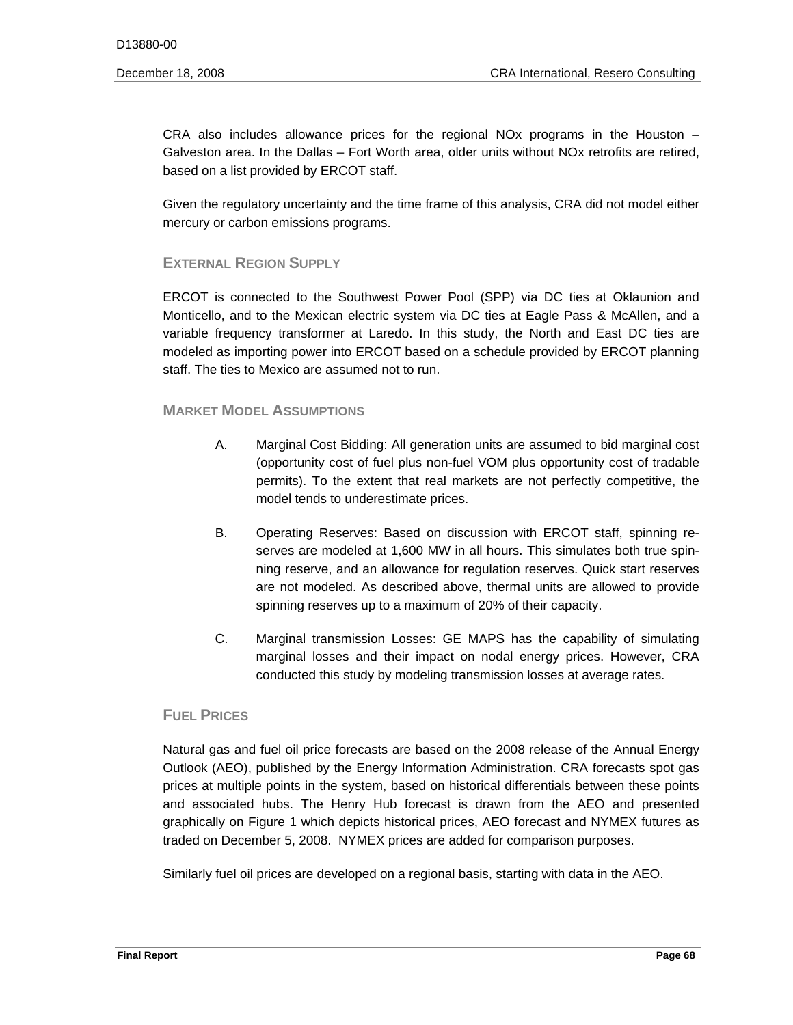CRA also includes allowance prices for the regional NOx programs in the Houston – Galveston area. In the Dallas – Fort Worth area, older units without NOx retrofits are retired, based on a list provided by ERCOT staff.

Given the regulatory uncertainty and the time frame of this analysis, CRA did not model either mercury or carbon emissions programs.

# **EXTERNAL REGION SUPPLY**

ERCOT is connected to the Southwest Power Pool (SPP) via DC ties at Oklaunion and Monticello, and to the Mexican electric system via DC ties at Eagle Pass & McAllen, and a variable frequency transformer at Laredo. In this study, the North and East DC ties are modeled as importing power into ERCOT based on a schedule provided by ERCOT planning staff. The ties to Mexico are assumed not to run.

# **MARKET MODEL ASSUMPTIONS**

- A. Marginal Cost Bidding: All generation units are assumed to bid marginal cost (opportunity cost of fuel plus non-fuel VOM plus opportunity cost of tradable permits). To the extent that real markets are not perfectly competitive, the model tends to underestimate prices.
- B. Operating Reserves: Based on discussion with ERCOT staff, spinning reserves are modeled at 1,600 MW in all hours. This simulates both true spinning reserve, and an allowance for regulation reserves. Quick start reserves are not modeled. As described above, thermal units are allowed to provide spinning reserves up to a maximum of 20% of their capacity.
- C. Marginal transmission Losses: GE MAPS has the capability of simulating marginal losses and their impact on nodal energy prices. However, CRA conducted this study by modeling transmission losses at average rates.

# **FUEL PRICES**

Natural gas and fuel oil price forecasts are based on the 2008 release of the Annual Energy Outlook (AEO), published by the Energy Information Administration. CRA forecasts spot gas prices at multiple points in the system, based on historical differentials between these points and associated hubs. The Henry Hub forecast is drawn from the AEO and presented graphically on Figure 1 which depicts historical prices, AEO forecast and NYMEX futures as traded on December 5, 2008. NYMEX prices are added for comparison purposes.

Similarly fuel oil prices are developed on a regional basis, starting with data in the AEO.